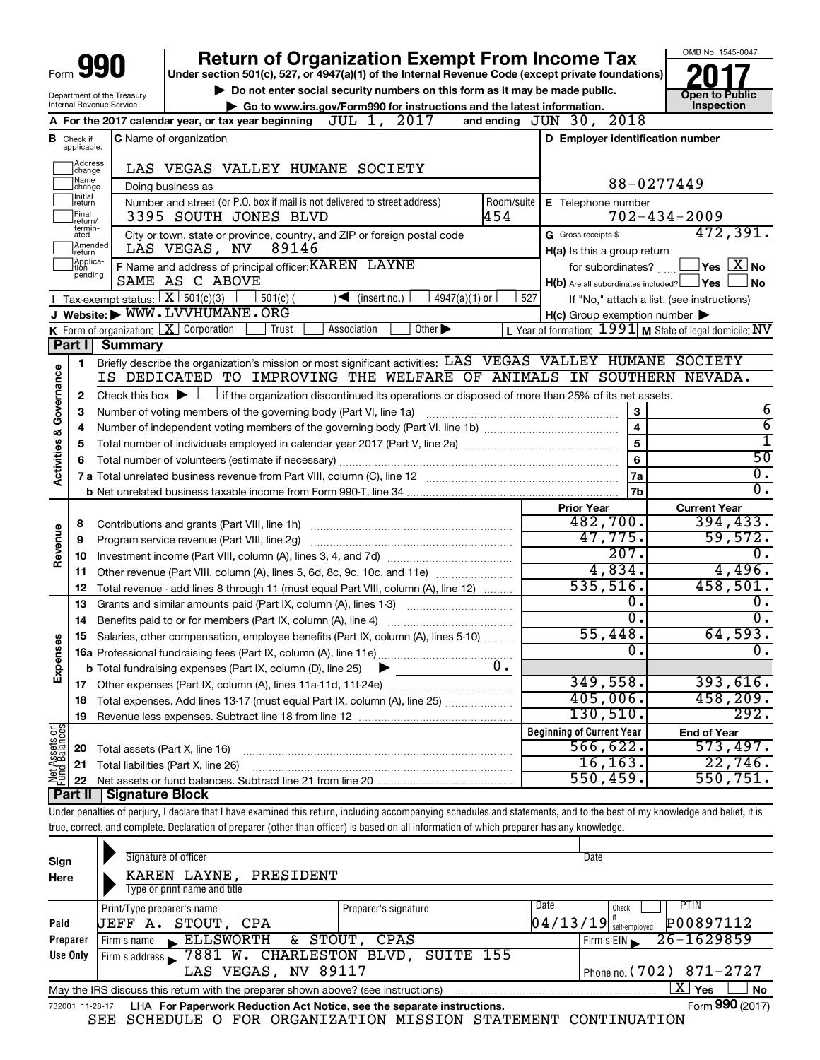# **Return of Organization Exempt From Income Tax**

**Under section 501(c), 527, or 4947(a)(1) of the Internal Revenue Code (except private foundations)**

Department of the Treasury Internal Revenue Service

▶ Do not enter social security numbers on this form as it may be made public.<br>● Go to www.irs.gov/Form990 for instructions and the latest information. **Department in the latest** information. **| Go to www.irs.gov/Form990 for instructions and the latest information. Inspection**



|                         |                               | 2017<br>JUL 1,<br>A For the 2017 calendar year, or tax year beginning                                                                       | and ending | JUN 30, 2018                                                          |                                                           |
|-------------------------|-------------------------------|---------------------------------------------------------------------------------------------------------------------------------------------|------------|-----------------------------------------------------------------------|-----------------------------------------------------------|
|                         | <b>B</b> Check if applicable: | <b>C</b> Name of organization                                                                                                               |            | D Employer identification number                                      |                                                           |
|                         | Address<br> change            | LAS VEGAS VALLEY HUMANE SOCIETY                                                                                                             |            |                                                                       |                                                           |
|                         | Name<br> change               | Doing business as                                                                                                                           |            |                                                                       | 88-0277449                                                |
|                         | Initial<br> return            | Number and street (or P.O. box if mail is not delivered to street address)                                                                  | Room/suite | E Telephone number                                                    |                                                           |
|                         | Final<br> return/             | 3395 SOUTH JONES BLVD                                                                                                                       | 454        |                                                                       | $702 - 434 - 2009$                                        |
|                         | termin-<br>ated<br>Amended    | City or town, state or province, country, and ZIP or foreign postal code                                                                    |            | G Gross receipts \$                                                   | 472,391.                                                  |
|                         | return<br>Applica-<br>Ition   | LAS VEGAS, NV<br>89146                                                                                                                      |            | H(a) Is this a group return                                           |                                                           |
|                         | pending                       | F Name and address of principal officer: KAREN LAYNE<br>SAME AS C ABOVE                                                                     |            | for subordinates?<br>$H(b)$ Are all subordinates included? $\Box$ Yes | $\,$ Yes $\,$ $\rm X$ $\,$ No $\,$<br><b>No</b>           |
|                         |                               | <b>I</b> Tax-exempt status: $\boxed{\mathbf{X}}$ 501(c)(3)<br>$501(c)$ (<br>4947(a)(1) or<br>$\blacktriangleright$<br>(insert no.)          | 527        |                                                                       | If "No," attach a list. (see instructions)                |
|                         |                               | J Website: WWW.LVVHUMANE.ORG                                                                                                                |            | H(c) Group exemption number                                           |                                                           |
|                         |                               | K Form of organization: $X$ Corporation<br>Other $\blacktriangleright$<br>Association<br>Trust                                              |            |                                                                       | L Year of formation: $1991$ M State of legal domicile: NV |
|                         | Part I                        | <b>Summary</b>                                                                                                                              |            |                                                                       |                                                           |
|                         | 1.                            | Briefly describe the organization's mission or most significant activities: LAS VEGAS VALLEY HUMANE SOCIETY                                 |            |                                                                       |                                                           |
| Activities & Governance |                               | IS DEDICATED TO IMPROVING THE WELFARE OF ANIMALS IN SOUTHERN NEVADA.                                                                        |            |                                                                       |                                                           |
|                         | 2                             | Check this box $\blacktriangleright$ $\Box$ if the organization discontinued its operations or disposed of more than 25% of its net assets. |            |                                                                       |                                                           |
|                         | 3                             |                                                                                                                                             |            | 3                                                                     | 6                                                         |
|                         | 4                             |                                                                                                                                             |            | $\overline{4}$                                                        | $\overline{6}$                                            |
|                         | 5                             |                                                                                                                                             |            | 5                                                                     | ī                                                         |
|                         |                               |                                                                                                                                             |            | $\bf 6$                                                               | $\overline{50}$                                           |
|                         |                               |                                                                                                                                             |            | 7a                                                                    | 0.<br>σ.                                                  |
|                         |                               |                                                                                                                                             |            | 7b<br><b>Prior Year</b>                                               |                                                           |
|                         | 8                             | Contributions and grants (Part VIII, line 1h)                                                                                               |            | 482,700.                                                              | <b>Current Year</b><br>394, 433.                          |
| Revenue                 | 9                             | Program service revenue (Part VIII, line 2g)                                                                                                |            | 47,775.                                                               | 59,572.                                                   |
|                         | 10                            |                                                                                                                                             |            | 207.                                                                  | ο.                                                        |
|                         | 11                            | Other revenue (Part VIII, column (A), lines 5, 6d, 8c, 9c, 10c, and 11e)                                                                    |            | 4,834.                                                                | 4,496.                                                    |
|                         | 12                            | Total revenue - add lines 8 through 11 (must equal Part VIII, column (A), line 12)                                                          |            | 535,516.                                                              | 458,501.                                                  |
|                         | 13                            | Grants and similar amounts paid (Part IX, column (A), lines 1-3)                                                                            |            | 0.                                                                    | Ο.                                                        |
|                         | 14                            |                                                                                                                                             |            | $\overline{0}$ .                                                      | 0.                                                        |
|                         | 15                            | Salaries, other compensation, employee benefits (Part IX, column (A), lines 5-10)                                                           |            | 55,448.                                                               | 64,593.                                                   |
| Expenses                |                               |                                                                                                                                             |            | 0.                                                                    | Ο.                                                        |
|                         |                               | <b>b</b> Total fundraising expenses (Part IX, column (D), line 25)<br>▶                                                                     | υ.         |                                                                       |                                                           |
|                         |                               |                                                                                                                                             |            | 349,558.                                                              | 393,616.                                                  |
|                         | 18                            | Total expenses. Add lines 13-17 (must equal Part IX, column (A), line 25)                                                                   |            | 405,006.<br>130, 510.                                                 | 458, 209.<br>292.                                         |
|                         | 19                            |                                                                                                                                             |            |                                                                       |                                                           |
| Assets or               |                               |                                                                                                                                             |            | <b>Beginning of Current Year</b><br>566, 622.                         | <b>End of Year</b><br>573,497.                            |
|                         | 20<br>21                      | Total assets (Part X, line 16)<br>Total liabilities (Part X, line 26)                                                                       |            | 16, 163.                                                              | 22,746.                                                   |
|                         | 22                            |                                                                                                                                             |            | 550, 459.                                                             | 550, 751.                                                 |
|                         |                               | Part II   Signature Block                                                                                                                   |            |                                                                       |                                                           |

Under penalties of perjury, I declare that I have examined this return, including accompanying schedules and statements, and to the best of my knowledge and belief, it is true, correct, and complete. Declaration of preparer (other than officer) is based on all information of which preparer has any knowledge.

| Sign<br>Here | Signature of officer<br>KAREN LAYNE, PRESIDENT<br>Type or print name and title                                    |                      | Date                                                             |           |  |
|--------------|-------------------------------------------------------------------------------------------------------------------|----------------------|------------------------------------------------------------------|-----------|--|
| Paid         | Print/Type preparer's name<br><b>JEFF A. STOUT, CPA</b>                                                           | Preparer's signature | l Date<br>PTIN<br>Check<br>$\left 04/13/19\right $ self-employed | P00897112 |  |
| Preparer     | & STOUT,<br>Firm's name ELLSWORTH                                                                                 | CPAS                 | $26 - 1629859$<br>Firm's EIN                                     |           |  |
| Use Only     | Firm's address 7881 W. CHARLESTON BLVD, SUITE 155                                                                 |                      |                                                                  |           |  |
|              | LAS VEGAS, NV 89117                                                                                               |                      | Phone no. $(702)$ 871-2727                                       |           |  |
|              | $X \mid$<br><b>No</b><br>Yes<br>May the IRS discuss this return with the preparer shown above? (see instructions) |                      |                                                                  |           |  |
|              | Form 990 (2017)<br>LHA For Paperwork Reduction Act Notice, see the separate instructions.<br>732001 11-28-17      |                      |                                                                  |           |  |

SEE SCHEDULE O FOR ORGANIZATION MISSION STATEMENT CONTINUATION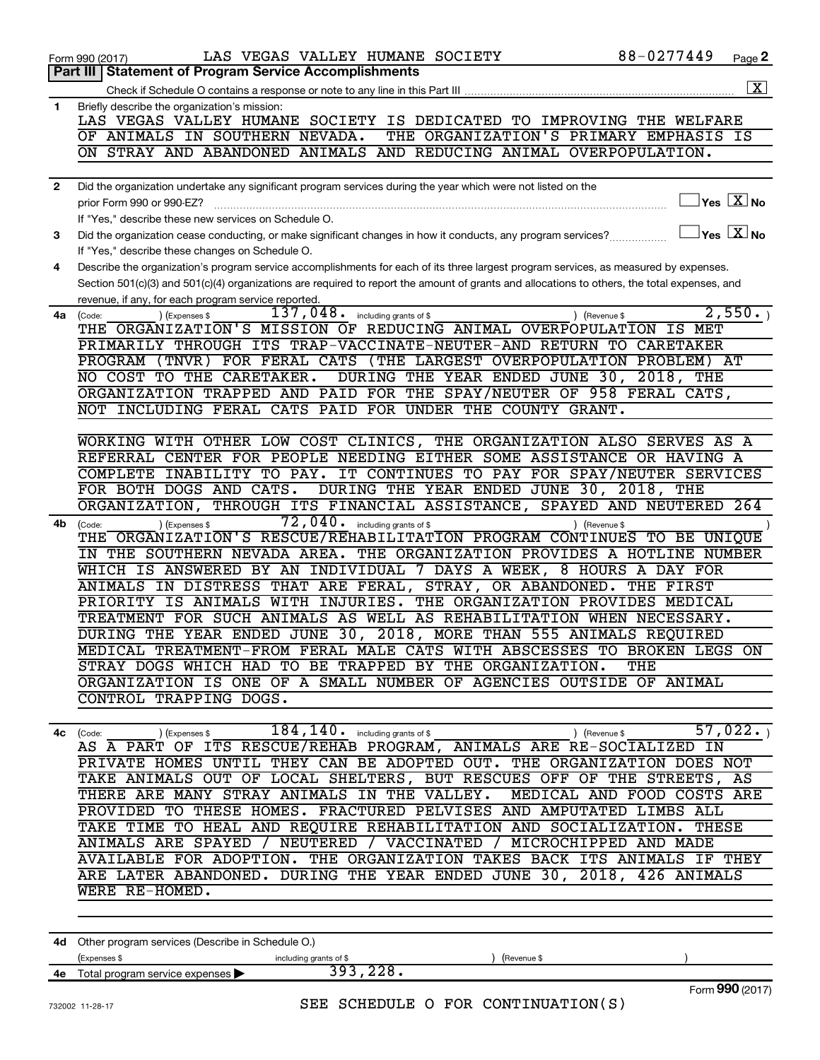|              | 88-0277449<br>LAS VEGAS VALLEY HUMANE SOCIETY<br>Form 990 (2017)                                                                                            | Page 2             |
|--------------|-------------------------------------------------------------------------------------------------------------------------------------------------------------|--------------------|
|              | <b>Statement of Program Service Accomplishments</b><br>Part III                                                                                             |                    |
|              |                                                                                                                                                             | $\boxed{\text{X}}$ |
| $\mathbf{1}$ | Briefly describe the organization's mission:                                                                                                                |                    |
|              | LAS VEGAS VALLEY HUMANE SOCIETY IS DEDICATED TO IMPROVING THE WELFARE                                                                                       |                    |
|              | THE ORGANIZATION'S PRIMARY EMPHASIS IS<br>OF ANIMALS IN SOUTHERN NEVADA.                                                                                    |                    |
|              | ON STRAY AND ABANDONED ANIMALS AND REDUCING ANIMAL OVERPOPULATION.                                                                                          |                    |
|              |                                                                                                                                                             |                    |
| $\mathbf{2}$ | Did the organization undertake any significant program services during the year which were not listed on the                                                |                    |
|              | $\exists$ Yes $\boxed{\text{X}}$ No<br>prior Form 990 or 990-EZ?                                                                                            |                    |
|              |                                                                                                                                                             |                    |
|              | If "Yes," describe these new services on Schedule O.<br>$\Box$ Yes $\boxed{\text{X}}$ No                                                                    |                    |
| 3            | Did the organization cease conducting, or make significant changes in how it conducts, any program services?                                                |                    |
|              | If "Yes," describe these changes on Schedule O.                                                                                                             |                    |
| 4            | Describe the organization's program service accomplishments for each of its three largest program services, as measured by expenses.                        |                    |
|              | Section 501(c)(3) and 501(c)(4) organizations are required to report the amount of grants and allocations to others, the total expenses, and                |                    |
|              | revenue, if any, for each program service reported.                                                                                                         |                    |
| 4a           | 2,550.<br>$\overline{137}$ , $048$ . including grants of \$<br>) (Expenses \$<br>) (Revenue \$<br>(Code:                                                    |                    |
|              | THE ORGANIZATION'S MISSION OF REDUCING ANIMAL OVERPOPULATION IS MET                                                                                         |                    |
|              | PRIMARILY THROUGH ITS TRAP-VACCINATE-NEUTER-AND RETURN TO CARETAKER                                                                                         |                    |
|              | PROGRAM (TNVR) FOR FERAL CATS (THE LARGEST OVERPOPULATION PROBLEM) AT                                                                                       |                    |
|              | DURING THE YEAR ENDED JUNE 30, 2018, THE<br>NO COST TO THE CARETAKER.                                                                                       |                    |
|              | ORGANIZATION TRAPPED AND PAID FOR THE SPAY/NEUTER OF 958 FERAL CATS,                                                                                        |                    |
|              | NOT INCLUDING FERAL CATS PAID FOR UNDER THE COUNTY GRANT.                                                                                                   |                    |
|              |                                                                                                                                                             |                    |
|              | WORKING WITH OTHER LOW COST CLINICS, THE ORGANIZATION ALSO SERVES AS A                                                                                      |                    |
|              | REFERRAL CENTER FOR PEOPLE NEEDING EITHER SOME ASSISTANCE OR HAVING A                                                                                       |                    |
|              | IT CONTINUES TO PAY FOR SPAY/NEUTER SERVICES<br>COMPLETE INABILITY TO PAY.                                                                                  |                    |
|              | FOR BOTH DOGS AND CATS.<br>DURING THE YEAR ENDED JUNE 30, 2018, THE                                                                                         |                    |
|              | THROUGH ITS FINANCIAL ASSISTANCE, SPAYED AND NEUTERED 264<br>ORGANIZATION,                                                                                  |                    |
| 4b           | $\overline{72}$ , $040$ . including grants of \$<br>(Expenses \$<br>) (Revenue \$<br>(Code:                                                                 |                    |
|              | THE ORGANIZATION'S RESCUE/REHABILITATION PROGRAM CONTINUES TO BE UNIQUE                                                                                     |                    |
|              | IN THE SOUTHERN NEVADA AREA. THE ORGANIZATION PROVIDES A HOTLINE NUMBER                                                                                     |                    |
|              | WHICH IS ANSWERED BY AN INDIVIDUAL 7 DAYS A WEEK, 8 HOURS A DAY FOR                                                                                         |                    |
|              | ANIMALS IN DISTRESS THAT ARE FERAL, STRAY, OR ABANDONED. THE FIRST                                                                                          |                    |
|              | PRIORITY IS ANIMALS WITH INJURIES. THE ORGANIZATION PROVIDES MEDICAL                                                                                        |                    |
|              | TREATMENT FOR SUCH ANIMALS AS WELL AS REHABILITATION WHEN NECESSARY.                                                                                        |                    |
|              | DURING THE YEAR ENDED JUNE 30, 2018, MORE THAN 555 ANIMALS REQUIRED                                                                                         |                    |
|              | MEDICAL TREATMENT-FROM FERAL MALE CATS WITH ABSCESSES TO BROKEN LEGS ON                                                                                     |                    |
|              | STRAY DOGS WHICH HAD TO BE TRAPPED BY THE ORGANIZATION. THE                                                                                                 |                    |
|              | ORGANIZATION IS ONE OF A SMALL NUMBER OF AGENCIES OUTSIDE OF ANIMAL                                                                                         |                    |
|              | CONTROL TRAPPING DOGS.                                                                                                                                      |                    |
|              |                                                                                                                                                             |                    |
|              |                                                                                                                                                             |                    |
|              | 4c (Code: ) (Expenses \$184, 140. including grants of \$1, 022. ) (Revenue \$57, 022. ) AS A PART OF ITS RESCUE/REHAB PROGRAM, ANIMALS ARE RE-SOCIALIZED IN |                    |
|              | PRIVATE HOMES UNTIL THEY CAN BE ADOPTED OUT. THE ORGANIZATION DOES NOT                                                                                      |                    |
|              | TAKE ANIMALS OUT OF LOCAL SHELTERS, BUT RESCUES OFF OF THE STREETS, AS                                                                                      |                    |
|              | THERE ARE MANY STRAY ANIMALS IN THE VALLEY. MEDICAL AND FOOD COSTS ARE                                                                                      |                    |
|              | PROVIDED TO THESE HOMES. FRACTURED PELVISES AND AMPUTATED LIMBS ALL                                                                                         |                    |
|              | TAKE TIME TO HEAL AND REQUIRE REHABILITATION AND SOCIALIZATION. THESE                                                                                       |                    |
|              | ANIMALS ARE SPAYED / NEUTERED / VACCINATED / MICROCHIPPED AND MADE                                                                                          |                    |
|              | AVAILABLE FOR ADOPTION. THE ORGANIZATION TAKES BACK ITS ANIMALS IF THEY                                                                                     |                    |
|              | ARE LATER ABANDONED. DURING THE YEAR ENDED JUNE 30, 2018, 426 ANIMALS                                                                                       |                    |
|              | WERE RE-HOMED.                                                                                                                                              |                    |
|              |                                                                                                                                                             |                    |
|              |                                                                                                                                                             |                    |
|              |                                                                                                                                                             |                    |
|              | 4d Other program services (Describe in Schedule O.)                                                                                                         |                    |

| 4d | Other program services (Describe in Schedule O.) |                        |             |                 |  |  |
|----|--------------------------------------------------|------------------------|-------------|-----------------|--|--|
|    | (Expenses \$                                     | including grants of \$ | (Revenue \$ |                 |  |  |
| 4е | Total program service expenses >                 | 393,228.               |             |                 |  |  |
|    |                                                  |                        |             | Form 990 (2017) |  |  |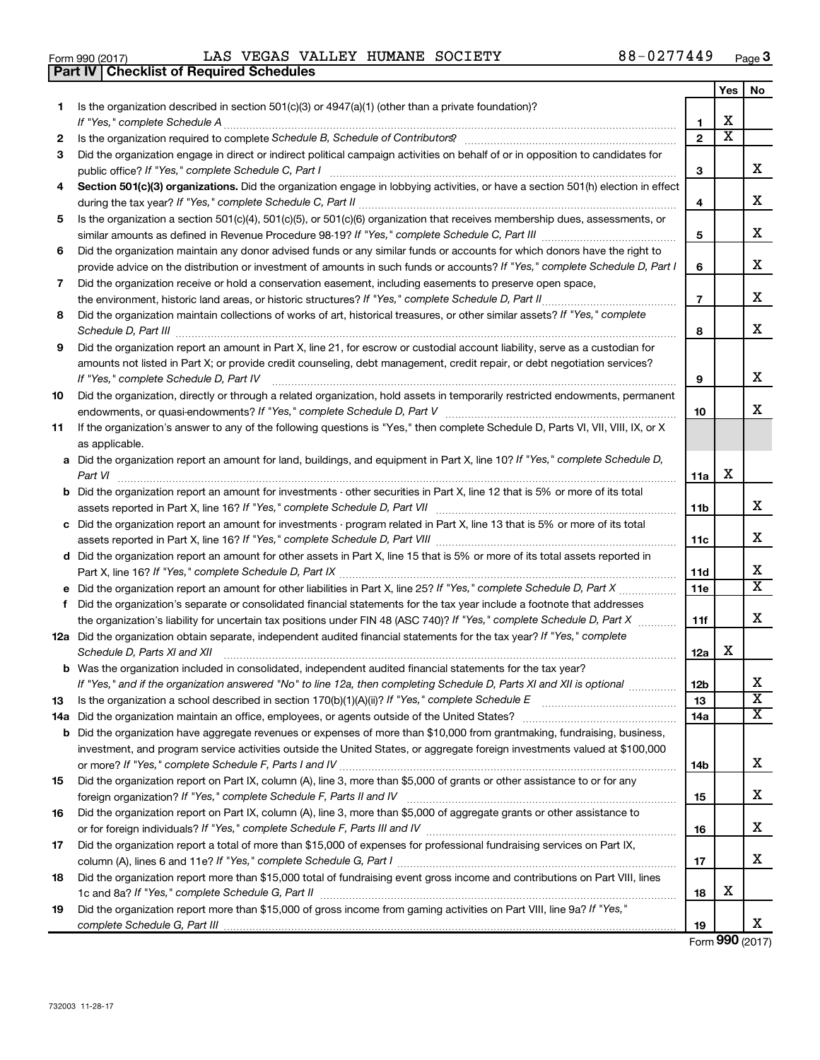732003 11-28-17

| Form 990 (2017) | LAS                                     | VEGAS VALLEY HUMANE SOCIETY | 88-0277449 | Page |
|-----------------|-----------------------------------------|-----------------------------|------------|------|
|                 | Dort IV Checklist of Deguised Cohedules |                             |            |      |

| Yes<br>No<br>Is the organization described in section 501(c)(3) or $4947(a)(1)$ (other than a private foundation)?<br>1<br>х<br>1<br>$\overline{\textbf{x}}$<br>$\mathbf{2}$<br>2<br>Did the organization engage in direct or indirect political campaign activities on behalf of or in opposition to candidates for<br>3<br>x<br>3<br>Section 501(c)(3) organizations. Did the organization engage in lobbying activities, or have a section 501(h) election in effect<br>4<br>х<br>4<br>Is the organization a section 501(c)(4), 501(c)(5), or 501(c)(6) organization that receives membership dues, assessments, or<br>5<br>х<br>5<br>Did the organization maintain any donor advised funds or any similar funds or accounts for which donors have the right to<br>6<br>х<br>provide advice on the distribution or investment of amounts in such funds or accounts? If "Yes," complete Schedule D, Part I<br>6<br>Did the organization receive or hold a conservation easement, including easements to preserve open space,<br>7<br>x<br>$\overline{7}$<br>the environment, historic land areas, or historic structures? If "Yes," complete Schedule D, Part II<br>Did the organization maintain collections of works of art, historical treasures, or other similar assets? If "Yes," complete<br>8<br>х<br>Schedule D, Part III <b>Marting Commission Commission Commission</b> Commission Commission Commission<br>8<br>Did the organization report an amount in Part X, line 21, for escrow or custodial account liability, serve as a custodian for<br>9<br>amounts not listed in Part X; or provide credit counseling, debt management, credit repair, or debt negotiation services?<br>х<br>If "Yes," complete Schedule D, Part IV<br>9<br>Did the organization, directly or through a related organization, hold assets in temporarily restricted endowments, permanent<br>10<br>x<br>10<br>If the organization's answer to any of the following questions is "Yes," then complete Schedule D, Parts VI, VII, VIII, IX, or X<br>11<br>as applicable.<br>a Did the organization report an amount for land, buildings, and equipment in Part X, line 10? If "Yes," complete Schedule D,<br>X<br>11a<br>Part VI<br><b>b</b> Did the organization report an amount for investments - other securities in Part X, line 12 that is 5% or more of its total<br>x<br>11b<br>c Did the organization report an amount for investments - program related in Part X, line 13 that is 5% or more of its total<br>х<br>11c<br>d Did the organization report an amount for other assets in Part X, line 15 that is 5% or more of its total assets reported in<br>х<br>11d<br>X<br>e Did the organization report an amount for other liabilities in Part X, line 25? If "Yes," complete Schedule D, Part X<br>11e<br>Did the organization's separate or consolidated financial statements for the tax year include a footnote that addresses<br>f.<br>x<br>the organization's liability for uncertain tax positions under FIN 48 (ASC 740)? If "Yes," complete Schedule D, Part X<br>11f<br>12a Did the organization obtain separate, independent audited financial statements for the tax year? If "Yes," complete<br>х<br>Schedule D, Parts XI and XII<br>12a<br>b Was the organization included in consolidated, independent audited financial statements for the tax year?<br>х<br>If "Yes," and if the organization answered "No" to line 12a, then completing Schedule D, Parts XI and XII is optional<br>12b<br>$\overline{\textbf{X}}$<br>Is the organization a school described in section 170(b)(1)(A)(ii)? If "Yes," complete Schedule E [[[[[[[[[[[[<br>13<br>13<br>х<br>14a<br><b>b</b> Did the organization have aggregate revenues or expenses of more than \$10,000 from grantmaking, fundraising, business,<br>investment, and program service activities outside the United States, or aggregate foreign investments valued at \$100,000<br>х<br>14b<br>Did the organization report on Part IX, column (A), line 3, more than \$5,000 of grants or other assistance to or for any<br>15<br>х<br>15<br>Did the organization report on Part IX, column (A), line 3, more than \$5,000 of aggregate grants or other assistance to<br>16<br>х<br>16<br>Did the organization report a total of more than \$15,000 of expenses for professional fundraising services on Part IX,<br>17<br>х<br>17<br>Did the organization report more than \$15,000 total of fundraising event gross income and contributions on Part VIII, lines<br>18<br>х<br>18<br>Did the organization report more than \$15,000 of gross income from gaming activities on Part VIII, line 9a? If "Yes,"<br>19 | <b>Part IV   Checklist of Required Schedules</b> |    |   |
|-------------------------------------------------------------------------------------------------------------------------------------------------------------------------------------------------------------------------------------------------------------------------------------------------------------------------------------------------------------------------------------------------------------------------------------------------------------------------------------------------------------------------------------------------------------------------------------------------------------------------------------------------------------------------------------------------------------------------------------------------------------------------------------------------------------------------------------------------------------------------------------------------------------------------------------------------------------------------------------------------------------------------------------------------------------------------------------------------------------------------------------------------------------------------------------------------------------------------------------------------------------------------------------------------------------------------------------------------------------------------------------------------------------------------------------------------------------------------------------------------------------------------------------------------------------------------------------------------------------------------------------------------------------------------------------------------------------------------------------------------------------------------------------------------------------------------------------------------------------------------------------------------------------------------------------------------------------------------------------------------------------------------------------------------------------------------------------------------------------------------------------------------------------------------------------------------------------------------------------------------------------------------------------------------------------------------------------------------------------------------------------------------------------------------------------------------------------------------------------------------------------------------------------------------------------------------------------------------------------------------------------------------------------------------------------------------------------------------------------------------------------------------------------------------------------------------------------------------------------------------------------------------------------------------------------------------------------------------------------------------------------------------------------------------------------------------------------------------------------------------------------------------------------------------------------------------------------------------------------------------------------------------------------------------------------------------------------------------------------------------------------------------------------------------------------------------------------------------------------------------------------------------------------------------------------------------------------------------------------------------------------------------------------------------------------------------------------------------------------------------------------------------------------------------------------------------------------------------------------------------------------------------------------------------------------------------------------------------------------------------------------------------------------------------------------------------------------------------------------------------------------------------------------------------------------------------------------------------------------------------------------------------------------------------------------------------------------------------------------------------------------------------------------------------------------------------------------------------------------------------------------------------------------------------------------------------------------------------------------------------------------------------------------------------------------------|--------------------------------------------------|----|---|
|                                                                                                                                                                                                                                                                                                                                                                                                                                                                                                                                                                                                                                                                                                                                                                                                                                                                                                                                                                                                                                                                                                                                                                                                                                                                                                                                                                                                                                                                                                                                                                                                                                                                                                                                                                                                                                                                                                                                                                                                                                                                                                                                                                                                                                                                                                                                                                                                                                                                                                                                                                                                                                                                                                                                                                                                                                                                                                                                                                                                                                                                                                                                                                                                                                                                                                                                                                                                                                                                                                                                                                                                                                                                                                                                                                                                                                                                                                                                                                                                                                                                                                                                                                                                                                                                                                                                                                                                                                                                                                                                                                                                                                                                                           |                                                  |    |   |
|                                                                                                                                                                                                                                                                                                                                                                                                                                                                                                                                                                                                                                                                                                                                                                                                                                                                                                                                                                                                                                                                                                                                                                                                                                                                                                                                                                                                                                                                                                                                                                                                                                                                                                                                                                                                                                                                                                                                                                                                                                                                                                                                                                                                                                                                                                                                                                                                                                                                                                                                                                                                                                                                                                                                                                                                                                                                                                                                                                                                                                                                                                                                                                                                                                                                                                                                                                                                                                                                                                                                                                                                                                                                                                                                                                                                                                                                                                                                                                                                                                                                                                                                                                                                                                                                                                                                                                                                                                                                                                                                                                                                                                                                                           |                                                  |    |   |
|                                                                                                                                                                                                                                                                                                                                                                                                                                                                                                                                                                                                                                                                                                                                                                                                                                                                                                                                                                                                                                                                                                                                                                                                                                                                                                                                                                                                                                                                                                                                                                                                                                                                                                                                                                                                                                                                                                                                                                                                                                                                                                                                                                                                                                                                                                                                                                                                                                                                                                                                                                                                                                                                                                                                                                                                                                                                                                                                                                                                                                                                                                                                                                                                                                                                                                                                                                                                                                                                                                                                                                                                                                                                                                                                                                                                                                                                                                                                                                                                                                                                                                                                                                                                                                                                                                                                                                                                                                                                                                                                                                                                                                                                                           |                                                  |    |   |
|                                                                                                                                                                                                                                                                                                                                                                                                                                                                                                                                                                                                                                                                                                                                                                                                                                                                                                                                                                                                                                                                                                                                                                                                                                                                                                                                                                                                                                                                                                                                                                                                                                                                                                                                                                                                                                                                                                                                                                                                                                                                                                                                                                                                                                                                                                                                                                                                                                                                                                                                                                                                                                                                                                                                                                                                                                                                                                                                                                                                                                                                                                                                                                                                                                                                                                                                                                                                                                                                                                                                                                                                                                                                                                                                                                                                                                                                                                                                                                                                                                                                                                                                                                                                                                                                                                                                                                                                                                                                                                                                                                                                                                                                                           |                                                  |    |   |
|                                                                                                                                                                                                                                                                                                                                                                                                                                                                                                                                                                                                                                                                                                                                                                                                                                                                                                                                                                                                                                                                                                                                                                                                                                                                                                                                                                                                                                                                                                                                                                                                                                                                                                                                                                                                                                                                                                                                                                                                                                                                                                                                                                                                                                                                                                                                                                                                                                                                                                                                                                                                                                                                                                                                                                                                                                                                                                                                                                                                                                                                                                                                                                                                                                                                                                                                                                                                                                                                                                                                                                                                                                                                                                                                                                                                                                                                                                                                                                                                                                                                                                                                                                                                                                                                                                                                                                                                                                                                                                                                                                                                                                                                                           |                                                  |    |   |
|                                                                                                                                                                                                                                                                                                                                                                                                                                                                                                                                                                                                                                                                                                                                                                                                                                                                                                                                                                                                                                                                                                                                                                                                                                                                                                                                                                                                                                                                                                                                                                                                                                                                                                                                                                                                                                                                                                                                                                                                                                                                                                                                                                                                                                                                                                                                                                                                                                                                                                                                                                                                                                                                                                                                                                                                                                                                                                                                                                                                                                                                                                                                                                                                                                                                                                                                                                                                                                                                                                                                                                                                                                                                                                                                                                                                                                                                                                                                                                                                                                                                                                                                                                                                                                                                                                                                                                                                                                                                                                                                                                                                                                                                                           |                                                  |    |   |
|                                                                                                                                                                                                                                                                                                                                                                                                                                                                                                                                                                                                                                                                                                                                                                                                                                                                                                                                                                                                                                                                                                                                                                                                                                                                                                                                                                                                                                                                                                                                                                                                                                                                                                                                                                                                                                                                                                                                                                                                                                                                                                                                                                                                                                                                                                                                                                                                                                                                                                                                                                                                                                                                                                                                                                                                                                                                                                                                                                                                                                                                                                                                                                                                                                                                                                                                                                                                                                                                                                                                                                                                                                                                                                                                                                                                                                                                                                                                                                                                                                                                                                                                                                                                                                                                                                                                                                                                                                                                                                                                                                                                                                                                                           |                                                  |    |   |
|                                                                                                                                                                                                                                                                                                                                                                                                                                                                                                                                                                                                                                                                                                                                                                                                                                                                                                                                                                                                                                                                                                                                                                                                                                                                                                                                                                                                                                                                                                                                                                                                                                                                                                                                                                                                                                                                                                                                                                                                                                                                                                                                                                                                                                                                                                                                                                                                                                                                                                                                                                                                                                                                                                                                                                                                                                                                                                                                                                                                                                                                                                                                                                                                                                                                                                                                                                                                                                                                                                                                                                                                                                                                                                                                                                                                                                                                                                                                                                                                                                                                                                                                                                                                                                                                                                                                                                                                                                                                                                                                                                                                                                                                                           |                                                  |    |   |
|                                                                                                                                                                                                                                                                                                                                                                                                                                                                                                                                                                                                                                                                                                                                                                                                                                                                                                                                                                                                                                                                                                                                                                                                                                                                                                                                                                                                                                                                                                                                                                                                                                                                                                                                                                                                                                                                                                                                                                                                                                                                                                                                                                                                                                                                                                                                                                                                                                                                                                                                                                                                                                                                                                                                                                                                                                                                                                                                                                                                                                                                                                                                                                                                                                                                                                                                                                                                                                                                                                                                                                                                                                                                                                                                                                                                                                                                                                                                                                                                                                                                                                                                                                                                                                                                                                                                                                                                                                                                                                                                                                                                                                                                                           |                                                  |    |   |
|                                                                                                                                                                                                                                                                                                                                                                                                                                                                                                                                                                                                                                                                                                                                                                                                                                                                                                                                                                                                                                                                                                                                                                                                                                                                                                                                                                                                                                                                                                                                                                                                                                                                                                                                                                                                                                                                                                                                                                                                                                                                                                                                                                                                                                                                                                                                                                                                                                                                                                                                                                                                                                                                                                                                                                                                                                                                                                                                                                                                                                                                                                                                                                                                                                                                                                                                                                                                                                                                                                                                                                                                                                                                                                                                                                                                                                                                                                                                                                                                                                                                                                                                                                                                                                                                                                                                                                                                                                                                                                                                                                                                                                                                                           |                                                  |    |   |
|                                                                                                                                                                                                                                                                                                                                                                                                                                                                                                                                                                                                                                                                                                                                                                                                                                                                                                                                                                                                                                                                                                                                                                                                                                                                                                                                                                                                                                                                                                                                                                                                                                                                                                                                                                                                                                                                                                                                                                                                                                                                                                                                                                                                                                                                                                                                                                                                                                                                                                                                                                                                                                                                                                                                                                                                                                                                                                                                                                                                                                                                                                                                                                                                                                                                                                                                                                                                                                                                                                                                                                                                                                                                                                                                                                                                                                                                                                                                                                                                                                                                                                                                                                                                                                                                                                                                                                                                                                                                                                                                                                                                                                                                                           |                                                  |    |   |
|                                                                                                                                                                                                                                                                                                                                                                                                                                                                                                                                                                                                                                                                                                                                                                                                                                                                                                                                                                                                                                                                                                                                                                                                                                                                                                                                                                                                                                                                                                                                                                                                                                                                                                                                                                                                                                                                                                                                                                                                                                                                                                                                                                                                                                                                                                                                                                                                                                                                                                                                                                                                                                                                                                                                                                                                                                                                                                                                                                                                                                                                                                                                                                                                                                                                                                                                                                                                                                                                                                                                                                                                                                                                                                                                                                                                                                                                                                                                                                                                                                                                                                                                                                                                                                                                                                                                                                                                                                                                                                                                                                                                                                                                                           |                                                  |    |   |
|                                                                                                                                                                                                                                                                                                                                                                                                                                                                                                                                                                                                                                                                                                                                                                                                                                                                                                                                                                                                                                                                                                                                                                                                                                                                                                                                                                                                                                                                                                                                                                                                                                                                                                                                                                                                                                                                                                                                                                                                                                                                                                                                                                                                                                                                                                                                                                                                                                                                                                                                                                                                                                                                                                                                                                                                                                                                                                                                                                                                                                                                                                                                                                                                                                                                                                                                                                                                                                                                                                                                                                                                                                                                                                                                                                                                                                                                                                                                                                                                                                                                                                                                                                                                                                                                                                                                                                                                                                                                                                                                                                                                                                                                                           |                                                  |    |   |
|                                                                                                                                                                                                                                                                                                                                                                                                                                                                                                                                                                                                                                                                                                                                                                                                                                                                                                                                                                                                                                                                                                                                                                                                                                                                                                                                                                                                                                                                                                                                                                                                                                                                                                                                                                                                                                                                                                                                                                                                                                                                                                                                                                                                                                                                                                                                                                                                                                                                                                                                                                                                                                                                                                                                                                                                                                                                                                                                                                                                                                                                                                                                                                                                                                                                                                                                                                                                                                                                                                                                                                                                                                                                                                                                                                                                                                                                                                                                                                                                                                                                                                                                                                                                                                                                                                                                                                                                                                                                                                                                                                                                                                                                                           |                                                  |    |   |
|                                                                                                                                                                                                                                                                                                                                                                                                                                                                                                                                                                                                                                                                                                                                                                                                                                                                                                                                                                                                                                                                                                                                                                                                                                                                                                                                                                                                                                                                                                                                                                                                                                                                                                                                                                                                                                                                                                                                                                                                                                                                                                                                                                                                                                                                                                                                                                                                                                                                                                                                                                                                                                                                                                                                                                                                                                                                                                                                                                                                                                                                                                                                                                                                                                                                                                                                                                                                                                                                                                                                                                                                                                                                                                                                                                                                                                                                                                                                                                                                                                                                                                                                                                                                                                                                                                                                                                                                                                                                                                                                                                                                                                                                                           |                                                  |    |   |
|                                                                                                                                                                                                                                                                                                                                                                                                                                                                                                                                                                                                                                                                                                                                                                                                                                                                                                                                                                                                                                                                                                                                                                                                                                                                                                                                                                                                                                                                                                                                                                                                                                                                                                                                                                                                                                                                                                                                                                                                                                                                                                                                                                                                                                                                                                                                                                                                                                                                                                                                                                                                                                                                                                                                                                                                                                                                                                                                                                                                                                                                                                                                                                                                                                                                                                                                                                                                                                                                                                                                                                                                                                                                                                                                                                                                                                                                                                                                                                                                                                                                                                                                                                                                                                                                                                                                                                                                                                                                                                                                                                                                                                                                                           |                                                  |    |   |
|                                                                                                                                                                                                                                                                                                                                                                                                                                                                                                                                                                                                                                                                                                                                                                                                                                                                                                                                                                                                                                                                                                                                                                                                                                                                                                                                                                                                                                                                                                                                                                                                                                                                                                                                                                                                                                                                                                                                                                                                                                                                                                                                                                                                                                                                                                                                                                                                                                                                                                                                                                                                                                                                                                                                                                                                                                                                                                                                                                                                                                                                                                                                                                                                                                                                                                                                                                                                                                                                                                                                                                                                                                                                                                                                                                                                                                                                                                                                                                                                                                                                                                                                                                                                                                                                                                                                                                                                                                                                                                                                                                                                                                                                                           |                                                  |    |   |
|                                                                                                                                                                                                                                                                                                                                                                                                                                                                                                                                                                                                                                                                                                                                                                                                                                                                                                                                                                                                                                                                                                                                                                                                                                                                                                                                                                                                                                                                                                                                                                                                                                                                                                                                                                                                                                                                                                                                                                                                                                                                                                                                                                                                                                                                                                                                                                                                                                                                                                                                                                                                                                                                                                                                                                                                                                                                                                                                                                                                                                                                                                                                                                                                                                                                                                                                                                                                                                                                                                                                                                                                                                                                                                                                                                                                                                                                                                                                                                                                                                                                                                                                                                                                                                                                                                                                                                                                                                                                                                                                                                                                                                                                                           |                                                  |    |   |
|                                                                                                                                                                                                                                                                                                                                                                                                                                                                                                                                                                                                                                                                                                                                                                                                                                                                                                                                                                                                                                                                                                                                                                                                                                                                                                                                                                                                                                                                                                                                                                                                                                                                                                                                                                                                                                                                                                                                                                                                                                                                                                                                                                                                                                                                                                                                                                                                                                                                                                                                                                                                                                                                                                                                                                                                                                                                                                                                                                                                                                                                                                                                                                                                                                                                                                                                                                                                                                                                                                                                                                                                                                                                                                                                                                                                                                                                                                                                                                                                                                                                                                                                                                                                                                                                                                                                                                                                                                                                                                                                                                                                                                                                                           |                                                  |    |   |
|                                                                                                                                                                                                                                                                                                                                                                                                                                                                                                                                                                                                                                                                                                                                                                                                                                                                                                                                                                                                                                                                                                                                                                                                                                                                                                                                                                                                                                                                                                                                                                                                                                                                                                                                                                                                                                                                                                                                                                                                                                                                                                                                                                                                                                                                                                                                                                                                                                                                                                                                                                                                                                                                                                                                                                                                                                                                                                                                                                                                                                                                                                                                                                                                                                                                                                                                                                                                                                                                                                                                                                                                                                                                                                                                                                                                                                                                                                                                                                                                                                                                                                                                                                                                                                                                                                                                                                                                                                                                                                                                                                                                                                                                                           |                                                  |    |   |
|                                                                                                                                                                                                                                                                                                                                                                                                                                                                                                                                                                                                                                                                                                                                                                                                                                                                                                                                                                                                                                                                                                                                                                                                                                                                                                                                                                                                                                                                                                                                                                                                                                                                                                                                                                                                                                                                                                                                                                                                                                                                                                                                                                                                                                                                                                                                                                                                                                                                                                                                                                                                                                                                                                                                                                                                                                                                                                                                                                                                                                                                                                                                                                                                                                                                                                                                                                                                                                                                                                                                                                                                                                                                                                                                                                                                                                                                                                                                                                                                                                                                                                                                                                                                                                                                                                                                                                                                                                                                                                                                                                                                                                                                                           |                                                  |    |   |
|                                                                                                                                                                                                                                                                                                                                                                                                                                                                                                                                                                                                                                                                                                                                                                                                                                                                                                                                                                                                                                                                                                                                                                                                                                                                                                                                                                                                                                                                                                                                                                                                                                                                                                                                                                                                                                                                                                                                                                                                                                                                                                                                                                                                                                                                                                                                                                                                                                                                                                                                                                                                                                                                                                                                                                                                                                                                                                                                                                                                                                                                                                                                                                                                                                                                                                                                                                                                                                                                                                                                                                                                                                                                                                                                                                                                                                                                                                                                                                                                                                                                                                                                                                                                                                                                                                                                                                                                                                                                                                                                                                                                                                                                                           |                                                  |    |   |
|                                                                                                                                                                                                                                                                                                                                                                                                                                                                                                                                                                                                                                                                                                                                                                                                                                                                                                                                                                                                                                                                                                                                                                                                                                                                                                                                                                                                                                                                                                                                                                                                                                                                                                                                                                                                                                                                                                                                                                                                                                                                                                                                                                                                                                                                                                                                                                                                                                                                                                                                                                                                                                                                                                                                                                                                                                                                                                                                                                                                                                                                                                                                                                                                                                                                                                                                                                                                                                                                                                                                                                                                                                                                                                                                                                                                                                                                                                                                                                                                                                                                                                                                                                                                                                                                                                                                                                                                                                                                                                                                                                                                                                                                                           |                                                  |    |   |
|                                                                                                                                                                                                                                                                                                                                                                                                                                                                                                                                                                                                                                                                                                                                                                                                                                                                                                                                                                                                                                                                                                                                                                                                                                                                                                                                                                                                                                                                                                                                                                                                                                                                                                                                                                                                                                                                                                                                                                                                                                                                                                                                                                                                                                                                                                                                                                                                                                                                                                                                                                                                                                                                                                                                                                                                                                                                                                                                                                                                                                                                                                                                                                                                                                                                                                                                                                                                                                                                                                                                                                                                                                                                                                                                                                                                                                                                                                                                                                                                                                                                                                                                                                                                                                                                                                                                                                                                                                                                                                                                                                                                                                                                                           |                                                  |    |   |
|                                                                                                                                                                                                                                                                                                                                                                                                                                                                                                                                                                                                                                                                                                                                                                                                                                                                                                                                                                                                                                                                                                                                                                                                                                                                                                                                                                                                                                                                                                                                                                                                                                                                                                                                                                                                                                                                                                                                                                                                                                                                                                                                                                                                                                                                                                                                                                                                                                                                                                                                                                                                                                                                                                                                                                                                                                                                                                                                                                                                                                                                                                                                                                                                                                                                                                                                                                                                                                                                                                                                                                                                                                                                                                                                                                                                                                                                                                                                                                                                                                                                                                                                                                                                                                                                                                                                                                                                                                                                                                                                                                                                                                                                                           |                                                  |    |   |
|                                                                                                                                                                                                                                                                                                                                                                                                                                                                                                                                                                                                                                                                                                                                                                                                                                                                                                                                                                                                                                                                                                                                                                                                                                                                                                                                                                                                                                                                                                                                                                                                                                                                                                                                                                                                                                                                                                                                                                                                                                                                                                                                                                                                                                                                                                                                                                                                                                                                                                                                                                                                                                                                                                                                                                                                                                                                                                                                                                                                                                                                                                                                                                                                                                                                                                                                                                                                                                                                                                                                                                                                                                                                                                                                                                                                                                                                                                                                                                                                                                                                                                                                                                                                                                                                                                                                                                                                                                                                                                                                                                                                                                                                                           |                                                  |    |   |
|                                                                                                                                                                                                                                                                                                                                                                                                                                                                                                                                                                                                                                                                                                                                                                                                                                                                                                                                                                                                                                                                                                                                                                                                                                                                                                                                                                                                                                                                                                                                                                                                                                                                                                                                                                                                                                                                                                                                                                                                                                                                                                                                                                                                                                                                                                                                                                                                                                                                                                                                                                                                                                                                                                                                                                                                                                                                                                                                                                                                                                                                                                                                                                                                                                                                                                                                                                                                                                                                                                                                                                                                                                                                                                                                                                                                                                                                                                                                                                                                                                                                                                                                                                                                                                                                                                                                                                                                                                                                                                                                                                                                                                                                                           |                                                  |    |   |
|                                                                                                                                                                                                                                                                                                                                                                                                                                                                                                                                                                                                                                                                                                                                                                                                                                                                                                                                                                                                                                                                                                                                                                                                                                                                                                                                                                                                                                                                                                                                                                                                                                                                                                                                                                                                                                                                                                                                                                                                                                                                                                                                                                                                                                                                                                                                                                                                                                                                                                                                                                                                                                                                                                                                                                                                                                                                                                                                                                                                                                                                                                                                                                                                                                                                                                                                                                                                                                                                                                                                                                                                                                                                                                                                                                                                                                                                                                                                                                                                                                                                                                                                                                                                                                                                                                                                                                                                                                                                                                                                                                                                                                                                                           |                                                  |    |   |
|                                                                                                                                                                                                                                                                                                                                                                                                                                                                                                                                                                                                                                                                                                                                                                                                                                                                                                                                                                                                                                                                                                                                                                                                                                                                                                                                                                                                                                                                                                                                                                                                                                                                                                                                                                                                                                                                                                                                                                                                                                                                                                                                                                                                                                                                                                                                                                                                                                                                                                                                                                                                                                                                                                                                                                                                                                                                                                                                                                                                                                                                                                                                                                                                                                                                                                                                                                                                                                                                                                                                                                                                                                                                                                                                                                                                                                                                                                                                                                                                                                                                                                                                                                                                                                                                                                                                                                                                                                                                                                                                                                                                                                                                                           |                                                  |    |   |
|                                                                                                                                                                                                                                                                                                                                                                                                                                                                                                                                                                                                                                                                                                                                                                                                                                                                                                                                                                                                                                                                                                                                                                                                                                                                                                                                                                                                                                                                                                                                                                                                                                                                                                                                                                                                                                                                                                                                                                                                                                                                                                                                                                                                                                                                                                                                                                                                                                                                                                                                                                                                                                                                                                                                                                                                                                                                                                                                                                                                                                                                                                                                                                                                                                                                                                                                                                                                                                                                                                                                                                                                                                                                                                                                                                                                                                                                                                                                                                                                                                                                                                                                                                                                                                                                                                                                                                                                                                                                                                                                                                                                                                                                                           |                                                  |    |   |
|                                                                                                                                                                                                                                                                                                                                                                                                                                                                                                                                                                                                                                                                                                                                                                                                                                                                                                                                                                                                                                                                                                                                                                                                                                                                                                                                                                                                                                                                                                                                                                                                                                                                                                                                                                                                                                                                                                                                                                                                                                                                                                                                                                                                                                                                                                                                                                                                                                                                                                                                                                                                                                                                                                                                                                                                                                                                                                                                                                                                                                                                                                                                                                                                                                                                                                                                                                                                                                                                                                                                                                                                                                                                                                                                                                                                                                                                                                                                                                                                                                                                                                                                                                                                                                                                                                                                                                                                                                                                                                                                                                                                                                                                                           |                                                  |    |   |
|                                                                                                                                                                                                                                                                                                                                                                                                                                                                                                                                                                                                                                                                                                                                                                                                                                                                                                                                                                                                                                                                                                                                                                                                                                                                                                                                                                                                                                                                                                                                                                                                                                                                                                                                                                                                                                                                                                                                                                                                                                                                                                                                                                                                                                                                                                                                                                                                                                                                                                                                                                                                                                                                                                                                                                                                                                                                                                                                                                                                                                                                                                                                                                                                                                                                                                                                                                                                                                                                                                                                                                                                                                                                                                                                                                                                                                                                                                                                                                                                                                                                                                                                                                                                                                                                                                                                                                                                                                                                                                                                                                                                                                                                                           |                                                  |    |   |
|                                                                                                                                                                                                                                                                                                                                                                                                                                                                                                                                                                                                                                                                                                                                                                                                                                                                                                                                                                                                                                                                                                                                                                                                                                                                                                                                                                                                                                                                                                                                                                                                                                                                                                                                                                                                                                                                                                                                                                                                                                                                                                                                                                                                                                                                                                                                                                                                                                                                                                                                                                                                                                                                                                                                                                                                                                                                                                                                                                                                                                                                                                                                                                                                                                                                                                                                                                                                                                                                                                                                                                                                                                                                                                                                                                                                                                                                                                                                                                                                                                                                                                                                                                                                                                                                                                                                                                                                                                                                                                                                                                                                                                                                                           |                                                  |    |   |
|                                                                                                                                                                                                                                                                                                                                                                                                                                                                                                                                                                                                                                                                                                                                                                                                                                                                                                                                                                                                                                                                                                                                                                                                                                                                                                                                                                                                                                                                                                                                                                                                                                                                                                                                                                                                                                                                                                                                                                                                                                                                                                                                                                                                                                                                                                                                                                                                                                                                                                                                                                                                                                                                                                                                                                                                                                                                                                                                                                                                                                                                                                                                                                                                                                                                                                                                                                                                                                                                                                                                                                                                                                                                                                                                                                                                                                                                                                                                                                                                                                                                                                                                                                                                                                                                                                                                                                                                                                                                                                                                                                                                                                                                                           |                                                  |    |   |
|                                                                                                                                                                                                                                                                                                                                                                                                                                                                                                                                                                                                                                                                                                                                                                                                                                                                                                                                                                                                                                                                                                                                                                                                                                                                                                                                                                                                                                                                                                                                                                                                                                                                                                                                                                                                                                                                                                                                                                                                                                                                                                                                                                                                                                                                                                                                                                                                                                                                                                                                                                                                                                                                                                                                                                                                                                                                                                                                                                                                                                                                                                                                                                                                                                                                                                                                                                                                                                                                                                                                                                                                                                                                                                                                                                                                                                                                                                                                                                                                                                                                                                                                                                                                                                                                                                                                                                                                                                                                                                                                                                                                                                                                                           |                                                  |    |   |
|                                                                                                                                                                                                                                                                                                                                                                                                                                                                                                                                                                                                                                                                                                                                                                                                                                                                                                                                                                                                                                                                                                                                                                                                                                                                                                                                                                                                                                                                                                                                                                                                                                                                                                                                                                                                                                                                                                                                                                                                                                                                                                                                                                                                                                                                                                                                                                                                                                                                                                                                                                                                                                                                                                                                                                                                                                                                                                                                                                                                                                                                                                                                                                                                                                                                                                                                                                                                                                                                                                                                                                                                                                                                                                                                                                                                                                                                                                                                                                                                                                                                                                                                                                                                                                                                                                                                                                                                                                                                                                                                                                                                                                                                                           |                                                  |    |   |
|                                                                                                                                                                                                                                                                                                                                                                                                                                                                                                                                                                                                                                                                                                                                                                                                                                                                                                                                                                                                                                                                                                                                                                                                                                                                                                                                                                                                                                                                                                                                                                                                                                                                                                                                                                                                                                                                                                                                                                                                                                                                                                                                                                                                                                                                                                                                                                                                                                                                                                                                                                                                                                                                                                                                                                                                                                                                                                                                                                                                                                                                                                                                                                                                                                                                                                                                                                                                                                                                                                                                                                                                                                                                                                                                                                                                                                                                                                                                                                                                                                                                                                                                                                                                                                                                                                                                                                                                                                                                                                                                                                                                                                                                                           |                                                  |    |   |
|                                                                                                                                                                                                                                                                                                                                                                                                                                                                                                                                                                                                                                                                                                                                                                                                                                                                                                                                                                                                                                                                                                                                                                                                                                                                                                                                                                                                                                                                                                                                                                                                                                                                                                                                                                                                                                                                                                                                                                                                                                                                                                                                                                                                                                                                                                                                                                                                                                                                                                                                                                                                                                                                                                                                                                                                                                                                                                                                                                                                                                                                                                                                                                                                                                                                                                                                                                                                                                                                                                                                                                                                                                                                                                                                                                                                                                                                                                                                                                                                                                                                                                                                                                                                                                                                                                                                                                                                                                                                                                                                                                                                                                                                                           |                                                  |    |   |
|                                                                                                                                                                                                                                                                                                                                                                                                                                                                                                                                                                                                                                                                                                                                                                                                                                                                                                                                                                                                                                                                                                                                                                                                                                                                                                                                                                                                                                                                                                                                                                                                                                                                                                                                                                                                                                                                                                                                                                                                                                                                                                                                                                                                                                                                                                                                                                                                                                                                                                                                                                                                                                                                                                                                                                                                                                                                                                                                                                                                                                                                                                                                                                                                                                                                                                                                                                                                                                                                                                                                                                                                                                                                                                                                                                                                                                                                                                                                                                                                                                                                                                                                                                                                                                                                                                                                                                                                                                                                                                                                                                                                                                                                                           |                                                  |    |   |
|                                                                                                                                                                                                                                                                                                                                                                                                                                                                                                                                                                                                                                                                                                                                                                                                                                                                                                                                                                                                                                                                                                                                                                                                                                                                                                                                                                                                                                                                                                                                                                                                                                                                                                                                                                                                                                                                                                                                                                                                                                                                                                                                                                                                                                                                                                                                                                                                                                                                                                                                                                                                                                                                                                                                                                                                                                                                                                                                                                                                                                                                                                                                                                                                                                                                                                                                                                                                                                                                                                                                                                                                                                                                                                                                                                                                                                                                                                                                                                                                                                                                                                                                                                                                                                                                                                                                                                                                                                                                                                                                                                                                                                                                                           |                                                  |    |   |
|                                                                                                                                                                                                                                                                                                                                                                                                                                                                                                                                                                                                                                                                                                                                                                                                                                                                                                                                                                                                                                                                                                                                                                                                                                                                                                                                                                                                                                                                                                                                                                                                                                                                                                                                                                                                                                                                                                                                                                                                                                                                                                                                                                                                                                                                                                                                                                                                                                                                                                                                                                                                                                                                                                                                                                                                                                                                                                                                                                                                                                                                                                                                                                                                                                                                                                                                                                                                                                                                                                                                                                                                                                                                                                                                                                                                                                                                                                                                                                                                                                                                                                                                                                                                                                                                                                                                                                                                                                                                                                                                                                                                                                                                                           |                                                  |    |   |
|                                                                                                                                                                                                                                                                                                                                                                                                                                                                                                                                                                                                                                                                                                                                                                                                                                                                                                                                                                                                                                                                                                                                                                                                                                                                                                                                                                                                                                                                                                                                                                                                                                                                                                                                                                                                                                                                                                                                                                                                                                                                                                                                                                                                                                                                                                                                                                                                                                                                                                                                                                                                                                                                                                                                                                                                                                                                                                                                                                                                                                                                                                                                                                                                                                                                                                                                                                                                                                                                                                                                                                                                                                                                                                                                                                                                                                                                                                                                                                                                                                                                                                                                                                                                                                                                                                                                                                                                                                                                                                                                                                                                                                                                                           |                                                  |    |   |
|                                                                                                                                                                                                                                                                                                                                                                                                                                                                                                                                                                                                                                                                                                                                                                                                                                                                                                                                                                                                                                                                                                                                                                                                                                                                                                                                                                                                                                                                                                                                                                                                                                                                                                                                                                                                                                                                                                                                                                                                                                                                                                                                                                                                                                                                                                                                                                                                                                                                                                                                                                                                                                                                                                                                                                                                                                                                                                                                                                                                                                                                                                                                                                                                                                                                                                                                                                                                                                                                                                                                                                                                                                                                                                                                                                                                                                                                                                                                                                                                                                                                                                                                                                                                                                                                                                                                                                                                                                                                                                                                                                                                                                                                                           |                                                  |    |   |
|                                                                                                                                                                                                                                                                                                                                                                                                                                                                                                                                                                                                                                                                                                                                                                                                                                                                                                                                                                                                                                                                                                                                                                                                                                                                                                                                                                                                                                                                                                                                                                                                                                                                                                                                                                                                                                                                                                                                                                                                                                                                                                                                                                                                                                                                                                                                                                                                                                                                                                                                                                                                                                                                                                                                                                                                                                                                                                                                                                                                                                                                                                                                                                                                                                                                                                                                                                                                                                                                                                                                                                                                                                                                                                                                                                                                                                                                                                                                                                                                                                                                                                                                                                                                                                                                                                                                                                                                                                                                                                                                                                                                                                                                                           |                                                  |    |   |
|                                                                                                                                                                                                                                                                                                                                                                                                                                                                                                                                                                                                                                                                                                                                                                                                                                                                                                                                                                                                                                                                                                                                                                                                                                                                                                                                                                                                                                                                                                                                                                                                                                                                                                                                                                                                                                                                                                                                                                                                                                                                                                                                                                                                                                                                                                                                                                                                                                                                                                                                                                                                                                                                                                                                                                                                                                                                                                                                                                                                                                                                                                                                                                                                                                                                                                                                                                                                                                                                                                                                                                                                                                                                                                                                                                                                                                                                                                                                                                                                                                                                                                                                                                                                                                                                                                                                                                                                                                                                                                                                                                                                                                                                                           |                                                  |    |   |
|                                                                                                                                                                                                                                                                                                                                                                                                                                                                                                                                                                                                                                                                                                                                                                                                                                                                                                                                                                                                                                                                                                                                                                                                                                                                                                                                                                                                                                                                                                                                                                                                                                                                                                                                                                                                                                                                                                                                                                                                                                                                                                                                                                                                                                                                                                                                                                                                                                                                                                                                                                                                                                                                                                                                                                                                                                                                                                                                                                                                                                                                                                                                                                                                                                                                                                                                                                                                                                                                                                                                                                                                                                                                                                                                                                                                                                                                                                                                                                                                                                                                                                                                                                                                                                                                                                                                                                                                                                                                                                                                                                                                                                                                                           |                                                  |    |   |
|                                                                                                                                                                                                                                                                                                                                                                                                                                                                                                                                                                                                                                                                                                                                                                                                                                                                                                                                                                                                                                                                                                                                                                                                                                                                                                                                                                                                                                                                                                                                                                                                                                                                                                                                                                                                                                                                                                                                                                                                                                                                                                                                                                                                                                                                                                                                                                                                                                                                                                                                                                                                                                                                                                                                                                                                                                                                                                                                                                                                                                                                                                                                                                                                                                                                                                                                                                                                                                                                                                                                                                                                                                                                                                                                                                                                                                                                                                                                                                                                                                                                                                                                                                                                                                                                                                                                                                                                                                                                                                                                                                                                                                                                                           |                                                  |    |   |
|                                                                                                                                                                                                                                                                                                                                                                                                                                                                                                                                                                                                                                                                                                                                                                                                                                                                                                                                                                                                                                                                                                                                                                                                                                                                                                                                                                                                                                                                                                                                                                                                                                                                                                                                                                                                                                                                                                                                                                                                                                                                                                                                                                                                                                                                                                                                                                                                                                                                                                                                                                                                                                                                                                                                                                                                                                                                                                                                                                                                                                                                                                                                                                                                                                                                                                                                                                                                                                                                                                                                                                                                                                                                                                                                                                                                                                                                                                                                                                                                                                                                                                                                                                                                                                                                                                                                                                                                                                                                                                                                                                                                                                                                                           |                                                  |    |   |
|                                                                                                                                                                                                                                                                                                                                                                                                                                                                                                                                                                                                                                                                                                                                                                                                                                                                                                                                                                                                                                                                                                                                                                                                                                                                                                                                                                                                                                                                                                                                                                                                                                                                                                                                                                                                                                                                                                                                                                                                                                                                                                                                                                                                                                                                                                                                                                                                                                                                                                                                                                                                                                                                                                                                                                                                                                                                                                                                                                                                                                                                                                                                                                                                                                                                                                                                                                                                                                                                                                                                                                                                                                                                                                                                                                                                                                                                                                                                                                                                                                                                                                                                                                                                                                                                                                                                                                                                                                                                                                                                                                                                                                                                                           |                                                  |    |   |
|                                                                                                                                                                                                                                                                                                                                                                                                                                                                                                                                                                                                                                                                                                                                                                                                                                                                                                                                                                                                                                                                                                                                                                                                                                                                                                                                                                                                                                                                                                                                                                                                                                                                                                                                                                                                                                                                                                                                                                                                                                                                                                                                                                                                                                                                                                                                                                                                                                                                                                                                                                                                                                                                                                                                                                                                                                                                                                                                                                                                                                                                                                                                                                                                                                                                                                                                                                                                                                                                                                                                                                                                                                                                                                                                                                                                                                                                                                                                                                                                                                                                                                                                                                                                                                                                                                                                                                                                                                                                                                                                                                                                                                                                                           |                                                  |    |   |
|                                                                                                                                                                                                                                                                                                                                                                                                                                                                                                                                                                                                                                                                                                                                                                                                                                                                                                                                                                                                                                                                                                                                                                                                                                                                                                                                                                                                                                                                                                                                                                                                                                                                                                                                                                                                                                                                                                                                                                                                                                                                                                                                                                                                                                                                                                                                                                                                                                                                                                                                                                                                                                                                                                                                                                                                                                                                                                                                                                                                                                                                                                                                                                                                                                                                                                                                                                                                                                                                                                                                                                                                                                                                                                                                                                                                                                                                                                                                                                                                                                                                                                                                                                                                                                                                                                                                                                                                                                                                                                                                                                                                                                                                                           |                                                  |    |   |
|                                                                                                                                                                                                                                                                                                                                                                                                                                                                                                                                                                                                                                                                                                                                                                                                                                                                                                                                                                                                                                                                                                                                                                                                                                                                                                                                                                                                                                                                                                                                                                                                                                                                                                                                                                                                                                                                                                                                                                                                                                                                                                                                                                                                                                                                                                                                                                                                                                                                                                                                                                                                                                                                                                                                                                                                                                                                                                                                                                                                                                                                                                                                                                                                                                                                                                                                                                                                                                                                                                                                                                                                                                                                                                                                                                                                                                                                                                                                                                                                                                                                                                                                                                                                                                                                                                                                                                                                                                                                                                                                                                                                                                                                                           |                                                  |    |   |
|                                                                                                                                                                                                                                                                                                                                                                                                                                                                                                                                                                                                                                                                                                                                                                                                                                                                                                                                                                                                                                                                                                                                                                                                                                                                                                                                                                                                                                                                                                                                                                                                                                                                                                                                                                                                                                                                                                                                                                                                                                                                                                                                                                                                                                                                                                                                                                                                                                                                                                                                                                                                                                                                                                                                                                                                                                                                                                                                                                                                                                                                                                                                                                                                                                                                                                                                                                                                                                                                                                                                                                                                                                                                                                                                                                                                                                                                                                                                                                                                                                                                                                                                                                                                                                                                                                                                                                                                                                                                                                                                                                                                                                                                                           |                                                  | 19 | x |

Form (2017) **990**

|  | Form 990 (2017) |
|--|-----------------|
|  |                 |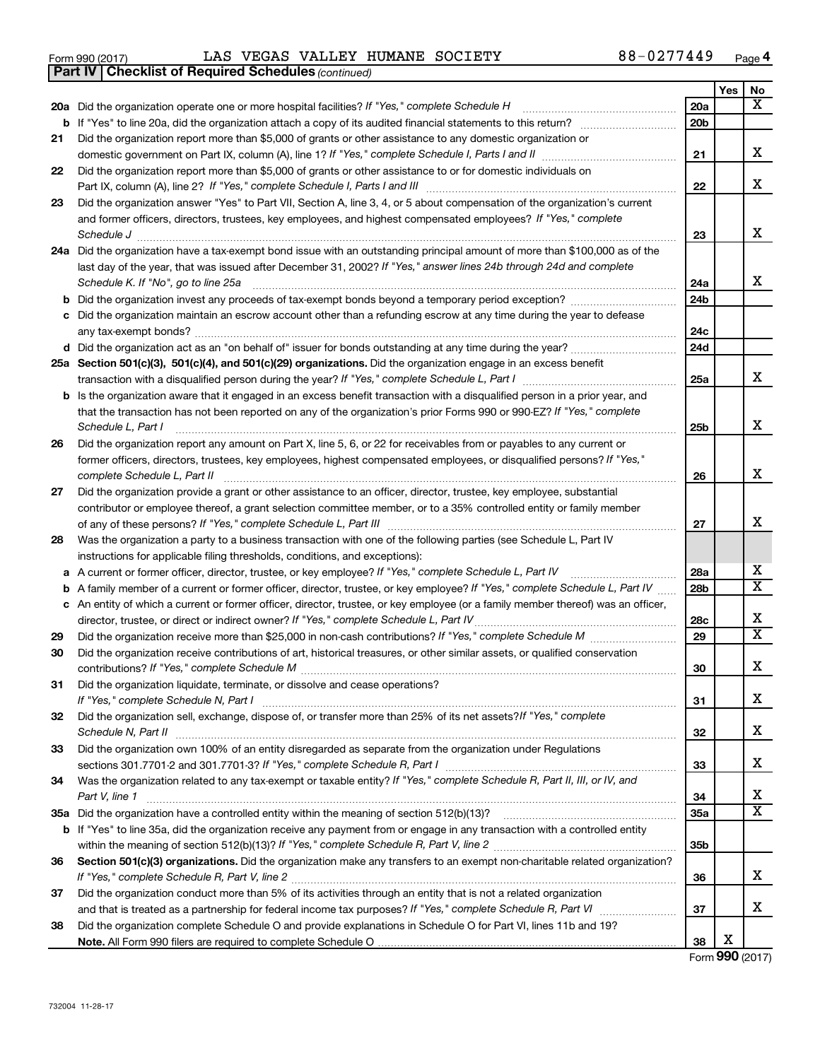|  | Form 990 (2017) |
|--|-----------------|
|  |                 |

*(continued)* **Part IV Checklist of Required Schedules**

Form 990 (2017) LAS VEGAS VALLEY HUMANE SOCIETY 88-0277449 <sub>Page</sub>

|     |                                                                                                                                                        |                 | Yes | No                      |
|-----|--------------------------------------------------------------------------------------------------------------------------------------------------------|-----------------|-----|-------------------------|
|     | 20a Did the organization operate one or more hospital facilities? If "Yes," complete Schedule H                                                        | 20a             |     | x                       |
| b   | If "Yes" to line 20a, did the organization attach a copy of its audited financial statements to this return?                                           | 20 <sub>b</sub> |     |                         |
| 21  | Did the organization report more than \$5,000 of grants or other assistance to any domestic organization or                                            |                 |     |                         |
|     |                                                                                                                                                        | 21              |     | x                       |
| 22  | Did the organization report more than \$5,000 of grants or other assistance to or for domestic individuals on                                          |                 |     |                         |
|     | Part IX, column (A), line 2? If "Yes," complete Schedule I, Parts I and III                                                                            | 22              |     | x                       |
| 23  | Did the organization answer "Yes" to Part VII, Section A, line 3, 4, or 5 about compensation of the organization's current                             |                 |     |                         |
|     | and former officers, directors, trustees, key employees, and highest compensated employees? If "Yes," complete                                         |                 |     |                         |
|     | Schedule J                                                                                                                                             | 23              |     | x                       |
| 24a | Did the organization have a tax-exempt bond issue with an outstanding principal amount of more than \$100,000 as of the                                |                 |     |                         |
|     | last day of the year, that was issued after December 31, 2002? If "Yes," answer lines 24b through 24d and complete                                     |                 |     |                         |
|     | Schedule K. If "No", go to line 25a                                                                                                                    | 24a             |     | x                       |
| b   |                                                                                                                                                        | 24b             |     |                         |
| с   | Did the organization maintain an escrow account other than a refunding escrow at any time during the year to defease                                   |                 |     |                         |
|     |                                                                                                                                                        | 24c             |     |                         |
|     |                                                                                                                                                        | 24d             |     |                         |
|     | 25a Section 501(c)(3), 501(c)(4), and 501(c)(29) organizations. Did the organization engage in an excess benefit                                       |                 |     |                         |
|     |                                                                                                                                                        | 25a             |     | х                       |
| b   | Is the organization aware that it engaged in an excess benefit transaction with a disqualified person in a prior year, and                             |                 |     |                         |
|     | that the transaction has not been reported on any of the organization's prior Forms 990 or 990-EZ? If "Yes," complete                                  |                 |     | X                       |
|     | Schedule L, Part I                                                                                                                                     | 25b             |     |                         |
| 26  | Did the organization report any amount on Part X, line 5, 6, or 22 for receivables from or payables to any current or                                  |                 |     |                         |
|     | former officers, directors, trustees, key employees, highest compensated employees, or disqualified persons? If "Yes,"<br>complete Schedule L, Part II | 26              |     | X                       |
| 27  | Did the organization provide a grant or other assistance to an officer, director, trustee, key employee, substantial                                   |                 |     |                         |
|     | contributor or employee thereof, a grant selection committee member, or to a 35% controlled entity or family member                                    |                 |     |                         |
|     |                                                                                                                                                        | 27              |     | X                       |
| 28  | Was the organization a party to a business transaction with one of the following parties (see Schedule L, Part IV                                      |                 |     |                         |
|     | instructions for applicable filing thresholds, conditions, and exceptions):                                                                            |                 |     |                         |
| а   | A current or former officer, director, trustee, or key employee? If "Yes," complete Schedule L, Part IV                                                | 28a             |     | х                       |
| b   | A family member of a current or former officer, director, trustee, or key employee? If "Yes," complete Schedule L, Part IV                             | 28b             |     | $\overline{\text{X}}$   |
| с   | An entity of which a current or former officer, director, trustee, or key employee (or a family member thereof) was an officer,                        |                 |     |                         |
|     | director, trustee, or direct or indirect owner? If "Yes," complete Schedule L, Part IV.                                                                | 28c             |     | х                       |
| 29  |                                                                                                                                                        | 29              |     | $\overline{\textbf{X}}$ |
| 30  | Did the organization receive contributions of art, historical treasures, or other similar assets, or qualified conservation                            |                 |     |                         |
|     |                                                                                                                                                        | 30              |     | X                       |
| 31  | Did the organization liquidate, terminate, or dissolve and cease operations?                                                                           |                 |     |                         |
|     |                                                                                                                                                        | 31              |     | х                       |
| 32  | Did the organization sell, exchange, dispose of, or transfer more than 25% of its net assets? If "Yes," complete                                       |                 |     |                         |
|     |                                                                                                                                                        | 32              |     | х                       |
| 33  | Did the organization own 100% of an entity disregarded as separate from the organization under Regulations                                             |                 |     |                         |
|     |                                                                                                                                                        | 33              |     | х                       |
| 34  | Was the organization related to any tax-exempt or taxable entity? If "Yes," complete Schedule R, Part II, III, or IV, and                              |                 |     |                         |
|     | Part V, line 1                                                                                                                                         | 34              |     | х                       |
| 35a |                                                                                                                                                        | <b>35a</b>      |     | X                       |
| b   | If "Yes" to line 35a, did the organization receive any payment from or engage in any transaction with a controlled entity                              |                 |     |                         |
|     |                                                                                                                                                        | 35b             |     |                         |
| 36  | Section 501(c)(3) organizations. Did the organization make any transfers to an exempt non-charitable related organization?                             |                 |     |                         |
|     |                                                                                                                                                        | 36              |     | x                       |
| 37  | Did the organization conduct more than 5% of its activities through an entity that is not a related organization                                       |                 |     | x                       |
|     |                                                                                                                                                        | 37              |     |                         |
| 38  | Did the organization complete Schedule O and provide explanations in Schedule O for Part VI, lines 11b and 19?                                         | 38              | х   |                         |
|     |                                                                                                                                                        |                 |     |                         |

Form (2017) **990**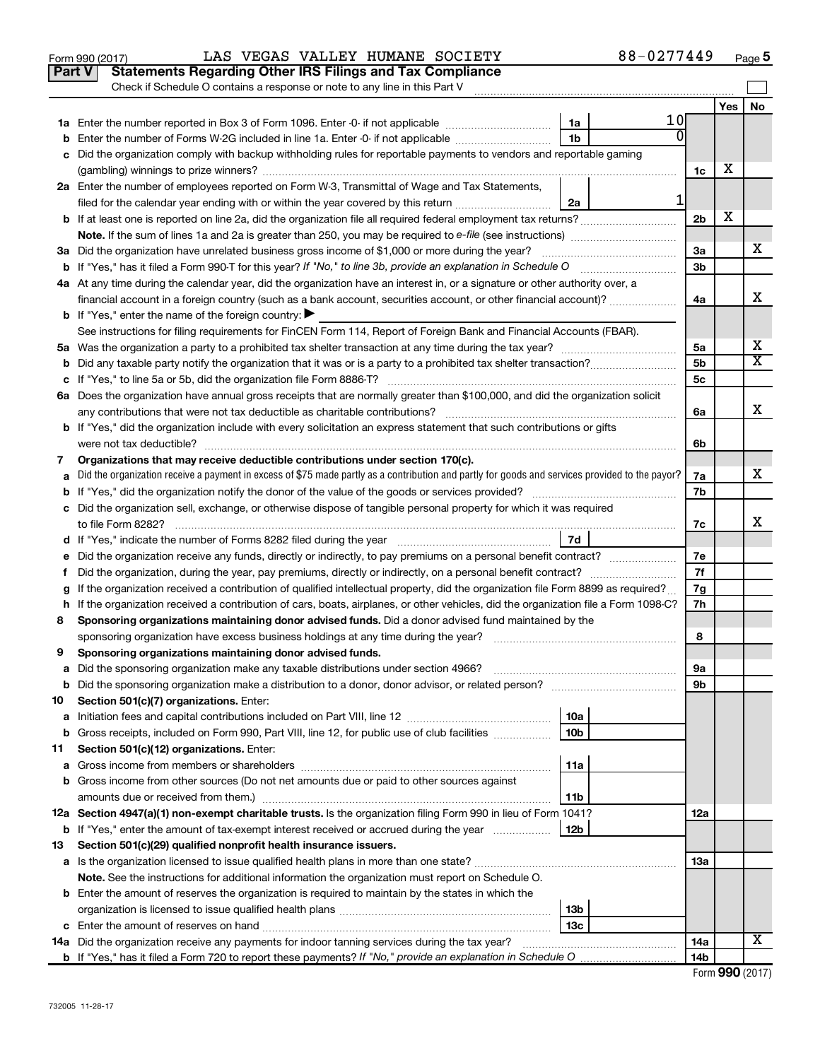|    | Check if Schedule O contains a response or note to any line in this Part V                                                                                                                             |                 |    |                 |     |                         |
|----|--------------------------------------------------------------------------------------------------------------------------------------------------------------------------------------------------------|-----------------|----|-----------------|-----|-------------------------|
|    |                                                                                                                                                                                                        |                 |    |                 |     |                         |
|    |                                                                                                                                                                                                        |                 |    |                 | Yes | No.                     |
|    |                                                                                                                                                                                                        | 1a              | 10 |                 |     |                         |
| b  | Enter the number of Forms W-2G included in line 1a. Enter -0- if not applicable                                                                                                                        | 1 <sub>b</sub>  |    |                 |     |                         |
|    | Did the organization comply with backup withholding rules for reportable payments to vendors and reportable gaming                                                                                     |                 |    |                 |     |                         |
|    |                                                                                                                                                                                                        |                 |    | 1c              | x   |                         |
|    | 2a Enter the number of employees reported on Form W-3, Transmittal of Wage and Tax Statements,                                                                                                         |                 |    |                 |     |                         |
|    | filed for the calendar year ending with or within the year covered by this return                                                                                                                      | 2a              |    |                 |     |                         |
|    |                                                                                                                                                                                                        |                 |    | 2 <sub>b</sub>  | х   |                         |
|    |                                                                                                                                                                                                        |                 |    |                 |     |                         |
|    | 3a Did the organization have unrelated business gross income of \$1,000 or more during the year?                                                                                                       |                 |    | За              |     | x                       |
|    |                                                                                                                                                                                                        |                 |    | 3 <sub>b</sub>  |     |                         |
|    | 4a At any time during the calendar year, did the organization have an interest in, or a signature or other authority over, a                                                                           |                 |    |                 |     | X                       |
|    |                                                                                                                                                                                                        |                 |    | 4a              |     |                         |
|    | <b>b</b> If "Yes," enter the name of the foreign country: $\blacktriangleright$<br>See instructions for filing requirements for FinCEN Form 114, Report of Foreign Bank and Financial Accounts (FBAR). |                 |    |                 |     |                         |
|    |                                                                                                                                                                                                        |                 |    | 5a              |     | х                       |
| b  |                                                                                                                                                                                                        |                 |    | 5b              |     | $\overline{\mathbf{x}}$ |
| c  |                                                                                                                                                                                                        |                 |    | 5c              |     |                         |
|    | 6a Does the organization have annual gross receipts that are normally greater than \$100,000, and did the organization solicit                                                                         |                 |    |                 |     |                         |
|    |                                                                                                                                                                                                        |                 |    | 6a              |     | х                       |
|    | b If "Yes," did the organization include with every solicitation an express statement that such contributions or gifts                                                                                 |                 |    |                 |     |                         |
|    |                                                                                                                                                                                                        |                 |    | 6b              |     |                         |
| 7  | Organizations that may receive deductible contributions under section 170(c).                                                                                                                          |                 |    |                 |     |                         |
| a  | Did the organization receive a payment in excess of \$75 made partly as a contribution and partly for goods and services provided to the payor?                                                        |                 |    | 7a              |     | x                       |
| b  |                                                                                                                                                                                                        |                 |    | 7b              |     |                         |
|    | c Did the organization sell, exchange, or otherwise dispose of tangible personal property for which it was required                                                                                    |                 |    |                 |     |                         |
|    |                                                                                                                                                                                                        |                 |    | 7c              |     | х                       |
|    |                                                                                                                                                                                                        | 7d              |    |                 |     |                         |
| е  |                                                                                                                                                                                                        |                 |    | 7e              |     |                         |
| Ť. | Did the organization, during the year, pay premiums, directly or indirectly, on a personal benefit contract?                                                                                           |                 |    | 7f              |     |                         |
| g  | If the organization received a contribution of qualified intellectual property, did the organization file Form 8899 as required?                                                                       |                 |    | 7g              |     |                         |
| h  | If the organization received a contribution of cars, boats, airplanes, or other vehicles, did the organization file a Form 1098-C?                                                                     |                 |    | 7h              |     |                         |
| 8  | Sponsoring organizations maintaining donor advised funds. Did a donor advised fund maintained by the                                                                                                   |                 |    |                 |     |                         |
|    |                                                                                                                                                                                                        |                 |    | 8               |     |                         |
| 9  | Sponsoring organizations maintaining donor advised funds.                                                                                                                                              |                 |    |                 |     |                         |
|    | <b>b</b> Did the sponsoring organization make a distribution to a donor, donor advisor, or related person?                                                                                             |                 |    | эа<br>9b        |     |                         |
| 10 | Section 501(c)(7) organizations. Enter:                                                                                                                                                                |                 |    |                 |     |                         |
| а  |                                                                                                                                                                                                        | 10a             |    |                 |     |                         |
| b  | Gross receipts, included on Form 990, Part VIII, line 12, for public use of club facilities                                                                                                            | 10 <sub>b</sub> |    |                 |     |                         |
| 11 | Section 501(c)(12) organizations. Enter:                                                                                                                                                               |                 |    |                 |     |                         |
| а  |                                                                                                                                                                                                        | 11a             |    |                 |     |                         |
| b  | Gross income from other sources (Do not net amounts due or paid to other sources against                                                                                                               |                 |    |                 |     |                         |
|    | amounts due or received from them.)                                                                                                                                                                    | 11b             |    |                 |     |                         |
|    | 12a Section 4947(a)(1) non-exempt charitable trusts. Is the organization filing Form 990 in lieu of Form 1041?                                                                                         |                 |    | 12a             |     |                         |
|    | <b>b</b> If "Yes," enter the amount of tax-exempt interest received or accrued during the year                                                                                                         | 12b             |    |                 |     |                         |
| 13 | Section 501(c)(29) qualified nonprofit health insurance issuers.                                                                                                                                       |                 |    |                 |     |                         |
|    | a Is the organization licensed to issue qualified health plans in more than one state?                                                                                                                 |                 |    | 1За             |     |                         |
|    | Note. See the instructions for additional information the organization must report on Schedule O.                                                                                                      |                 |    |                 |     |                         |
|    | <b>b</b> Enter the amount of reserves the organization is required to maintain by the states in which the                                                                                              |                 |    |                 |     |                         |
|    |                                                                                                                                                                                                        | 13b             |    |                 |     |                         |
|    | 14a Did the organization receive any payments for indoor tanning services during the tax year?                                                                                                         | 13 <sub>c</sub> |    | 14a             |     | X                       |
|    | <b>b</b> If "Yes," has it filed a Form 720 to report these payments? If "No," provide an explanation in Schedule O                                                                                     |                 |    | 14 <sub>b</sub> |     |                         |

Form 990 (2017)  $\,$  LAS VEGAS VALLEY HUMANE SOCIETY  $\,$  88-0277449  $\,$   $_{\rm Page}$ 

|  |  | Form 990 (2017) |
|--|--|-----------------|
|--|--|-----------------|

**5**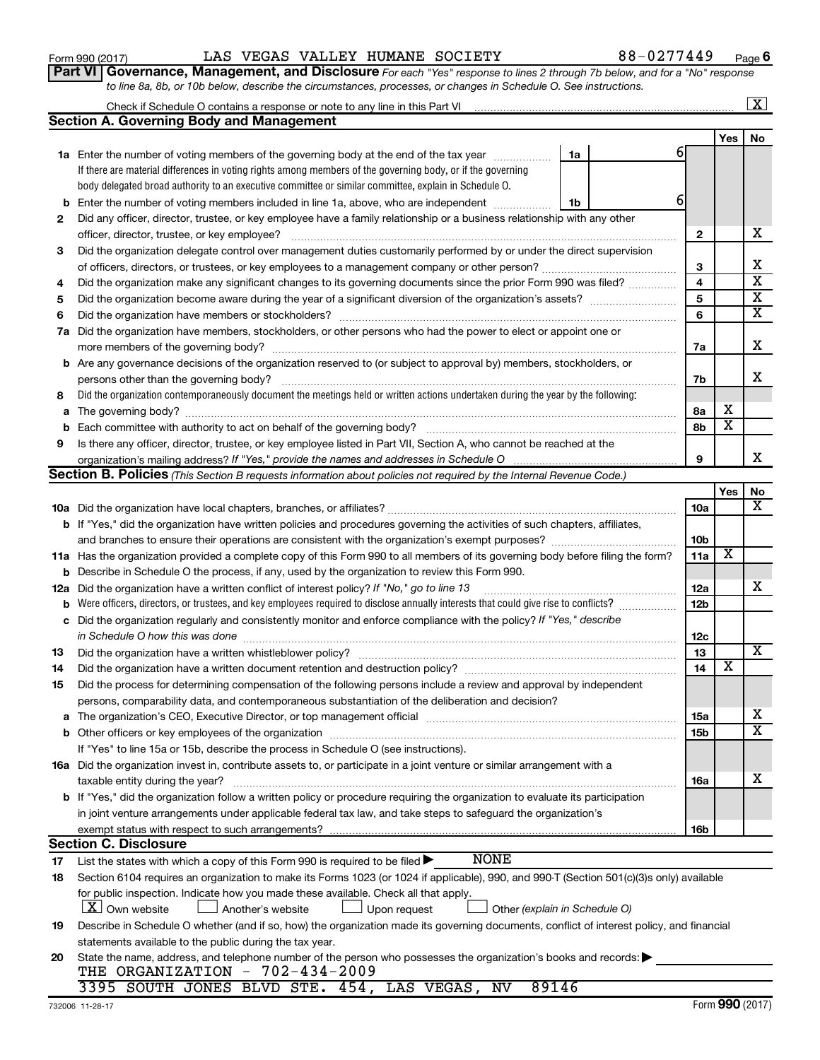|                                                                                                                      |                                                                                                                                                                                                                         |    |  |                        | 1 C.S | IVU                     |  |  |  |
|----------------------------------------------------------------------------------------------------------------------|-------------------------------------------------------------------------------------------------------------------------------------------------------------------------------------------------------------------------|----|--|------------------------|-------|-------------------------|--|--|--|
|                                                                                                                      | <b>1a</b> Enter the number of voting members of the governing body at the end of the tax year                                                                                                                           | 1a |  | 61                     |       |                         |  |  |  |
|                                                                                                                      | If there are material differences in voting rights among members of the governing body, or if the governing                                                                                                             |    |  |                        |       |                         |  |  |  |
|                                                                                                                      | body delegated broad authority to an executive committee or similar committee, explain in Schedule O.                                                                                                                   |    |  |                        |       |                         |  |  |  |
| b                                                                                                                    | Enter the number of voting members included in line 1a, above, who are independent                                                                                                                                      | 1b |  | 6                      |       |                         |  |  |  |
| 2                                                                                                                    | Did any officer, director, trustee, or key employee have a family relationship or a business relationship with any other                                                                                                |    |  |                        |       |                         |  |  |  |
|                                                                                                                      | officer, director, trustee, or key employee?                                                                                                                                                                            |    |  | 2                      |       | x                       |  |  |  |
| 3                                                                                                                    | Did the organization delegate control over management duties customarily performed by or under the direct supervision                                                                                                   |    |  |                        |       |                         |  |  |  |
|                                                                                                                      | of officers, directors, or trustees, or key employees to a management company or other person?                                                                                                                          |    |  | З                      |       | х                       |  |  |  |
| 4                                                                                                                    | Did the organization make any significant changes to its governing documents since the prior Form 990 was filed?                                                                                                        |    |  | 4                      |       | $\overline{\textbf{x}}$ |  |  |  |
| 5                                                                                                                    |                                                                                                                                                                                                                         |    |  | 5                      |       | Х                       |  |  |  |
| 6                                                                                                                    |                                                                                                                                                                                                                         |    |  | 6                      |       | $\overline{\textbf{x}}$ |  |  |  |
| 7a                                                                                                                   | Did the organization have members, stockholders, or other persons who had the power to elect or appoint one or                                                                                                          |    |  |                        |       |                         |  |  |  |
|                                                                                                                      |                                                                                                                                                                                                                         |    |  | 7a                     |       | x                       |  |  |  |
|                                                                                                                      | <b>b</b> Are any governance decisions of the organization reserved to (or subject to approval by) members, stockholders, or                                                                                             |    |  |                        |       |                         |  |  |  |
|                                                                                                                      | persons other than the governing body?                                                                                                                                                                                  |    |  | 7b                     |       | х                       |  |  |  |
| 8                                                                                                                    | Did the organization contemporaneously document the meetings held or written actions undertaken during the year by the following:                                                                                       |    |  |                        |       |                         |  |  |  |
| а                                                                                                                    |                                                                                                                                                                                                                         |    |  | 8а                     | х     |                         |  |  |  |
| b                                                                                                                    |                                                                                                                                                                                                                         |    |  | 8b                     | х     |                         |  |  |  |
| 9                                                                                                                    | Is there any officer, director, trustee, or key employee listed in Part VII, Section A, who cannot be reached at the                                                                                                    |    |  |                        |       |                         |  |  |  |
|                                                                                                                      |                                                                                                                                                                                                                         |    |  | 9                      |       | x                       |  |  |  |
|                                                                                                                      | <b>Section B. Policies</b> (This Section B requests information about policies not required by the Internal Revenue Code.)                                                                                              |    |  |                        |       |                         |  |  |  |
|                                                                                                                      |                                                                                                                                                                                                                         |    |  |                        | Yes   | No                      |  |  |  |
|                                                                                                                      |                                                                                                                                                                                                                         |    |  | 10a                    |       | х                       |  |  |  |
|                                                                                                                      | b If "Yes," did the organization have written policies and procedures governing the activities of such chapters, affiliates,                                                                                            |    |  |                        |       |                         |  |  |  |
|                                                                                                                      |                                                                                                                                                                                                                         |    |  | 10 <sub>b</sub>        |       |                         |  |  |  |
|                                                                                                                      | 11a Has the organization provided a complete copy of this Form 990 to all members of its governing body before filing the form?                                                                                         |    |  | 11a                    | X     |                         |  |  |  |
|                                                                                                                      | Describe in Schedule O the process, if any, used by the organization to review this Form 990.<br>b                                                                                                                      |    |  |                        |       |                         |  |  |  |
| 12a                                                                                                                  | Did the organization have a written conflict of interest policy? If "No," go to line 13                                                                                                                                 |    |  | 12a<br>12 <sub>b</sub> |       | х                       |  |  |  |
|                                                                                                                      | Were officers, directors, or trustees, and key employees required to disclose annually interests that could give rise to conflicts?<br>b                                                                                |    |  |                        |       |                         |  |  |  |
| c Did the organization regularly and consistently monitor and enforce compliance with the policy? If "Yes," describe |                                                                                                                                                                                                                         |    |  |                        |       |                         |  |  |  |
|                                                                                                                      | in Schedule O how this was done                                                                                                                                                                                         |    |  | 12c                    |       | $\overline{\mathbf{X}}$ |  |  |  |
| 13                                                                                                                   |                                                                                                                                                                                                                         |    |  | 13<br>14               | х     |                         |  |  |  |
| 14                                                                                                                   | Did the organization have a written document retention and destruction policy? [11] manufaction manufaction in                                                                                                          |    |  |                        |       |                         |  |  |  |
| 15                                                                                                                   | Did the process for determining compensation of the following persons include a review and approval by independent<br>persons, comparability data, and contemporaneous substantiation of the deliberation and decision? |    |  |                        |       |                         |  |  |  |
| а                                                                                                                    | The organization's CEO, Executive Director, or top management official manufactured content of the organization's CEO, Executive Director, or top management official manufactured content of the organization's        |    |  | 15a                    |       | х                       |  |  |  |
|                                                                                                                      |                                                                                                                                                                                                                         |    |  | 15 <sub>b</sub>        |       | $\overline{\text{x}}$   |  |  |  |
|                                                                                                                      | If "Yes" to line 15a or 15b, describe the process in Schedule O (see instructions).                                                                                                                                     |    |  |                        |       |                         |  |  |  |
|                                                                                                                      | 16a Did the organization invest in, contribute assets to, or participate in a joint venture or similar arrangement with a                                                                                               |    |  |                        |       |                         |  |  |  |
|                                                                                                                      | taxable entity during the year?                                                                                                                                                                                         |    |  | 16a                    |       | х                       |  |  |  |
|                                                                                                                      | b If "Yes," did the organization follow a written policy or procedure requiring the organization to evaluate its participation                                                                                          |    |  |                        |       |                         |  |  |  |
|                                                                                                                      | in joint venture arrangements under applicable federal tax law, and take steps to safeguard the organization's                                                                                                          |    |  |                        |       |                         |  |  |  |
|                                                                                                                      | exempt status with respect to such arrangements?                                                                                                                                                                        |    |  | 16 <sub>b</sub>        |       |                         |  |  |  |
|                                                                                                                      | <b>Section C. Disclosure</b>                                                                                                                                                                                            |    |  |                        |       |                         |  |  |  |
| 17                                                                                                                   | <b>NONE</b><br>List the states with which a copy of this Form 990 is required to be filed $\blacktriangleright$                                                                                                         |    |  |                        |       |                         |  |  |  |
| 18                                                                                                                   | Section 6104 requires an organization to make its Forms 1023 (or 1024 if applicable), 990, and 990-T (Section 501(c)(3)s only) available                                                                                |    |  |                        |       |                         |  |  |  |
|                                                                                                                      | for public inspection. Indicate how you made these available. Check all that apply.                                                                                                                                     |    |  |                        |       |                         |  |  |  |
|                                                                                                                      | X Own website<br>Another's website<br>Upon request<br>Other (explain in Schedule O)                                                                                                                                     |    |  |                        |       |                         |  |  |  |
| 19                                                                                                                   | Describe in Schedule O whether (and if so, how) the organization made its governing documents, conflict of interest policy, and financial                                                                               |    |  |                        |       |                         |  |  |  |
|                                                                                                                      | statements available to the public during the tax year.                                                                                                                                                                 |    |  |                        |       |                         |  |  |  |
| 20                                                                                                                   | State the name, address, and telephone number of the person who possesses the organization's books and records:                                                                                                         |    |  |                        |       |                         |  |  |  |
|                                                                                                                      | THE ORGANIZATION - 702-434-2009                                                                                                                                                                                         |    |  |                        |       |                         |  |  |  |
|                                                                                                                      | 3395 SOUTH JONES BLVD STE. 454,<br>89146<br>LAS VEGAS,<br><b>NV</b>                                                                                                                                                     |    |  |                        |       |                         |  |  |  |
|                                                                                                                      | 732006 11-28-17                                                                                                                                                                                                         |    |  |                        |       | Form 990 (2017)         |  |  |  |

# Form 990 (2017)  $\,$  LAS VEGAS VALLEY HUMANE SOCIETY  $\,$  88-0277449  $\,$   $_{\rm Page}$

Check if Schedule O contains a response or note to any line in this Part VI

**Section A. Governing Body and Management**

**6**

**Yes No**

 $\boxed{\text{X}}$ 

|  | Part VI Governance, Management, and Disclosure For each "Yes" response to lines 2 through 7b below, and for a "No" response |
|--|-----------------------------------------------------------------------------------------------------------------------------|
|  | to line 8a, 8b, or 10b below, describe the circumstances, processes, or changes in Schedule O. See instructions.            |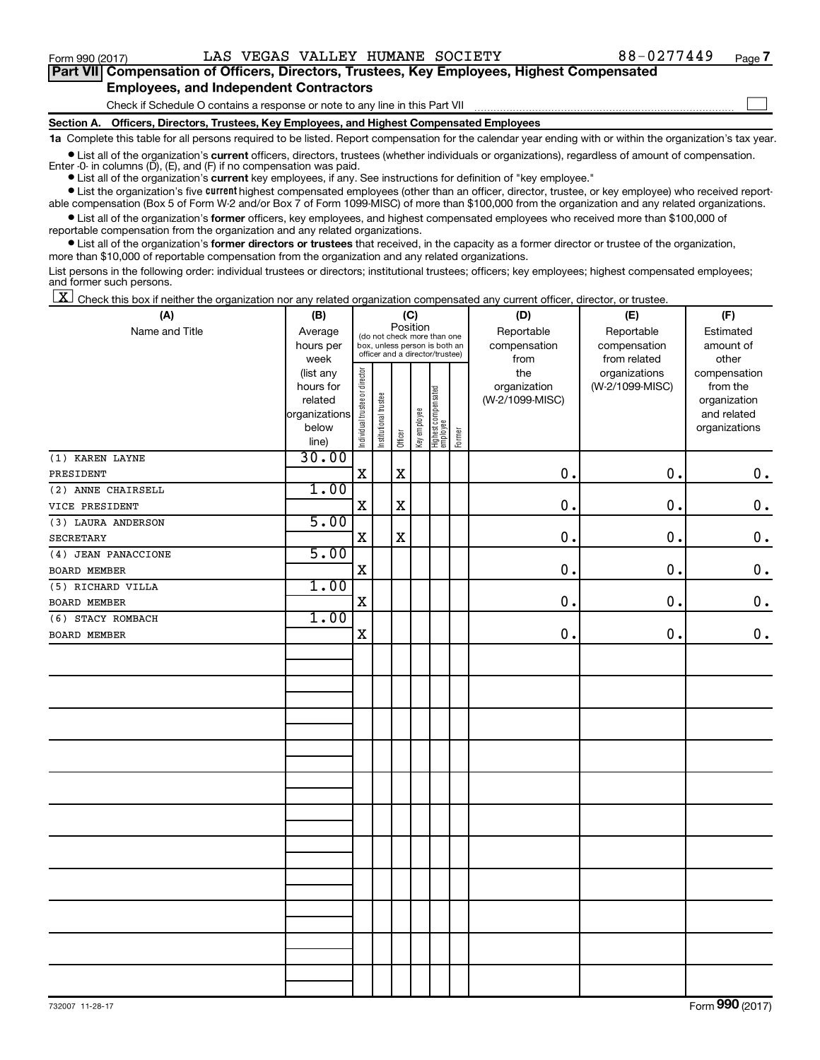$\Box$ 

| Part VII Compensation of Officers, Directors, Trustees, Key Employees, Highest Compensated |
|--------------------------------------------------------------------------------------------|
| <b>Employees, and Independent Contractors</b>                                              |

Check if Schedule O contains a response or note to any line in this Part VII

**Section A. Officers, Directors, Trustees, Key Employees, and Highest Compensated Employees**

**1a**  Complete this table for all persons required to be listed. Report compensation for the calendar year ending with or within the organization's tax year.

**•** List all of the organization's current officers, directors, trustees (whether individuals or organizations), regardless of amount of compensation. Enter  $-0$ - in columns  $(D)$ ,  $(E)$ , and  $(F)$  if no compensation was paid.

**•** List all of the organization's **current** key employees, if any. See instructions for definition of "key employee."

**•** List the organization's five current highest compensated employees (other than an officer, director, trustee, or key employee) who received reportable compensation (Box 5 of Form W-2 and/or Box 7 of Form 1099-MISC) of more than \$100,000 from the organization and any related organizations.

**•** List all of the organization's former officers, key employees, and highest compensated employees who received more than \$100,000 of reportable compensation from the organization and any related organizations.

**•** List all of the organization's former directors or trustees that received, in the capacity as a former director or trustee of the organization, more than \$10,000 of reportable compensation from the organization and any related organizations.

List persons in the following order: individual trustees or directors; institutional trustees; officers; key employees; highest compensated employees; and former such persons.

|  |  |  | $\boxed{\mathbf{X}}$ Check this box if neither the organization nor any related organization compensated any current officer, director, or trustee. |  |  |  |  |  |
|--|--|--|-----------------------------------------------------------------------------------------------------------------------------------------------------|--|--|--|--|--|
|--|--|--|-----------------------------------------------------------------------------------------------------------------------------------------------------|--|--|--|--|--|

| (A)                 | (B)                    | (C)                                     |                       |             |              |                                 |        | (D)             | (E)             | (F)                          |  |  |
|---------------------|------------------------|-----------------------------------------|-----------------------|-------------|--------------|---------------------------------|--------|-----------------|-----------------|------------------------------|--|--|
| Name and Title      | Average                | Position<br>(do not check more than one |                       |             |              |                                 |        | Reportable      | Reportable      | Estimated                    |  |  |
|                     | hours per              |                                         |                       |             |              | box, unless person is both an   |        | compensation    | compensation    | amount of                    |  |  |
|                     | week                   |                                         |                       |             |              | officer and a director/trustee) |        | from            | from related    | other                        |  |  |
|                     | (list any              |                                         |                       |             |              |                                 |        | the             | organizations   | compensation                 |  |  |
|                     | hours for              |                                         |                       |             |              |                                 |        | organization    | (W-2/1099-MISC) | from the                     |  |  |
|                     | related                |                                         |                       |             |              |                                 |        | (W-2/1099-MISC) |                 | organization                 |  |  |
|                     | organizations<br>below |                                         |                       |             |              |                                 |        |                 |                 | and related<br>organizations |  |  |
|                     | line)                  | Individual trustee or director          | Institutional trustee | Officer     | Key employee | Highest compensated<br>employee | Former |                 |                 |                              |  |  |
| (1) KAREN LAYNE     | 30.00                  |                                         |                       |             |              |                                 |        |                 |                 |                              |  |  |
| PRESIDENT           |                        | $\mathbf X$                             |                       | $\mathbf X$ |              |                                 |        | 0.              | 0.              | $\mathbf 0$ .                |  |  |
| (2) ANNE CHAIRSELL  | 1.00                   |                                         |                       |             |              |                                 |        |                 |                 |                              |  |  |
| VICE PRESIDENT      |                        | $\rm X$                                 |                       | $\mathbf X$ |              |                                 |        | $\mathbf 0$ .   | 0.              | $0$ .                        |  |  |
| (3) LAURA ANDERSON  | 5.00                   |                                         |                       |             |              |                                 |        |                 |                 |                              |  |  |
| <b>SECRETARY</b>    |                        | $\mathbf x$                             |                       | $\mathbf X$ |              |                                 |        | $\mathbf 0$ .   | $\mathbf 0$ .   | $\mathbf 0$ .                |  |  |
| (4) JEAN PANACCIONE | 5.00                   |                                         |                       |             |              |                                 |        |                 |                 |                              |  |  |
| <b>BOARD MEMBER</b> |                        | X                                       |                       |             |              |                                 |        | $\mathbf 0$ .   | 0.              | $\mathbf 0$ .                |  |  |
| (5) RICHARD VILLA   | 1.00                   |                                         |                       |             |              |                                 |        |                 |                 |                              |  |  |
| <b>BOARD MEMBER</b> |                        | $\mathbf X$                             |                       |             |              |                                 |        | 0.              | 0.              | $0$ .                        |  |  |
| (6) STACY ROMBACH   | 1.00                   |                                         |                       |             |              |                                 |        |                 |                 |                              |  |  |
| BOARD MEMBER        |                        | X                                       |                       |             |              |                                 |        | 0               | 0.              | $0$ .                        |  |  |
|                     |                        |                                         |                       |             |              |                                 |        |                 |                 |                              |  |  |
|                     |                        |                                         |                       |             |              |                                 |        |                 |                 |                              |  |  |
|                     |                        |                                         |                       |             |              |                                 |        |                 |                 |                              |  |  |
|                     |                        |                                         |                       |             |              |                                 |        |                 |                 |                              |  |  |
|                     |                        |                                         |                       |             |              |                                 |        |                 |                 |                              |  |  |
|                     |                        |                                         |                       |             |              |                                 |        |                 |                 |                              |  |  |
|                     |                        |                                         |                       |             |              |                                 |        |                 |                 |                              |  |  |
|                     |                        |                                         |                       |             |              |                                 |        |                 |                 |                              |  |  |
|                     |                        |                                         |                       |             |              |                                 |        |                 |                 |                              |  |  |
|                     |                        |                                         |                       |             |              |                                 |        |                 |                 |                              |  |  |
|                     |                        |                                         |                       |             |              |                                 |        |                 |                 |                              |  |  |
|                     |                        |                                         |                       |             |              |                                 |        |                 |                 |                              |  |  |
|                     |                        |                                         |                       |             |              |                                 |        |                 |                 |                              |  |  |
|                     |                        |                                         |                       |             |              |                                 |        |                 |                 |                              |  |  |
|                     |                        |                                         |                       |             |              |                                 |        |                 |                 |                              |  |  |
|                     |                        |                                         |                       |             |              |                                 |        |                 |                 |                              |  |  |
|                     |                        |                                         |                       |             |              |                                 |        |                 |                 |                              |  |  |
|                     |                        |                                         |                       |             |              |                                 |        |                 |                 |                              |  |  |
|                     |                        |                                         |                       |             |              |                                 |        |                 |                 |                              |  |  |
|                     |                        |                                         |                       |             |              |                                 |        |                 |                 |                              |  |  |
|                     |                        |                                         |                       |             |              |                                 |        |                 |                 |                              |  |  |
|                     |                        |                                         |                       |             |              |                                 |        |                 |                 |                              |  |  |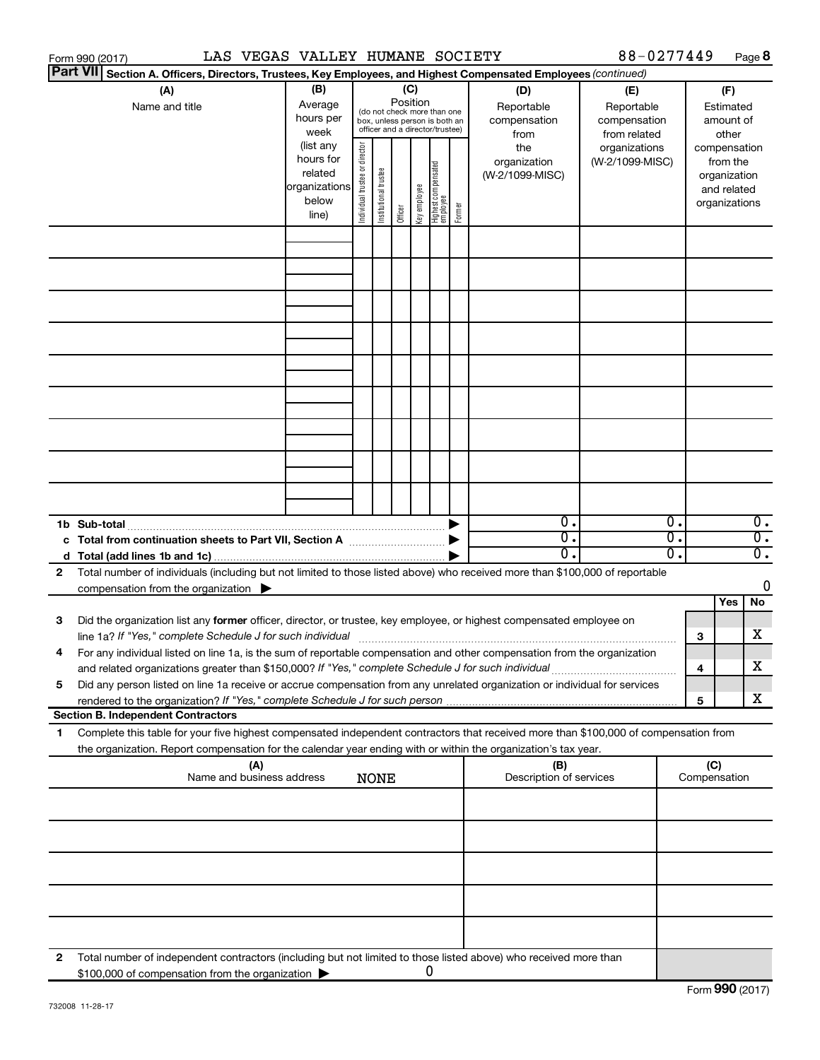|   | LAS VEGAS VALLEY HUMANE SOCIETY<br>Form 990 (2017)                                                                                                                                                                                                                                                                         |                                 |                       |                       |         |              |                                                                                       |                                                                    |                                | 88-0277449 |          |                     | Page 8                                       |
|---|----------------------------------------------------------------------------------------------------------------------------------------------------------------------------------------------------------------------------------------------------------------------------------------------------------------------------|---------------------------------|-----------------------|-----------------------|---------|--------------|---------------------------------------------------------------------------------------|--------------------------------------------------------------------|--------------------------------|------------|----------|---------------------|----------------------------------------------|
|   | <b>Part VII</b><br>Section A. Officers, Directors, Trustees, Key Employees, and Highest Compensated Employees (continued)                                                                                                                                                                                                  |                                 |                       |                       |         |              |                                                                                       |                                                                    |                                |            |          |                     |                                              |
|   | (B)<br>(A)<br>(C)<br>(D)<br>Position<br>Average<br>Name and title<br>Reportable<br>(do not check more than one<br>hours per<br>compensation<br>box, unless person is both an<br>officer and a director/trustee)<br>week<br>from<br>(list any<br>director<br>the<br>hours for<br>organization<br>related<br>(W-2/1099-MISC) |                                 |                       |                       |         |              | (E)<br>Reportable<br>compensation<br>from related<br>organizations<br>(W-2/1099-MISC) | (F)<br>Estimated<br>amount of<br>other<br>compensation<br>from the |                                |            |          |                     |                                              |
|   |                                                                                                                                                                                                                                                                                                                            | organizations<br>below<br>line) | Individual trustee or | Institutional trustee | Officer | Key employee | Highest compensated<br>employee                                                       | Former                                                             |                                |            |          |                     | organization<br>and related<br>organizations |
|   |                                                                                                                                                                                                                                                                                                                            |                                 |                       |                       |         |              |                                                                                       |                                                                    |                                |            |          |                     |                                              |
|   |                                                                                                                                                                                                                                                                                                                            |                                 |                       |                       |         |              |                                                                                       |                                                                    |                                |            |          |                     |                                              |
|   |                                                                                                                                                                                                                                                                                                                            |                                 |                       |                       |         |              |                                                                                       |                                                                    |                                |            |          |                     |                                              |
|   |                                                                                                                                                                                                                                                                                                                            |                                 |                       |                       |         |              |                                                                                       |                                                                    |                                |            |          |                     |                                              |
|   |                                                                                                                                                                                                                                                                                                                            |                                 |                       |                       |         |              |                                                                                       |                                                                    |                                |            |          |                     |                                              |
|   |                                                                                                                                                                                                                                                                                                                            |                                 |                       |                       |         |              |                                                                                       |                                                                    |                                |            |          |                     |                                              |
|   |                                                                                                                                                                                                                                                                                                                            |                                 |                       |                       |         |              |                                                                                       |                                                                    |                                |            |          |                     |                                              |
|   | 1b Sub-total                                                                                                                                                                                                                                                                                                               |                                 |                       |                       |         |              |                                                                                       | ▶                                                                  | $\overline{0}$ .               |            | Ο.       |                     | $\overline{0}$ .                             |
|   | c Total from continuation sheets to Part VII, Section A manuscription of the State of Total Total Co                                                                                                                                                                                                                       |                                 |                       |                       |         |              |                                                                                       |                                                                    | σ.<br>$\overline{0}$ .         |            | σ.<br>σ. |                     | $\overline{0}$ .<br>$\overline{0}$ .         |
| 2 | Total number of individuals (including but not limited to those listed above) who received more than \$100,000 of reportable<br>compensation from the organization $\blacktriangleright$                                                                                                                                   |                                 |                       |                       |         |              |                                                                                       |                                                                    |                                |            |          |                     | 0                                            |
| 3 | Did the organization list any former officer, director, or trustee, key employee, or highest compensated employee on                                                                                                                                                                                                       |                                 |                       |                       |         |              |                                                                                       |                                                                    |                                |            |          | 3                   | Yes<br>No<br>X                               |
|   | For any individual listed on line 1a, is the sum of reportable compensation and other compensation from the organization<br>and related organizations greater than \$150,000? If "Yes," complete Schedule J for such individual                                                                                            |                                 |                       |                       |         |              |                                                                                       |                                                                    |                                |            |          | 4                   | X                                            |
| 5 | Did any person listed on line 1a receive or accrue compensation from any unrelated organization or individual for services                                                                                                                                                                                                 |                                 |                       |                       |         |              |                                                                                       |                                                                    |                                |            |          | 5                   | x                                            |
|   | <b>Section B. Independent Contractors</b>                                                                                                                                                                                                                                                                                  |                                 |                       |                       |         |              |                                                                                       |                                                                    |                                |            |          |                     |                                              |
| 1 | Complete this table for your five highest compensated independent contractors that received more than \$100,000 of compensation from<br>the organization. Report compensation for the calendar year ending with or within the organization's tax year.                                                                     |                                 |                       |                       |         |              |                                                                                       |                                                                    |                                |            |          |                     |                                              |
|   | (A)<br>Name and business address                                                                                                                                                                                                                                                                                           |                                 |                       | <b>NONE</b>           |         |              |                                                                                       |                                                                    | (B)<br>Description of services |            |          | (C)<br>Compensation |                                              |
|   |                                                                                                                                                                                                                                                                                                                            |                                 |                       |                       |         |              |                                                                                       |                                                                    |                                |            |          |                     |                                              |
|   |                                                                                                                                                                                                                                                                                                                            |                                 |                       |                       |         |              |                                                                                       |                                                                    |                                |            |          |                     |                                              |
|   |                                                                                                                                                                                                                                                                                                                            |                                 |                       |                       |         |              |                                                                                       |                                                                    |                                |            |          |                     |                                              |
|   |                                                                                                                                                                                                                                                                                                                            |                                 |                       |                       |         |              |                                                                                       |                                                                    |                                |            |          |                     |                                              |
| 2 | Total number of independent contractors (including but not limited to those listed above) who received more than<br>\$100,000 of compensation from the organization                                                                                                                                                        |                                 |                       |                       |         | 0            |                                                                                       |                                                                    |                                |            |          |                     |                                              |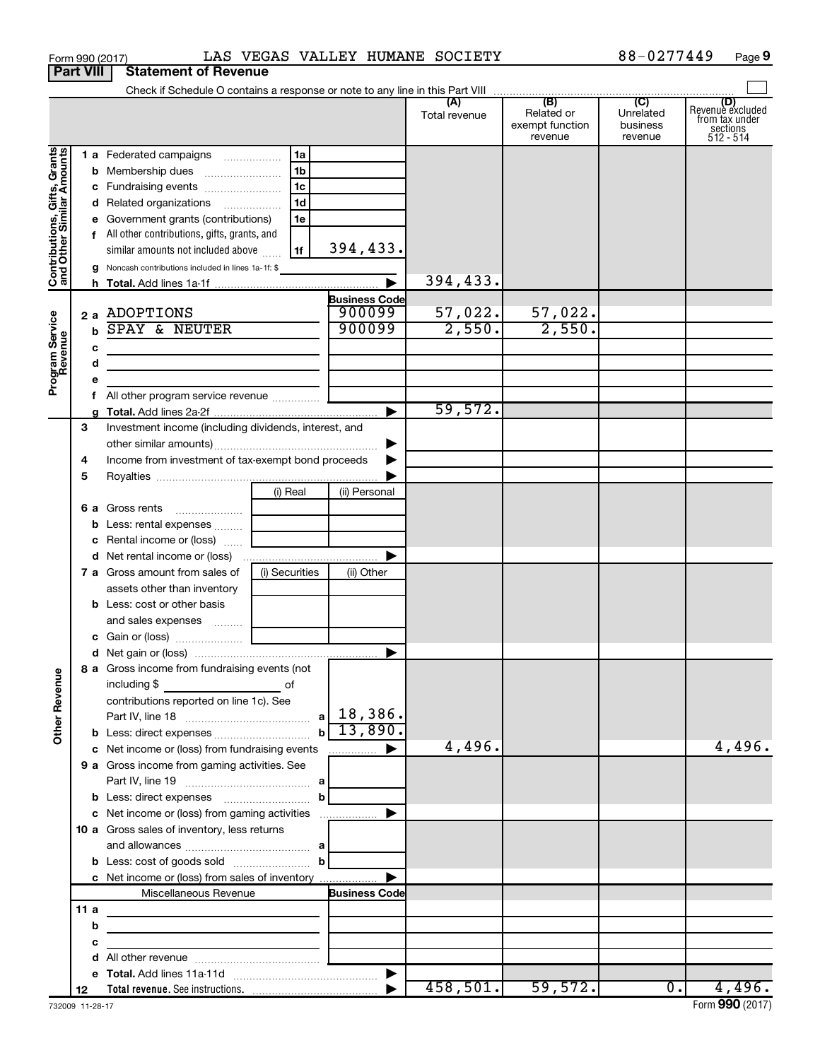|                                                           |                            | Form 990 (2017)                                                                                                                                                                                                                                                                                                                                                                                                                                                                                                                                               |                                                                      |                                                                 | LAS VEGAS VALLEY HUMANE SOCIETY |                                          | 88-0277449                       | Page 9                                                      |
|-----------------------------------------------------------|----------------------------|---------------------------------------------------------------------------------------------------------------------------------------------------------------------------------------------------------------------------------------------------------------------------------------------------------------------------------------------------------------------------------------------------------------------------------------------------------------------------------------------------------------------------------------------------------------|----------------------------------------------------------------------|-----------------------------------------------------------------|---------------------------------|------------------------------------------|----------------------------------|-------------------------------------------------------------|
|                                                           | <b>Part VIII</b>           | <b>Statement of Revenue</b>                                                                                                                                                                                                                                                                                                                                                                                                                                                                                                                                   |                                                                      |                                                                 |                                 |                                          |                                  |                                                             |
|                                                           |                            |                                                                                                                                                                                                                                                                                                                                                                                                                                                                                                                                                               |                                                                      |                                                                 | Total revenue                   | Related or<br>exempt function<br>revenue | Unrelated<br>business<br>revenue | Revenue excluded<br>from tax under<br>sections<br>512 - 514 |
| Contributions, Gifts, Grants<br>and Other Similar Amounts |                            | 1 a Federated campaigns<br>c Fundraising events<br>d Related organizations<br>e Government grants (contributions)<br>f All other contributions, gifts, grants, and<br>similar amounts not included above<br>g Noncash contributions included in lines 1a-1f: \$                                                                                                                                                                                                                                                                                               | 1a<br>1 <sub>b</sub><br>1 <sub>c</sub><br>1 <sub>d</sub><br>1e<br>1f | 394,433.                                                        | 394, 433.                       |                                          |                                  |                                                             |
| Program Service<br>Revenue                                | $\mathbf b$<br>c<br>d<br>e | 2 a ADOPTIONS<br>SPAY & NEUTER                                                                                                                                                                                                                                                                                                                                                                                                                                                                                                                                |                                                                      | <b>Business Code</b><br>900099<br>900099                        | $\frac{57,022.}{2,550.}$        | $\frac{57,022}{2,550}$                   |                                  |                                                             |
|                                                           | 3                          | Investment income (including dividends, interest, and                                                                                                                                                                                                                                                                                                                                                                                                                                                                                                         |                                                                      |                                                                 | 59,572.                         |                                          |                                  |                                                             |
| <b>Other Revenue</b>                                      | 4<br>5                     | Income from investment of tax-exempt bond proceeds<br><b>b</b> Less: rental expenses<br>c Rental income or (loss)<br><b>7 a</b> Gross amount from sales of<br>assets other than inventory<br><b>b</b> Less: cost or other basis<br>and sales expenses  [ ___________<br>8 a Gross income from fundraising events (not<br>including \$<br>contributions reported on line 1c). See<br><b>b</b> Less: direct expenses <b>contained b</b> Less: direct expenses<br>c Net income or (loss) from fundraising events<br>9 a Gross income from gaming activities. See | (i) Real<br>(i) Securities<br>of                                     | ▶<br>(ii) Personal<br>(ii) Other<br>$b\overline{13,890}$ .<br>. | 4,496.                          |                                          |                                  | 4,496.                                                      |
|                                                           |                            | c Net income or (loss) from gaming activities<br>10 a Gross sales of inventory, less returns<br>c Net income or (loss) from sales of inventory<br>Miscellaneous Revenue                                                                                                                                                                                                                                                                                                                                                                                       |                                                                      | <b>Business Code</b>                                            |                                 |                                          |                                  |                                                             |
|                                                           | 11a<br>b<br>c<br>d         |                                                                                                                                                                                                                                                                                                                                                                                                                                                                                                                                                               |                                                                      |                                                                 |                                 |                                          |                                  |                                                             |
|                                                           | 12                         |                                                                                                                                                                                                                                                                                                                                                                                                                                                                                                                                                               |                                                                      |                                                                 |                                 | $458, 501.$ 59,572.                      | 0.1                              | 4,496.                                                      |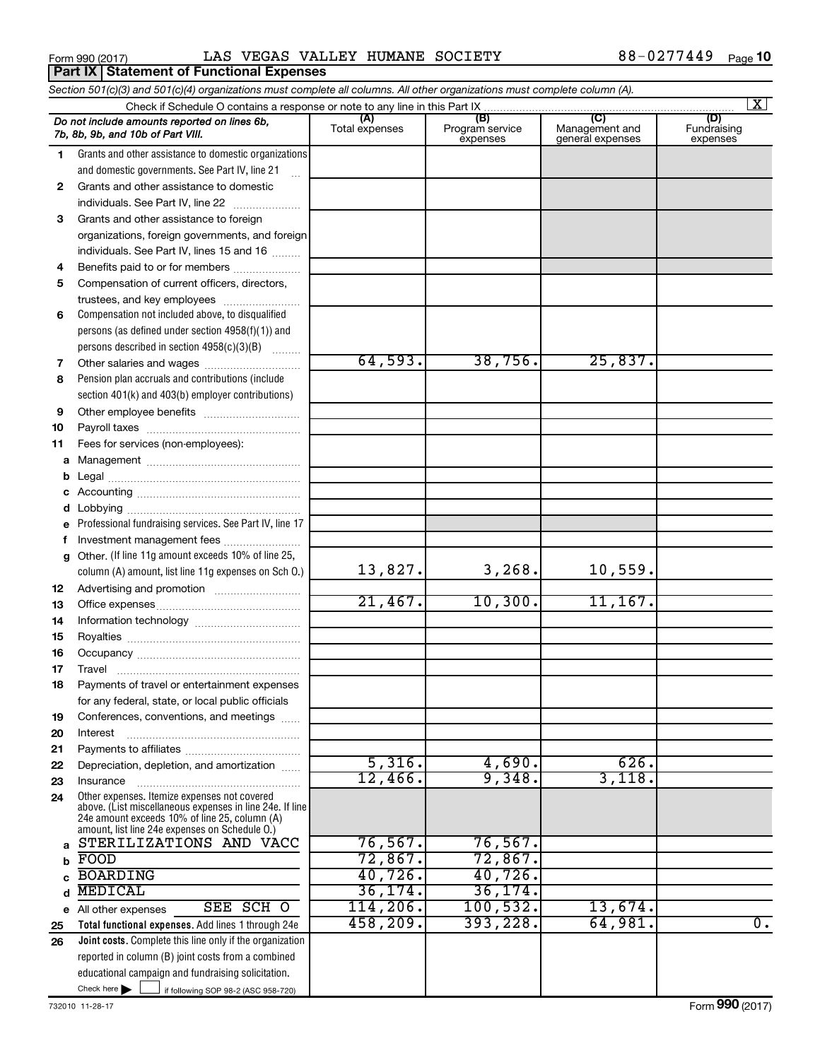Form 990 (2017) LAS VEGAS VALLEY HUMANE SOCIETY 88-0277449 <sub>Page</sub>

|              | Section 501(c)(3) and 501(c)(4) organizations must complete all columns. All other organizations must complete column (A).                                                                                  |                       |                                    |                                    |                                |
|--------------|-------------------------------------------------------------------------------------------------------------------------------------------------------------------------------------------------------------|-----------------------|------------------------------------|------------------------------------|--------------------------------|
|              |                                                                                                                                                                                                             |                       |                                    | (C)                                | $\overline{\mathbf{x}}$        |
|              | Do not include amounts reported on lines 6b,<br>7b, 8b, 9b, and 10b of Part VIII.                                                                                                                           | (A)<br>Total expenses | (B)<br>Program service<br>expenses | Management and<br>general expenses | (D)<br>Fundraising<br>expenses |
| 1.           | Grants and other assistance to domestic organizations                                                                                                                                                       |                       |                                    |                                    |                                |
|              | and domestic governments. See Part IV, line 21                                                                                                                                                              |                       |                                    |                                    |                                |
| $\mathbf{2}$ | Grants and other assistance to domestic                                                                                                                                                                     |                       |                                    |                                    |                                |
|              | individuals. See Part IV, line 22                                                                                                                                                                           |                       |                                    |                                    |                                |
| 3            | Grants and other assistance to foreign                                                                                                                                                                      |                       |                                    |                                    |                                |
|              | organizations, foreign governments, and foreign                                                                                                                                                             |                       |                                    |                                    |                                |
|              | individuals. See Part IV, lines 15 and 16                                                                                                                                                                   |                       |                                    |                                    |                                |
| 4            | Benefits paid to or for members                                                                                                                                                                             |                       |                                    |                                    |                                |
| 5            | Compensation of current officers, directors,                                                                                                                                                                |                       |                                    |                                    |                                |
|              | trustees, and key employees                                                                                                                                                                                 |                       |                                    |                                    |                                |
| 6            | Compensation not included above, to disqualified                                                                                                                                                            |                       |                                    |                                    |                                |
|              | persons (as defined under section 4958(f)(1)) and                                                                                                                                                           |                       |                                    |                                    |                                |
|              | persons described in section 4958(c)(3)(B)                                                                                                                                                                  |                       |                                    |                                    |                                |
| 7            |                                                                                                                                                                                                             | 64,593.               | 38,756.                            | 25,837.                            |                                |
| 8            | Pension plan accruals and contributions (include                                                                                                                                                            |                       |                                    |                                    |                                |
|              | section 401(k) and 403(b) employer contributions)                                                                                                                                                           |                       |                                    |                                    |                                |
| 9            |                                                                                                                                                                                                             |                       |                                    |                                    |                                |
| 10           |                                                                                                                                                                                                             |                       |                                    |                                    |                                |
| 11           | Fees for services (non-employees):                                                                                                                                                                          |                       |                                    |                                    |                                |
|              |                                                                                                                                                                                                             |                       |                                    |                                    |                                |
| b            |                                                                                                                                                                                                             |                       |                                    |                                    |                                |
| с            |                                                                                                                                                                                                             |                       |                                    |                                    |                                |
| d<br>е       | Professional fundraising services. See Part IV, line 17                                                                                                                                                     |                       |                                    |                                    |                                |
| f            | Investment management fees                                                                                                                                                                                  |                       |                                    |                                    |                                |
| g            | Other. (If line 11g amount exceeds 10% of line 25,                                                                                                                                                          |                       |                                    |                                    |                                |
|              | column (A) amount, list line 11g expenses on Sch O.)                                                                                                                                                        | 13,827.               | 3, 268.                            | 10,559.                            |                                |
| 12           |                                                                                                                                                                                                             |                       |                                    |                                    |                                |
| 13           |                                                                                                                                                                                                             | 21,467.               | 10,300.                            | 11, 167.                           |                                |
| 14           |                                                                                                                                                                                                             |                       |                                    |                                    |                                |
| 15           |                                                                                                                                                                                                             |                       |                                    |                                    |                                |
| 16           |                                                                                                                                                                                                             |                       |                                    |                                    |                                |
| 17           |                                                                                                                                                                                                             |                       |                                    |                                    |                                |
| 18           | Payments of travel or entertainment expenses                                                                                                                                                                |                       |                                    |                                    |                                |
|              | for any federal, state, or local public officials                                                                                                                                                           |                       |                                    |                                    |                                |
| 19           | Conferences, conventions, and meetings                                                                                                                                                                      |                       |                                    |                                    |                                |
| 20           | Interest                                                                                                                                                                                                    |                       |                                    |                                    |                                |
| 21           |                                                                                                                                                                                                             |                       |                                    |                                    |                                |
| 22           | Depreciation, depletion, and amortization                                                                                                                                                                   | 5,316.                | 4,690.                             | 626.                               |                                |
| 23           | Insurance                                                                                                                                                                                                   | 12,466.               | 9,348.                             | 3,118.                             |                                |
| 24           | Other expenses. Itemize expenses not covered<br>above. (List miscellaneous expenses in line 24e. If line<br>24e amount exceeds 10% of line 25, column (A)<br>amount, list line 24e expenses on Schedule O.) |                       |                                    |                                    |                                |
| a            | STERILIZATIONS AND VACC                                                                                                                                                                                     | 76,567.               | $76,567$ .                         |                                    |                                |
| b            | FOOD                                                                                                                                                                                                        | 72,867.               | 72,867.                            |                                    |                                |
|              | <b>BOARDING</b>                                                                                                                                                                                             | 40,726.               | $40,726$ .                         |                                    |                                |
| d            | <b>MEDICAL</b>                                                                                                                                                                                              | 36, 174.              | 36, 174.                           |                                    |                                |
|              | SEE SCH O<br>e All other expenses                                                                                                                                                                           | 114,206.              | 100, 532.                          | 13,674.                            |                                |
| 25           | Total functional expenses. Add lines 1 through 24e                                                                                                                                                          | 458,209.              | 393,228.                           | 64,981.                            | 0.                             |
| 26           | Joint costs. Complete this line only if the organization                                                                                                                                                    |                       |                                    |                                    |                                |
|              | reported in column (B) joint costs from a combined                                                                                                                                                          |                       |                                    |                                    |                                |
|              | educational campaign and fundraising solicitation.                                                                                                                                                          |                       |                                    |                                    |                                |
|              | Check here $\blacktriangleright$<br>if following SOP 98-2 (ASC 958-720)                                                                                                                                     |                       |                                    |                                    |                                |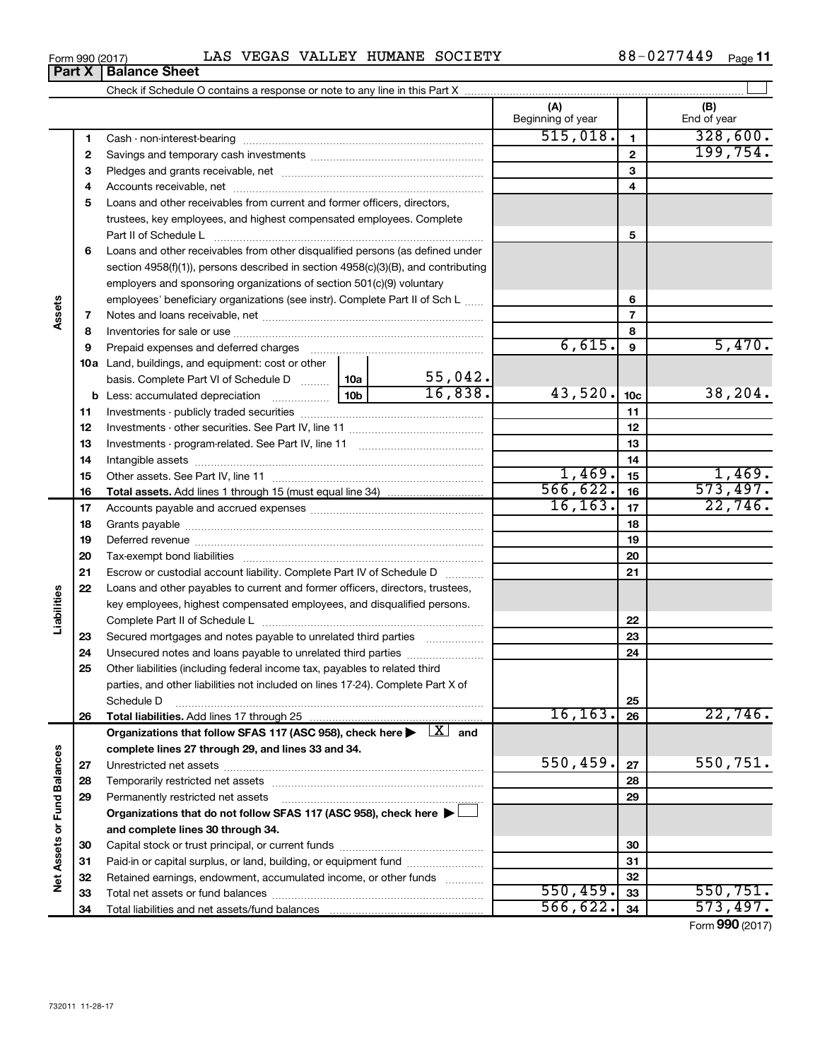|--|

Cash - non-interest-bearing ~~~~~~~~~~~~~~~~~~~~~~~~~

**(A) (B)**

Beginning of year  $\vert$  | End of year

**1**

 $\overline{515,018.}$  1 328,600.

| Form 990 (2017)                                                            |                               | LAS | <b>VEGAS</b> | VALLEY |  | HUMANE SOCIETY | 0277449 | Page |  |
|----------------------------------------------------------------------------|-------------------------------|-----|--------------|--------|--|----------------|---------|------|--|
|                                                                            | <b>Part X   Balance Sheet</b> |     |              |        |  |                |         |      |  |
| Check if Schedule O contains a response or note to any line in this Part X |                               |     |              |        |  |                |         |      |  |

| 2   |                                                                                                                 |     |                          |           | $\mathbf{2}$    | 199,754. |
|-----|-----------------------------------------------------------------------------------------------------------------|-----|--------------------------|-----------|-----------------|----------|
| 3   |                                                                                                                 |     |                          |           | 3               |          |
| 4   |                                                                                                                 |     |                          |           | 4               |          |
| 5   | Loans and other receivables from current and former officers, directors,                                        |     |                          |           |                 |          |
|     | trustees, key employees, and highest compensated employees. Complete                                            |     |                          |           |                 |          |
|     | Part II of Schedule L                                                                                           |     |                          |           | 5               |          |
| 6   | Loans and other receivables from other disqualified persons (as defined under                                   |     |                          |           |                 |          |
|     | section 4958(f)(1)), persons described in section 4958(c)(3)(B), and contributing                               |     |                          |           |                 |          |
|     | employers and sponsoring organizations of section 501(c)(9) voluntary                                           |     |                          |           |                 |          |
|     | employees' beneficiary organizations (see instr). Complete Part II of Sch L                                     |     |                          | 6         |                 |          |
| 7   |                                                                                                                 |     | $\overline{\phantom{a}}$ |           |                 |          |
| 8   |                                                                                                                 |     | 8                        |           |                 |          |
| 9   | Prepaid expenses and deferred charges [11] [11] Prepaid expenses and deferred charges [11] [11] Arman and the P |     | 6,615.                   | 9         | 5,470.          |          |
| 10a | Land, buildings, and equipment: cost or other                                                                   |     |                          |           |                 |          |
|     | basis. Complete Part VI of Schedule D  10a                                                                      |     | 55,042.                  |           |                 |          |
| b   |                                                                                                                 | 10ь | 16,838.                  | 43,520.   | 10 <sub>c</sub> | 38, 204. |
| 11  |                                                                                                                 |     |                          |           | 11              |          |
| 12  |                                                                                                                 |     |                          |           | 12              |          |
| 13  |                                                                                                                 |     |                          |           | 13              |          |
| 14  |                                                                                                                 |     |                          |           | 14              |          |
| 15  |                                                                                                                 |     |                          | 1,469.    | 15              | 1,469.   |
| 16  |                                                                                                                 |     |                          | 566, 622. | 16              | 573,497. |
| 17  |                                                                                                                 |     | 16, 163.                 | 17        | 22,746.         |          |
| 18  |                                                                                                                 |     |                          |           | 18              |          |
| 19  |                                                                                                                 |     |                          |           | 19              |          |
| 20  |                                                                                                                 |     |                          |           | 20              |          |
| 21  | Escrow or custodial account liability. Complete Part IV of Schedule D.                                          |     |                          |           | 21              |          |

|                      | 21 | Escrow or custodial account liability. Complete Part IV of Schedule D                                                        |           | 21 |                 |
|----------------------|----|------------------------------------------------------------------------------------------------------------------------------|-----------|----|-----------------|
|                      | 22 | Loans and other payables to current and former officers, directors, trustees,                                                |           |    |                 |
|                      |    | key employees, highest compensated employees, and disqualified persons.                                                      |           |    |                 |
| Liabilities          |    |                                                                                                                              |           | 22 |                 |
|                      | 23 | Secured mortgages and notes payable to unrelated third parties                                                               |           | 23 |                 |
|                      | 24 | Unsecured notes and loans payable to unrelated third parties                                                                 |           | 24 |                 |
|                      | 25 | Other liabilities (including federal income tax, payables to related third                                                   |           |    |                 |
|                      |    | parties, and other liabilities not included on lines 17-24). Complete Part X of                                              |           |    |                 |
|                      |    | Schedule D                                                                                                                   |           | 25 |                 |
|                      | 26 |                                                                                                                              | 16, 163.  | 26 | 22,746.         |
|                      |    | Organizations that follow SFAS 117 (ASC 958), check here $\blacktriangleright \begin{array}{c} \boxed{X} \\ \end{array}$ and |           |    |                 |
|                      |    | complete lines 27 through 29, and lines 33 and 34.                                                                           |           |    |                 |
|                      | 27 |                                                                                                                              | 550, 459. | 27 | 550,751.        |
| <b>Fund Balances</b> | 28 |                                                                                                                              |           | 28 |                 |
|                      | 29 | Permanently restricted net assets                                                                                            |           | 29 |                 |
|                      |    | Organizations that do not follow SFAS 117 (ASC 958), check here $\blacktriangleright$                                        |           |    |                 |
| ð                    |    | and complete lines 30 through 34.                                                                                            |           |    |                 |
|                      | 30 |                                                                                                                              |           | 30 |                 |
| <b>Net Assets</b>    | 31 | Paid-in or capital surplus, or land, building, or equipment fund                                                             |           | 31 |                 |
|                      | 32 | Retained earnings, endowment, accumulated income, or other funds                                                             |           | 32 |                 |
|                      | 33 |                                                                                                                              | 550, 459. | 33 | 550, 751.       |
|                      | 34 |                                                                                                                              | 566, 622. | 34 | 573,497.        |
|                      |    |                                                                                                                              |           |    | Form 990 (2017) |

**Assets**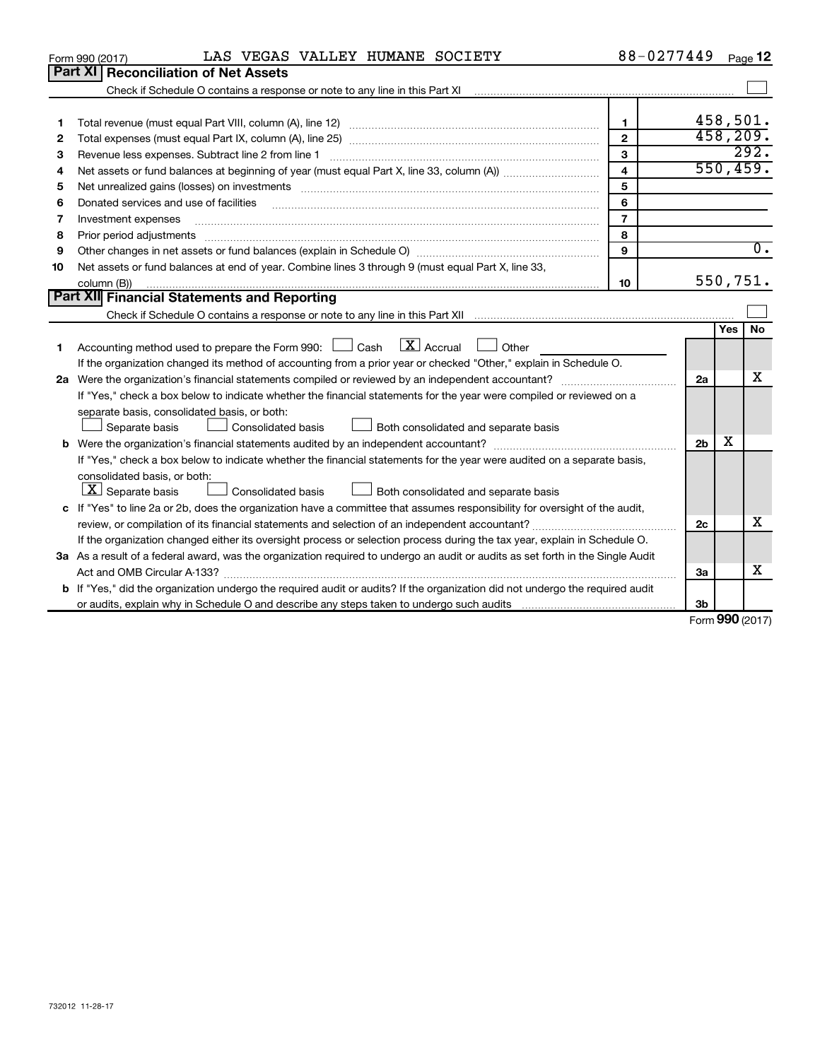|    | LAS VEGAS VALLEY HUMANE SOCIETY<br>Form 990 (2017)                                                                                                                | 88-0277449              |                   |            | Page 12          |
|----|-------------------------------------------------------------------------------------------------------------------------------------------------------------------|-------------------------|-------------------|------------|------------------|
|    | Part XI<br><b>Reconciliation of Net Assets</b>                                                                                                                    |                         |                   |            |                  |
|    | Check if Schedule O contains a response or note to any line in this Part XI [11] [12] Check if Schedule O contains a response or note to any line in this Part XI |                         |                   |            |                  |
|    |                                                                                                                                                                   |                         |                   |            |                  |
| 1  |                                                                                                                                                                   | $\mathbf{1}$            |                   |            | 458,501.         |
| 2  |                                                                                                                                                                   | $\overline{2}$          |                   |            | 458,209.         |
| з  |                                                                                                                                                                   | 3                       |                   |            | 292.             |
| 4  |                                                                                                                                                                   | $\overline{\mathbf{4}}$ |                   |            | 550, 459.        |
| 5  | Net unrealized gains (losses) on investments [111] www.marting.com/marting.com/marting.com/marting.com/marting.                                                   | 5                       |                   |            |                  |
| 6  | Donated services and use of facilities                                                                                                                            | 6                       |                   |            |                  |
| 7  | Investment expenses                                                                                                                                               | $\overline{7}$          |                   |            |                  |
| 8  | Prior period adjustments                                                                                                                                          | 8                       |                   |            |                  |
| 9  | Other changes in net assets or fund balances (explain in Schedule O) manufactured controller than general controller                                              | 9                       |                   |            | $\overline{0}$ . |
| 10 | Net assets or fund balances at end of year. Combine lines 3 through 9 (must equal Part X, line 33,                                                                |                         |                   |            |                  |
|    | column (B))                                                                                                                                                       | 10                      |                   |            | 550,751.         |
|    | Part XII Financial Statements and Reporting                                                                                                                       |                         |                   |            |                  |
|    |                                                                                                                                                                   |                         |                   |            |                  |
|    |                                                                                                                                                                   |                         |                   | <b>Yes</b> | <b>No</b>        |
| 1  | $\lfloor x \rfloor$ Accrual<br>Accounting method used to prepare the Form 990: [130] Cash<br>Other                                                                |                         |                   |            |                  |
|    | If the organization changed its method of accounting from a prior year or checked "Other," explain in Schedule O.                                                 |                         |                   |            |                  |
|    |                                                                                                                                                                   |                         | 2a                |            | x                |
|    | If "Yes," check a box below to indicate whether the financial statements for the year were compiled or reviewed on a                                              |                         |                   |            |                  |
|    | separate basis, consolidated basis, or both:                                                                                                                      |                         |                   |            |                  |
|    | Consolidated basis<br>Both consolidated and separate basis<br>Separate basis                                                                                      |                         |                   |            |                  |
|    |                                                                                                                                                                   |                         | 2 <sub>b</sub>    | х          |                  |
|    | If "Yes," check a box below to indicate whether the financial statements for the year were audited on a separate basis,                                           |                         |                   |            |                  |
|    | consolidated basis, or both:                                                                                                                                      |                         |                   |            |                  |
|    | $\lfloor x \rfloor$ Separate basis<br><b>Consolidated basis</b><br>Both consolidated and separate basis                                                           |                         |                   |            |                  |
|    | c If "Yes" to line 2a or 2b, does the organization have a committee that assumes responsibility for oversight of the audit,                                       |                         |                   |            |                  |
|    | review, or compilation of its financial statements and selection of an independent accountant?                                                                    |                         | 2c                |            | x                |
|    | If the organization changed either its oversight process or selection process during the tax year, explain in Schedule O.                                         |                         |                   |            |                  |
|    | 3a As a result of a federal award, was the organization required to undergo an audit or audits as set forth in the Single Audit                                   |                         |                   |            |                  |
|    |                                                                                                                                                                   |                         | За                |            | х                |
|    | <b>b</b> If "Yes," did the organization undergo the required audit or audits? If the organization did not undergo the required audit                              |                         |                   |            |                  |
|    |                                                                                                                                                                   |                         | 3b                |            |                  |
|    |                                                                                                                                                                   |                         | $Form$ 990 (2017) |            |                  |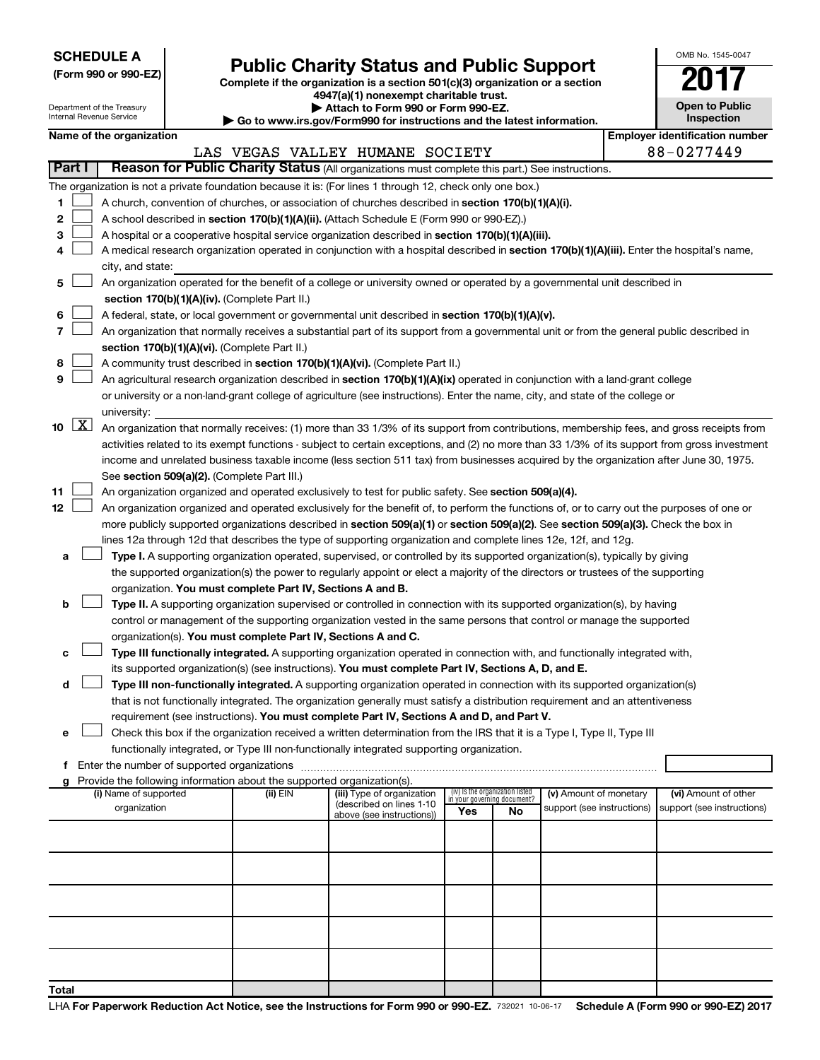| <b>SCHEDULE A</b> |  |
|-------------------|--|
|-------------------|--|

Department of the Treasury Internal Revenue Service

| (Form 990 or 990-EZ) |  |  |
|----------------------|--|--|
|                      |  |  |

# Form 990 or 990-EZ)<br>
Complete if the organization is a section 501(c)(3) organization or a section<br> **Public Charity Status and Public Support**

**4947(a)(1) nonexempt charitable trust. | Attach to Form 990 or Form 990-EZ.** 

**| Go to www.irs.gov/Form990 for instructions and the latest information.**

| OMB No. 1545-0047                     |
|---------------------------------------|
| 2017                                  |
| <b>Open to Public</b><br>Inspection   |
| <b>Employer identification number</b> |

|  |                                               | ◤ પ∪ ៶∪ พพพ.เ |  |
|--|-----------------------------------------------|---------------|--|
|  | Name of the organization                      |               |  |
|  |                                               | LAS VEGAS V   |  |
|  | <b>Part I   Reason for Public Charity Sta</b> |               |  |
|  |                                               |               |  |

|    |                                                                                                    |                                                                                                                                               |          | LAS VEGAS VALLEY HUMANE SOCIETY                       |                                                                |           |                            |  | 88-0277449                 |
|----|----------------------------------------------------------------------------------------------------|-----------------------------------------------------------------------------------------------------------------------------------------------|----------|-------------------------------------------------------|----------------------------------------------------------------|-----------|----------------------------|--|----------------------------|
|    | Part I                                                                                             | Reason for Public Charity Status (All organizations must complete this part.) See instructions.                                               |          |                                                       |                                                                |           |                            |  |                            |
|    |                                                                                                    | The organization is not a private foundation because it is: (For lines 1 through 12, check only one box.)                                     |          |                                                       |                                                                |           |                            |  |                            |
| 1  | A church, convention of churches, or association of churches described in section 170(b)(1)(A)(i). |                                                                                                                                               |          |                                                       |                                                                |           |                            |  |                            |
| 2  |                                                                                                    | A school described in section 170(b)(1)(A)(ii). (Attach Schedule E (Form 990 or 990-EZ).)                                                     |          |                                                       |                                                                |           |                            |  |                            |
| 3  |                                                                                                    | A hospital or a cooperative hospital service organization described in section 170(b)(1)(A)(iii).                                             |          |                                                       |                                                                |           |                            |  |                            |
|    |                                                                                                    | A medical research organization operated in conjunction with a hospital described in section 170(b)(1)(A)(iii). Enter the hospital's name,    |          |                                                       |                                                                |           |                            |  |                            |
|    |                                                                                                    | city, and state:                                                                                                                              |          |                                                       |                                                                |           |                            |  |                            |
| 5  |                                                                                                    | An organization operated for the benefit of a college or university owned or operated by a governmental unit described in                     |          |                                                       |                                                                |           |                            |  |                            |
|    |                                                                                                    | section 170(b)(1)(A)(iv). (Complete Part II.)                                                                                                 |          |                                                       |                                                                |           |                            |  |                            |
| 6  |                                                                                                    | A federal, state, or local government or governmental unit described in section 170(b)(1)(A)(v).                                              |          |                                                       |                                                                |           |                            |  |                            |
|    |                                                                                                    |                                                                                                                                               |          |                                                       |                                                                |           |                            |  |                            |
|    |                                                                                                    | An organization that normally receives a substantial part of its support from a governmental unit or from the general public described in     |          |                                                       |                                                                |           |                            |  |                            |
|    |                                                                                                    | section 170(b)(1)(A)(vi). (Complete Part II.)                                                                                                 |          |                                                       |                                                                |           |                            |  |                            |
| 8  |                                                                                                    | A community trust described in section 170(b)(1)(A)(vi). (Complete Part II.)                                                                  |          |                                                       |                                                                |           |                            |  |                            |
| 9  |                                                                                                    | An agricultural research organization described in section 170(b)(1)(A)(ix) operated in conjunction with a land-grant college                 |          |                                                       |                                                                |           |                            |  |                            |
|    |                                                                                                    | or university or a non-land-grant college of agriculture (see instructions). Enter the name, city, and state of the college or                |          |                                                       |                                                                |           |                            |  |                            |
|    |                                                                                                    | university:                                                                                                                                   |          |                                                       |                                                                |           |                            |  |                            |
| 10 | $\boxed{\mathbf{X}}$                                                                               | An organization that normally receives: (1) more than 33 1/3% of its support from contributions, membership fees, and gross receipts from     |          |                                                       |                                                                |           |                            |  |                            |
|    |                                                                                                    | activities related to its exempt functions - subject to certain exceptions, and (2) no more than 33 1/3% of its support from gross investment |          |                                                       |                                                                |           |                            |  |                            |
|    |                                                                                                    | income and unrelated business taxable income (less section 511 tax) from businesses acquired by the organization after June 30, 1975.         |          |                                                       |                                                                |           |                            |  |                            |
|    |                                                                                                    | See section 509(a)(2). (Complete Part III.)                                                                                                   |          |                                                       |                                                                |           |                            |  |                            |
| 11 |                                                                                                    | An organization organized and operated exclusively to test for public safety. See section 509(a)(4).                                          |          |                                                       |                                                                |           |                            |  |                            |
| 12 |                                                                                                    | An organization organized and operated exclusively for the benefit of, to perform the functions of, or to carry out the purposes of one or    |          |                                                       |                                                                |           |                            |  |                            |
|    |                                                                                                    | more publicly supported organizations described in section 509(a)(1) or section 509(a)(2). See section 509(a)(3). Check the box in            |          |                                                       |                                                                |           |                            |  |                            |
|    |                                                                                                    | lines 12a through 12d that describes the type of supporting organization and complete lines 12e, 12f, and 12g.                                |          |                                                       |                                                                |           |                            |  |                            |
| а  |                                                                                                    | Type I. A supporting organization operated, supervised, or controlled by its supported organization(s), typically by giving                   |          |                                                       |                                                                |           |                            |  |                            |
|    |                                                                                                    | the supported organization(s) the power to regularly appoint or elect a majority of the directors or trustees of the supporting               |          |                                                       |                                                                |           |                            |  |                            |
|    |                                                                                                    | organization. You must complete Part IV, Sections A and B.                                                                                    |          |                                                       |                                                                |           |                            |  |                            |
| b  |                                                                                                    | Type II. A supporting organization supervised or controlled in connection with its supported organization(s), by having                       |          |                                                       |                                                                |           |                            |  |                            |
|    |                                                                                                    | control or management of the supporting organization vested in the same persons that control or manage the supported                          |          |                                                       |                                                                |           |                            |  |                            |
|    |                                                                                                    | organization(s). You must complete Part IV, Sections A and C.                                                                                 |          |                                                       |                                                                |           |                            |  |                            |
| с  |                                                                                                    | Type III functionally integrated. A supporting organization operated in connection with, and functionally integrated with,                    |          |                                                       |                                                                |           |                            |  |                            |
|    |                                                                                                    | its supported organization(s) (see instructions). You must complete Part IV, Sections A, D, and E.                                            |          |                                                       |                                                                |           |                            |  |                            |
| d  |                                                                                                    | Type III non-functionally integrated. A supporting organization operated in connection with its supported organization(s)                     |          |                                                       |                                                                |           |                            |  |                            |
|    |                                                                                                    | that is not functionally integrated. The organization generally must satisfy a distribution requirement and an attentiveness                  |          |                                                       |                                                                |           |                            |  |                            |
|    |                                                                                                    | requirement (see instructions). You must complete Part IV, Sections A and D, and Part V.                                                      |          |                                                       |                                                                |           |                            |  |                            |
| е  |                                                                                                    | Check this box if the organization received a written determination from the IRS that it is a Type I, Type II, Type III                       |          |                                                       |                                                                |           |                            |  |                            |
|    |                                                                                                    | functionally integrated, or Type III non-functionally integrated supporting organization.                                                     |          |                                                       |                                                                |           |                            |  |                            |
|    |                                                                                                    | f Enter the number of supported organizations                                                                                                 |          |                                                       |                                                                |           |                            |  |                            |
|    |                                                                                                    | Provide the following information about the supported organization(s).                                                                        |          |                                                       |                                                                |           |                            |  |                            |
|    |                                                                                                    | (i) Name of supported                                                                                                                         | (ii) EIN | (iii) Type of organization                            | (iv) Is the organization listed<br>in your governing document? |           | (v) Amount of monetary     |  | (vi) Amount of other       |
|    |                                                                                                    | organization                                                                                                                                  |          | (described on lines 1-10<br>above (see instructions)) | Yes                                                            | <b>No</b> | support (see instructions) |  | support (see instructions) |
|    |                                                                                                    |                                                                                                                                               |          |                                                       |                                                                |           |                            |  |                            |
|    |                                                                                                    |                                                                                                                                               |          |                                                       |                                                                |           |                            |  |                            |
|    |                                                                                                    |                                                                                                                                               |          |                                                       |                                                                |           |                            |  |                            |
|    |                                                                                                    |                                                                                                                                               |          |                                                       |                                                                |           |                            |  |                            |
|    |                                                                                                    |                                                                                                                                               |          |                                                       |                                                                |           |                            |  |                            |
|    |                                                                                                    |                                                                                                                                               |          |                                                       |                                                                |           |                            |  |                            |
|    |                                                                                                    |                                                                                                                                               |          |                                                       |                                                                |           |                            |  |                            |
|    |                                                                                                    |                                                                                                                                               |          |                                                       |                                                                |           |                            |  |                            |
|    |                                                                                                    |                                                                                                                                               |          |                                                       |                                                                |           |                            |  |                            |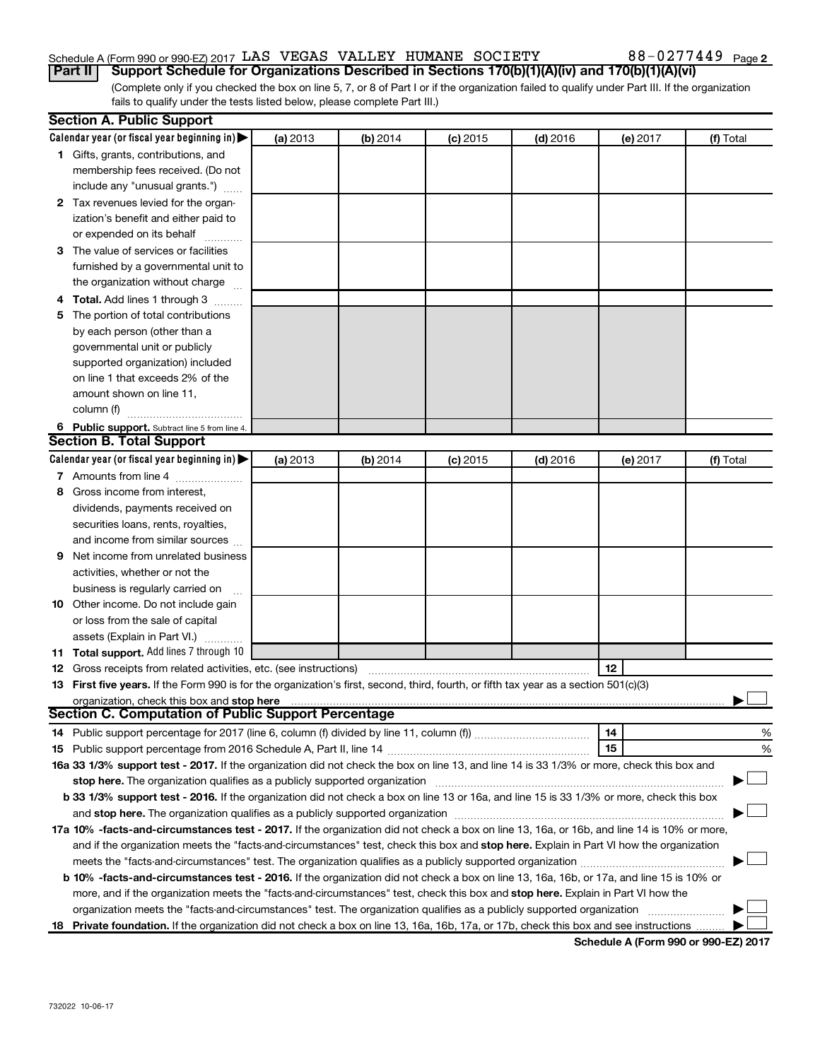# Schedule A (Form 990 or 990-EZ) 2017  $\rm{LAS}$  VEGAS VALLEY HUMANE SOCIETY  $\rm{S}$  88 - 0277449  $\rm{Page}$

(Complete only if you checked the box on line 5, 7, or 8 of Part I or if the organization failed to qualify under Part III. If the organization fails to qualify under the tests listed below, please complete Part III.) **Part II** | Support Schedule for Organizations Described in Sections 170(b)(1)(A)(iv) and 170(b)(1)(A)(vi)

| <b>Section A. Public Support</b>                                                                                                                                                                                               |          |          |            |            |          |           |
|--------------------------------------------------------------------------------------------------------------------------------------------------------------------------------------------------------------------------------|----------|----------|------------|------------|----------|-----------|
| Calendar year (or fiscal year beginning in) $\blacktriangleright$                                                                                                                                                              | (a) 2013 | (b) 2014 | $(c)$ 2015 | $(d)$ 2016 | (e) 2017 | (f) Total |
| 1 Gifts, grants, contributions, and                                                                                                                                                                                            |          |          |            |            |          |           |
| membership fees received. (Do not                                                                                                                                                                                              |          |          |            |            |          |           |
| include any "unusual grants.")                                                                                                                                                                                                 |          |          |            |            |          |           |
| 2 Tax revenues levied for the organ-                                                                                                                                                                                           |          |          |            |            |          |           |
| ization's benefit and either paid to                                                                                                                                                                                           |          |          |            |            |          |           |
| or expended on its behalf                                                                                                                                                                                                      |          |          |            |            |          |           |
| 3 The value of services or facilities                                                                                                                                                                                          |          |          |            |            |          |           |
| furnished by a governmental unit to                                                                                                                                                                                            |          |          |            |            |          |           |
| the organization without charge                                                                                                                                                                                                |          |          |            |            |          |           |
| 4 Total. Add lines 1 through 3                                                                                                                                                                                                 |          |          |            |            |          |           |
| 5 The portion of total contributions                                                                                                                                                                                           |          |          |            |            |          |           |
| by each person (other than a                                                                                                                                                                                                   |          |          |            |            |          |           |
| governmental unit or publicly                                                                                                                                                                                                  |          |          |            |            |          |           |
| supported organization) included                                                                                                                                                                                               |          |          |            |            |          |           |
| on line 1 that exceeds 2% of the                                                                                                                                                                                               |          |          |            |            |          |           |
| amount shown on line 11,                                                                                                                                                                                                       |          |          |            |            |          |           |
| column (f)                                                                                                                                                                                                                     |          |          |            |            |          |           |
| 6 Public support. Subtract line 5 from line 4.                                                                                                                                                                                 |          |          |            |            |          |           |
| <b>Section B. Total Support</b>                                                                                                                                                                                                |          |          |            |            |          |           |
| Calendar year (or fiscal year beginning in)                                                                                                                                                                                    | (a) 2013 | (b) 2014 | $(c)$ 2015 | $(d)$ 2016 | (e) 2017 | (f) Total |
| 7 Amounts from line 4                                                                                                                                                                                                          |          |          |            |            |          |           |
| 8 Gross income from interest,                                                                                                                                                                                                  |          |          |            |            |          |           |
| dividends, payments received on                                                                                                                                                                                                |          |          |            |            |          |           |
| securities loans, rents, royalties,                                                                                                                                                                                            |          |          |            |            |          |           |
| and income from similar sources                                                                                                                                                                                                |          |          |            |            |          |           |
| <b>9</b> Net income from unrelated business                                                                                                                                                                                    |          |          |            |            |          |           |
| activities, whether or not the                                                                                                                                                                                                 |          |          |            |            |          |           |
| business is regularly carried on                                                                                                                                                                                               |          |          |            |            |          |           |
| 10 Other income. Do not include gain                                                                                                                                                                                           |          |          |            |            |          |           |
| or loss from the sale of capital                                                                                                                                                                                               |          |          |            |            |          |           |
| assets (Explain in Part VI.)                                                                                                                                                                                                   |          |          |            |            |          |           |
| <b>11 Total support.</b> Add lines 7 through 10                                                                                                                                                                                |          |          |            |            |          |           |
| <b>12</b> Gross receipts from related activities, etc. (see instructions)                                                                                                                                                      |          |          |            |            | 12       |           |
| 13 First five years. If the Form 990 is for the organization's first, second, third, fourth, or fifth tax year as a section 501(c)(3)                                                                                          |          |          |            |            |          |           |
| organization, check this box and stop here                                                                                                                                                                                     |          |          |            |            |          |           |
| Section C. Computation of Public Support Percentage                                                                                                                                                                            |          |          |            |            |          |           |
|                                                                                                                                                                                                                                |          |          |            |            | 14       | %         |
|                                                                                                                                                                                                                                |          |          |            |            | 15       | %         |
| 16a 33 1/3% support test - 2017. If the organization did not check the box on line 13, and line 14 is 33 1/3% or more, check this box and                                                                                      |          |          |            |            |          |           |
| stop here. The organization qualifies as a publicly supported organization manufactured content and the support of the state of the state of the state of the state of the state of the state of the state of the state of the |          |          |            |            |          |           |
| b 33 1/3% support test - 2016. If the organization did not check a box on line 13 or 16a, and line 15 is 33 1/3% or more, check this box                                                                                       |          |          |            |            |          |           |
|                                                                                                                                                                                                                                |          |          |            |            |          |           |
| 17a 10% -facts-and-circumstances test - 2017. If the organization did not check a box on line 13, 16a, or 16b, and line 14 is 10% or more,                                                                                     |          |          |            |            |          |           |
| and if the organization meets the "facts-and-circumstances" test, check this box and stop here. Explain in Part VI how the organization                                                                                        |          |          |            |            |          |           |
|                                                                                                                                                                                                                                |          |          |            |            |          |           |
| <b>b 10%</b> -facts-and-circumstances test - 2016. If the organization did not check a box on line 13, 16a, 16b, or 17a, and line 15 is 10% or                                                                                 |          |          |            |            |          |           |
| more, and if the organization meets the "facts-and-circumstances" test, check this box and stop here. Explain in Part VI how the                                                                                               |          |          |            |            |          |           |
| organization meets the "facts-and-circumstances" test. The organization qualifies as a publicly supported organization                                                                                                         |          |          |            |            |          |           |
| 18 Private foundation. If the organization did not check a box on line 13, 16a, 16b, 17a, or 17b, check this box and see instructions                                                                                          |          |          |            |            |          |           |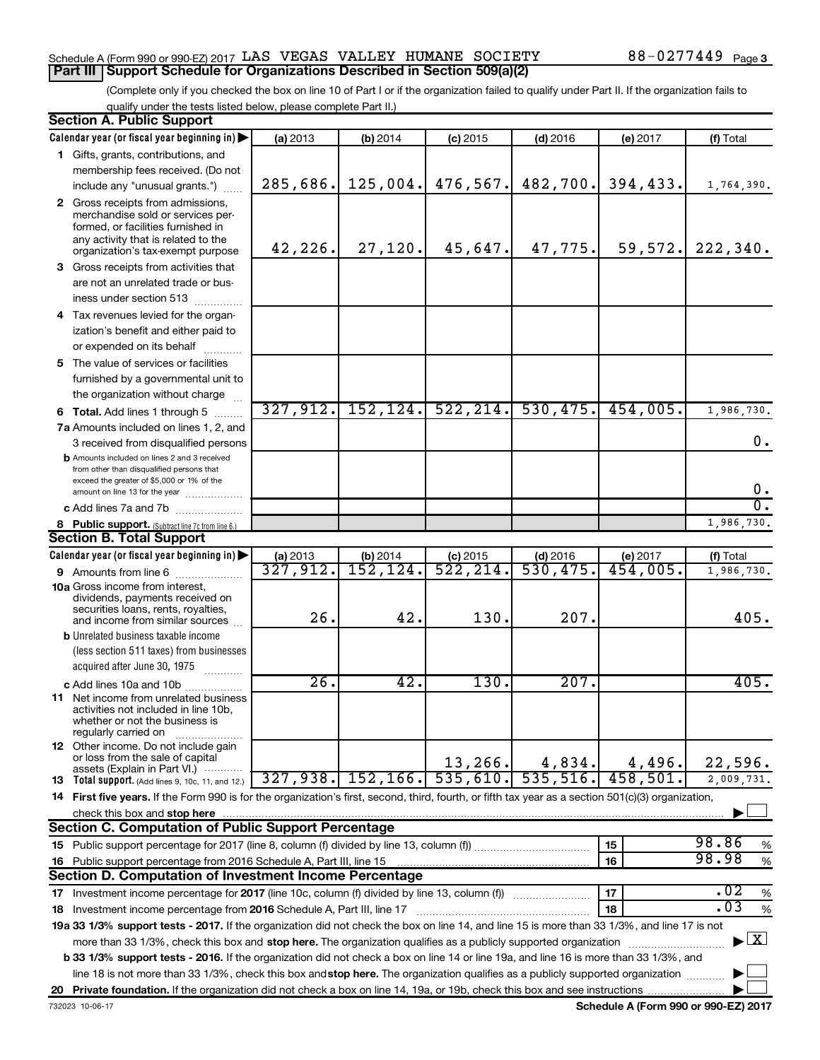## Schedule A (Form 990 or 990-EZ) 2017  $\rm{LAS}$  VEGAS VALLEY HUMANE SOCIETY  $\rm{S}$  88 - 0277449  $\rm{Page}$ **Part III | Support Schedule for Organizations Described in Section 509(a)(2)**

(Complete only if you checked the box on line 10 of Part I or if the organization failed to qualify under Part II. If the organization fails to qualify under the tests listed below, please complete Part II.)

| <b>Section A. Public Support</b>                                                                                                                                                         |          |           |            |            |          |                                          |
|------------------------------------------------------------------------------------------------------------------------------------------------------------------------------------------|----------|-----------|------------|------------|----------|------------------------------------------|
| Calendar year (or fiscal year beginning in)                                                                                                                                              | (a) 2013 | (b) 2014  | $(c)$ 2015 | $(d)$ 2016 | (e) 2017 | (f) Total                                |
| 1 Gifts, grants, contributions, and                                                                                                                                                      |          |           |            |            |          |                                          |
| membership fees received. (Do not                                                                                                                                                        |          |           |            |            |          |                                          |
| include any "unusual grants.")                                                                                                                                                           | 285,686. | 125,004.  | 476, 567.  | 482,700.   | 394,433. | 1,764,390.                               |
| 2 Gross receipts from admissions,<br>merchandise sold or services per-<br>formed, or facilities furnished in<br>any activity that is related to the<br>organization's tax-exempt purpose | 42,226.  | 27,120.   | 45,647.    | 47,775.    | 59,572.  | 222,340.                                 |
| 3 Gross receipts from activities that                                                                                                                                                    |          |           |            |            |          |                                          |
| are not an unrelated trade or bus-<br>iness under section 513                                                                                                                            |          |           |            |            |          |                                          |
| 4 Tax revenues levied for the organ-                                                                                                                                                     |          |           |            |            |          |                                          |
| ization's benefit and either paid to                                                                                                                                                     |          |           |            |            |          |                                          |
| or expended on its behalf                                                                                                                                                                |          |           |            |            |          |                                          |
| 5 The value of services or facilities<br>furnished by a governmental unit to<br>the organization without charge                                                                          |          |           |            |            |          |                                          |
| <b>6 Total.</b> Add lines 1 through 5                                                                                                                                                    | 327,912. | 152, 124. | 522, 214.  | 530, 475.  | 454,005. | 1,986,730.                               |
| 7a Amounts included on lines 1, 2, and                                                                                                                                                   |          |           |            |            |          |                                          |
| 3 received from disqualified persons                                                                                                                                                     |          |           |            |            |          | 0.                                       |
| <b>b</b> Amounts included on lines 2 and 3 received<br>from other than disqualified persons that<br>exceed the greater of \$5,000 or 1% of the<br>amount on line 13 for the year         |          |           |            |            |          | 0.                                       |
| c Add lines 7a and 7b                                                                                                                                                                    |          |           |            |            |          | σ.                                       |
| 8 Public support. (Subtract line 7c from line 6.)                                                                                                                                        |          |           |            |            |          | 1,986,730.                               |
| <b>Section B. Total Support</b>                                                                                                                                                          |          |           |            |            |          |                                          |
| Calendar year (or fiscal year beginning in)                                                                                                                                              | (a) 2013 | (b) 2014  | $(c)$ 2015 | $(d)$ 2016 | (e) 2017 | (f) Total                                |
| 9 Amounts from line 6                                                                                                                                                                    | 327,912. | 152, 124. | 522, 214.  | 530,475.   | 454,005. | 1,986,730.                               |
| <b>10a</b> Gross income from interest,<br>dividends, payments received on<br>securities loans, rents, royalties,<br>and income from similar sources                                      | 26.      | 42.       | 130.       | 207.       |          | 405.                                     |
| <b>b</b> Unrelated business taxable income                                                                                                                                               |          |           |            |            |          |                                          |
| (less section 511 taxes) from businesses                                                                                                                                                 |          |           |            |            |          |                                          |
| acquired after June 30, 1975                                                                                                                                                             |          |           |            |            |          |                                          |
| c Add lines 10a and 10b                                                                                                                                                                  | 26.      | 42.       | 130.       | 207.       |          | 405.                                     |
| <b>11</b> Net income from unrelated business<br>activities not included in line 10b,<br>whether or not the business is<br>regularly carried on                                           |          |           |            |            |          |                                          |
| 12 Other income. Do not include gain<br>or loss from the sale of capital                                                                                                                 |          |           | 13, 266.   | 4,834.     | 4,496.   | 22,596.                                  |
| assets (Explain in Part VI.) $\cdots$<br><b>13</b> Total support. (Add lines 9, 10c, 11, and 12.)                                                                                        | 327,938. | 152, 166. | 535,610.   | 535,516.   | 458,501. | 2,009,731.                               |
| 14 First five years. If the Form 990 is for the organization's first, second, third, fourth, or fifth tax year as a section 501(c)(3) organization,                                      |          |           |            |            |          |                                          |
| check this box and stop here                                                                                                                                                             |          |           |            |            |          |                                          |
| <b>Section C. Computation of Public Support Percentage</b>                                                                                                                               |          |           |            |            |          |                                          |
|                                                                                                                                                                                          |          |           |            |            | 15       | 98.86<br>%                               |
| 16 Public support percentage from 2016 Schedule A, Part III, line 15                                                                                                                     |          |           |            |            | 16       | 98.98<br>$\%$                            |
| <b>Section D. Computation of Investment Income Percentage</b>                                                                                                                            |          |           |            |            |          |                                          |
| 17 Investment income percentage for 2017 (line 10c, column (f) divided by line 13, column (f))                                                                                           |          |           |            |            | 17       | .02<br>$\%$                              |
| 18 Investment income percentage from 2016 Schedule A, Part III, line 17                                                                                                                  |          |           |            |            | 18       | .03<br>%                                 |
| 19a 33 1/3% support tests - 2017. If the organization did not check the box on line 14, and line 15 is more than 33 1/3%, and line 17 is not                                             |          |           |            |            |          |                                          |
| more than 33 1/3%, check this box and stop here. The organization qualifies as a publicly supported organization                                                                         |          |           |            |            |          | $\blacktriangleright$ $\boxed{\text{X}}$ |
| <b>b 33 1/3% support tests - 2016.</b> If the organization did not check a box on line 14 or line 19a, and line 16 is more than 33 1/3%, and                                             |          |           |            |            |          |                                          |
| line 18 is not more than 33 1/3%, check this box and stop here. The organization qualifies as a publicly supported organization                                                          |          |           |            |            |          |                                          |
|                                                                                                                                                                                          |          |           |            |            |          |                                          |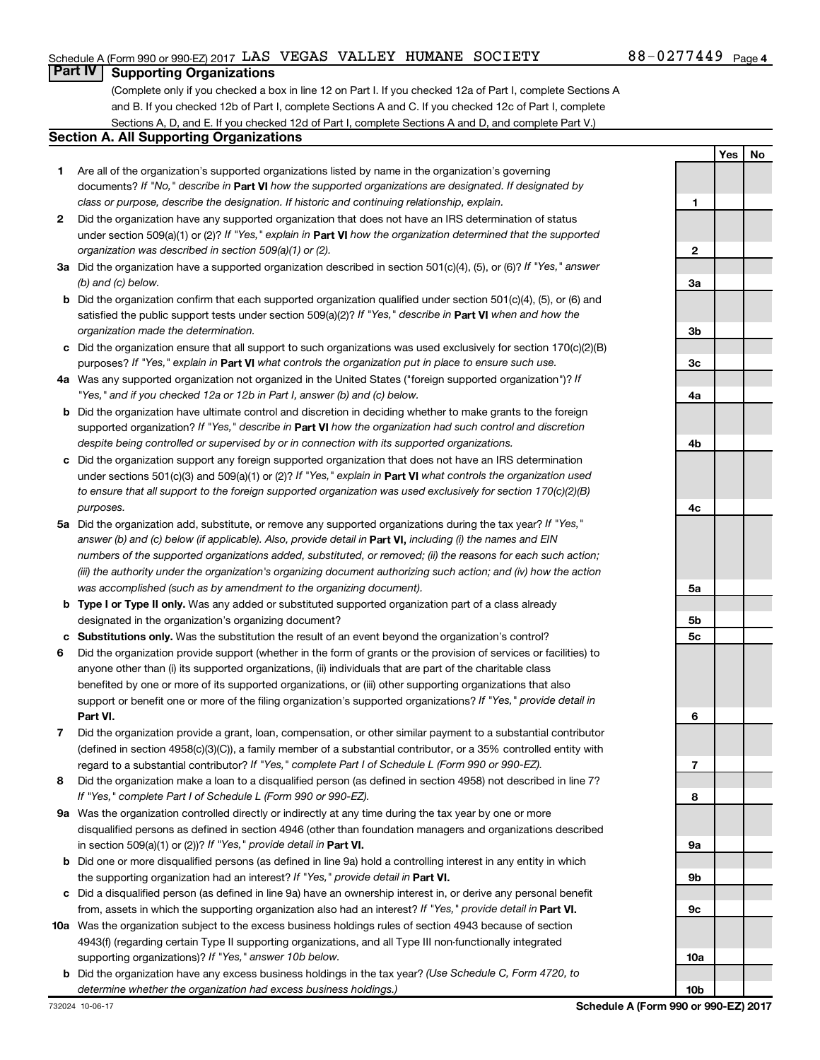**1**

**2**

**Yes No**

# **Part IV Supporting Organizations**

(Complete only if you checked a box in line 12 on Part I. If you checked 12a of Part I, complete Sections A and B. If you checked 12b of Part I, complete Sections A and C. If you checked 12c of Part I, complete Sections A, D, and E. If you checked 12d of Part I, complete Sections A and D, and complete Part V.)

## **Section A. All Supporting Organizations**

- **1** Are all of the organization's supported organizations listed by name in the organization's governing documents? If "No," describe in Part VI how the supported organizations are designated. If designated by *class or purpose, describe the designation. If historic and continuing relationship, explain.*
- **2** Did the organization have any supported organization that does not have an IRS determination of status under section 509(a)(1) or (2)? If "Yes," explain in Part **VI** how the organization determined that the supported *organization was described in section 509(a)(1) or (2).*
- **3a** Did the organization have a supported organization described in section 501(c)(4), (5), or (6)? If "Yes," answer *(b) and (c) below.*
- **b** Did the organization confirm that each supported organization qualified under section 501(c)(4), (5), or (6) and satisfied the public support tests under section 509(a)(2)? If "Yes," describe in Part VI when and how the *organization made the determination.*
- **c** Did the organization ensure that all support to such organizations was used exclusively for section 170(c)(2)(B) purposes? If "Yes," explain in Part VI what controls the organization put in place to ensure such use.
- **4 a** *If* Was any supported organization not organized in the United States ("foreign supported organization")? *"Yes," and if you checked 12a or 12b in Part I, answer (b) and (c) below.*
- **b** Did the organization have ultimate control and discretion in deciding whether to make grants to the foreign supported organization? If "Yes," describe in Part VI how the organization had such control and discretion *despite being controlled or supervised by or in connection with its supported organizations.*
- **c** Did the organization support any foreign supported organization that does not have an IRS determination under sections 501(c)(3) and 509(a)(1) or (2)? If "Yes," explain in Part VI what controls the organization used *to ensure that all support to the foreign supported organization was used exclusively for section 170(c)(2)(B) purposes.*
- **5a** Did the organization add, substitute, or remove any supported organizations during the tax year? If "Yes," answer (b) and (c) below (if applicable). Also, provide detail in **Part VI,** including (i) the names and EIN *numbers of the supported organizations added, substituted, or removed; (ii) the reasons for each such action; (iii) the authority under the organization's organizing document authorizing such action; and (iv) how the action was accomplished (such as by amendment to the organizing document).*
- **b Type I or Type II only.** Was any added or substituted supported organization part of a class already designated in the organization's organizing document?
- **c Substitutions only.**  Was the substitution the result of an event beyond the organization's control?
- **6** Did the organization provide support (whether in the form of grants or the provision of services or facilities) to **Part VI.** support or benefit one or more of the filing organization's supported organizations? If "Yes," provide detail in anyone other than (i) its supported organizations, (ii) individuals that are part of the charitable class benefited by one or more of its supported organizations, or (iii) other supporting organizations that also
- **7** Did the organization provide a grant, loan, compensation, or other similar payment to a substantial contributor regard to a substantial contributor? If "Yes," complete Part I of Schedule L (Form 990 or 990-EZ). (defined in section 4958(c)(3)(C)), a family member of a substantial contributor, or a 35% controlled entity with
- **8** Did the organization make a loan to a disqualified person (as defined in section 4958) not described in line 7? *If "Yes," complete Part I of Schedule L (Form 990 or 990-EZ).*
- **9 a** Was the organization controlled directly or indirectly at any time during the tax year by one or more in section 509(a)(1) or (2))? If "Yes," provide detail in **Part VI.** disqualified persons as defined in section 4946 (other than foundation managers and organizations described
- **b** Did one or more disqualified persons (as defined in line 9a) hold a controlling interest in any entity in which the supporting organization had an interest? If "Yes," provide detail in Part VI.
- **c** Did a disqualified person (as defined in line 9a) have an ownership interest in, or derive any personal benefit from, assets in which the supporting organization also had an interest? If "Yes," provide detail in Part VI.
- **10 a** Was the organization subject to the excess business holdings rules of section 4943 because of section supporting organizations)? If "Yes," answer 10b below. 4943(f) (regarding certain Type II supporting organizations, and all Type III non-functionally integrated
	- **b** Did the organization have any excess business holdings in the tax year? (Use Schedule C, Form 4720, to *determine whether the organization had excess business holdings.)*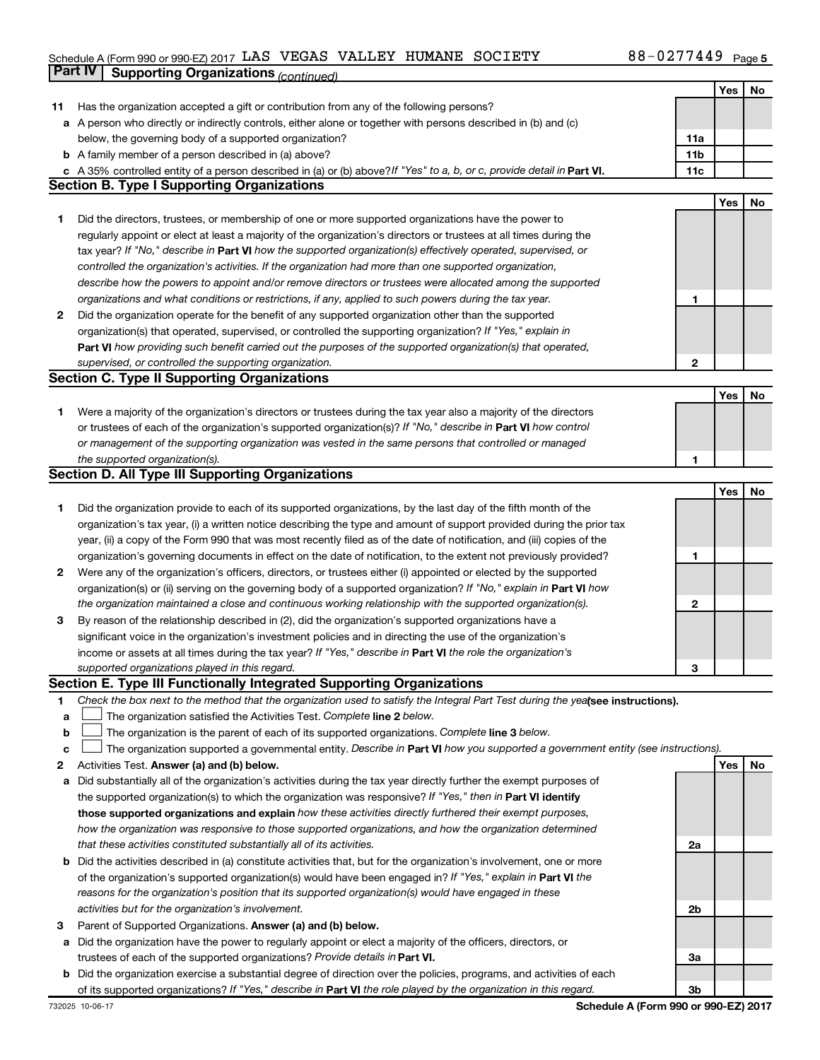### Schedule A (Form 990 or 990-EZ) 2017 LAS VEGAS VALLEY HUMANE SOCIETY 88-UZ / / 449 Page LAS VEGAS VALLEY HUMANE SOCIETY 88-0277449

|             | Part IV<br><b>Supporting Organizations (continued)</b>                                                                          |                 |     |    |
|-------------|---------------------------------------------------------------------------------------------------------------------------------|-----------------|-----|----|
|             |                                                                                                                                 |                 | Yes | No |
| 11          | Has the organization accepted a gift or contribution from any of the following persons?                                         |                 |     |    |
|             | a A person who directly or indirectly controls, either alone or together with persons described in (b) and (c)                  |                 |     |    |
|             | below, the governing body of a supported organization?                                                                          | 11a             |     |    |
|             | <b>b</b> A family member of a person described in (a) above?                                                                    | 11 <sub>b</sub> |     |    |
|             | c A 35% controlled entity of a person described in (a) or (b) above? If "Yes" to a, b, or c, provide detail in Part VI.         | 11c             |     |    |
|             | <b>Section B. Type I Supporting Organizations</b>                                                                               |                 |     |    |
|             |                                                                                                                                 |                 | Yes | No |
| 1           | Did the directors, trustees, or membership of one or more supported organizations have the power to                             |                 |     |    |
|             | regularly appoint or elect at least a majority of the organization's directors or trustees at all times during the              |                 |     |    |
|             |                                                                                                                                 |                 |     |    |
|             | tax year? If "No," describe in Part VI how the supported organization(s) effectively operated, supervised, or                   |                 |     |    |
|             | controlled the organization's activities. If the organization had more than one supported organization,                         |                 |     |    |
|             | describe how the powers to appoint and/or remove directors or trustees were allocated among the supported                       |                 |     |    |
|             | organizations and what conditions or restrictions, if any, applied to such powers during the tax year.                          | 1               |     |    |
| 2           | Did the organization operate for the benefit of any supported organization other than the supported                             |                 |     |    |
|             | organization(s) that operated, supervised, or controlled the supporting organization? If "Yes," explain in                      |                 |     |    |
|             | Part VI how providing such benefit carried out the purposes of the supported organization(s) that operated,                     |                 |     |    |
|             | supervised, or controlled the supporting organization.                                                                          | $\mathbf{2}$    |     |    |
|             | <b>Section C. Type II Supporting Organizations</b>                                                                              |                 |     |    |
|             |                                                                                                                                 |                 | Yes | No |
| 1.          | Were a majority of the organization's directors or trustees during the tax year also a majority of the directors                |                 |     |    |
|             | or trustees of each of the organization's supported organization(s)? If "No," describe in Part VI how control                   |                 |     |    |
|             | or management of the supporting organization was vested in the same persons that controlled or managed                          |                 |     |    |
|             | the supported organization(s).                                                                                                  | 1               |     |    |
|             | <b>Section D. All Type III Supporting Organizations</b>                                                                         |                 |     |    |
|             |                                                                                                                                 |                 | Yes | No |
| 1           | Did the organization provide to each of its supported organizations, by the last day of the fifth month of the                  |                 |     |    |
|             | organization's tax year, (i) a written notice describing the type and amount of support provided during the prior tax           |                 |     |    |
|             | year, (ii) a copy of the Form 990 that was most recently filed as of the date of notification, and (iii) copies of the          |                 |     |    |
|             | organization's governing documents in effect on the date of notification, to the extent not previously provided?                | 1               |     |    |
| 2           | Were any of the organization's officers, directors, or trustees either (i) appointed or elected by the supported                |                 |     |    |
|             | organization(s) or (ii) serving on the governing body of a supported organization? If "No," explain in Part VI how              |                 |     |    |
|             | the organization maintained a close and continuous working relationship with the supported organization(s).                     | $\mathbf{2}$    |     |    |
| 3           | By reason of the relationship described in (2), did the organization's supported organizations have a                           |                 |     |    |
|             | significant voice in the organization's investment policies and in directing the use of the organization's                      |                 |     |    |
|             | income or assets at all times during the tax year? If "Yes," describe in Part VI the role the organization's                    |                 |     |    |
|             | supported organizations played in this regard.                                                                                  | з               |     |    |
|             | Section E. Type III Functionally Integrated Supporting Organizations                                                            |                 |     |    |
| 1           | Check the box next to the method that the organization used to satisfy the Integral Part Test during the yealsee instructions). |                 |     |    |
| a           | The organization satisfied the Activities Test. Complete line 2 below.                                                          |                 |     |    |
| $\mathbf b$ | The organization is the parent of each of its supported organizations. Complete line 3 below.                                   |                 |     |    |
| c           | The organization supported a governmental entity. Describe in Part VI how you supported a government entity (see instructions). |                 |     |    |
| 2           | Activities Test. Answer (a) and (b) below.                                                                                      |                 | Yes | No |
| а           | Did substantially all of the organization's activities during the tax year directly further the exempt purposes of              |                 |     |    |
|             | the supported organization(s) to which the organization was responsive? If "Yes," then in Part VI identify                      |                 |     |    |
|             | those supported organizations and explain how these activities directly furthered their exempt purposes,                        |                 |     |    |
|             | how the organization was responsive to those supported organizations, and how the organization determined                       |                 |     |    |
|             | that these activities constituted substantially all of its activities.                                                          | 2a              |     |    |
|             | <b>b</b> Did the activities described in (a) constitute activities that, but for the organization's involvement, one or more    |                 |     |    |
|             | of the organization's supported organization(s) would have been engaged in? If "Yes," explain in Part VI the                    |                 |     |    |
|             | reasons for the organization's position that its supported organization(s) would have engaged in these                          |                 |     |    |
|             | activities but for the organization's involvement.                                                                              | 2b              |     |    |
| З           | Parent of Supported Organizations. Answer (a) and (b) below.                                                                    |                 |     |    |
| а           | Did the organization have the power to regularly appoint or elect a majority of the officers, directors, or                     |                 |     |    |
|             | trustees of each of the supported organizations? Provide details in Part VI.                                                    | За              |     |    |
|             | <b>b</b> Did the organization exercise a substantial degree of direction over the policies, programs, and activities of each    |                 |     |    |
|             | of its supported organizations? If "Yes," describe in Part VI the role played by the organization in this regard.               | 3b              |     |    |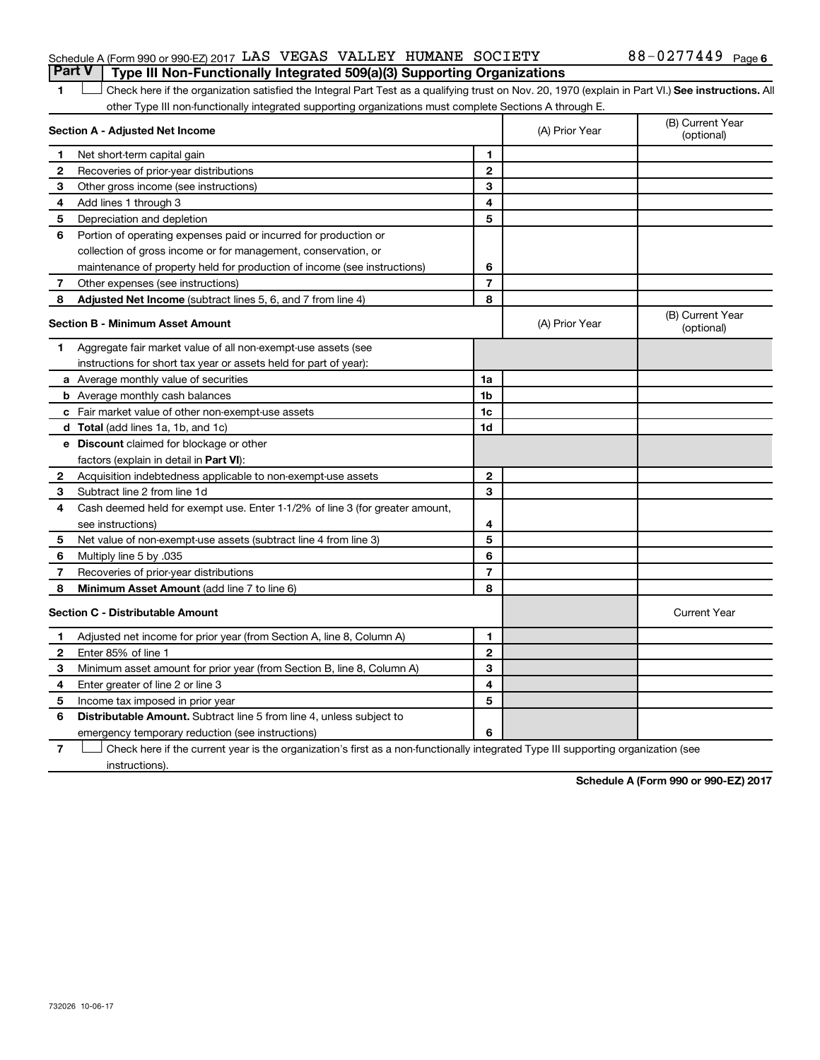# Schedule A (Form 990 or 990-EZ) 2017  $\rm{LAS}$  VEGAS VALLEY HUMANE SOCIETY  $\rm{S}$  88 - 0277449  $\rm{Page}$

# 1 **Letter See instructions.** All Check here if the organization satisfied the Integral Part Test as a qualifying trust on Nov. 20, 1970 (explain in Part VI.) See instructions. All other Type III non-functionally integrated supporting organizations must complete Sections A through E. **Part V Type III Non-Functionally Integrated 509(a)(3) Supporting Organizations**

|              | Section A - Adjusted Net Income                                              | (A) Prior Year | (B) Current Year<br>(optional) |                                |
|--------------|------------------------------------------------------------------------------|----------------|--------------------------------|--------------------------------|
| 1            | Net short-term capital gain                                                  | 1              |                                |                                |
| $\mathbf{2}$ | Recoveries of prior-year distributions                                       | $\mathbf{2}$   |                                |                                |
| З            | Other gross income (see instructions)                                        | 3              |                                |                                |
| 4            | Add lines 1 through 3                                                        | 4              |                                |                                |
| 5            | Depreciation and depletion                                                   | 5              |                                |                                |
| 6            | Portion of operating expenses paid or incurred for production or             |                |                                |                                |
|              | collection of gross income or for management, conservation, or               |                |                                |                                |
|              | maintenance of property held for production of income (see instructions)     | 6              |                                |                                |
| 7            | Other expenses (see instructions)                                            | $\overline{7}$ |                                |                                |
| 8            | Adjusted Net Income (subtract lines 5, 6, and 7 from line 4)                 | 8              |                                |                                |
|              | <b>Section B - Minimum Asset Amount</b>                                      |                | (A) Prior Year                 | (B) Current Year<br>(optional) |
| 1            | Aggregate fair market value of all non-exempt-use assets (see                |                |                                |                                |
|              | instructions for short tax year or assets held for part of year):            |                |                                |                                |
|              | a Average monthly value of securities                                        | 1a             |                                |                                |
|              | <b>b</b> Average monthly cash balances                                       | 1b             |                                |                                |
|              | c Fair market value of other non-exempt-use assets                           | 1c             |                                |                                |
|              | <b>d</b> Total (add lines 1a, 1b, and 1c)                                    | 1d             |                                |                                |
|              | <b>e</b> Discount claimed for blockage or other                              |                |                                |                                |
|              | factors (explain in detail in <b>Part VI</b> ):                              |                |                                |                                |
| 2            | Acquisition indebtedness applicable to non-exempt-use assets                 | $\mathbf{2}$   |                                |                                |
| 3            | Subtract line 2 from line 1d                                                 | 3              |                                |                                |
| 4            | Cash deemed held for exempt use. Enter 1-1/2% of line 3 (for greater amount, |                |                                |                                |
|              | see instructions)                                                            | 4              |                                |                                |
| 5            | Net value of non-exempt-use assets (subtract line 4 from line 3)             | 5              |                                |                                |
| 6            | Multiply line 5 by .035                                                      | 6              |                                |                                |
| 7            | Recoveries of prior-year distributions                                       | $\overline{7}$ |                                |                                |
| 8            | <b>Minimum Asset Amount (add line 7 to line 6)</b>                           | 8              |                                |                                |
|              | <b>Section C - Distributable Amount</b>                                      |                |                                | <b>Current Year</b>            |
| 1            | Adjusted net income for prior year (from Section A, line 8, Column A)        | 1              |                                |                                |
| $\mathbf{2}$ | Enter 85% of line 1                                                          | $\mathbf{2}$   |                                |                                |
| З            | Minimum asset amount for prior year (from Section B, line 8, Column A)       | 3              |                                |                                |
| 4            | Enter greater of line 2 or line 3                                            | 4              |                                |                                |
| 5            | Income tax imposed in prior year                                             | 5              |                                |                                |
| 6            | <b>Distributable Amount.</b> Subtract line 5 from line 4, unless subject to  |                |                                |                                |
|              | emergency temporary reduction (see instructions)                             | 6              |                                |                                |

**7** Let Check here if the current year is the organization's first as a non-functionally integrated Type III supporting organization (see instructions).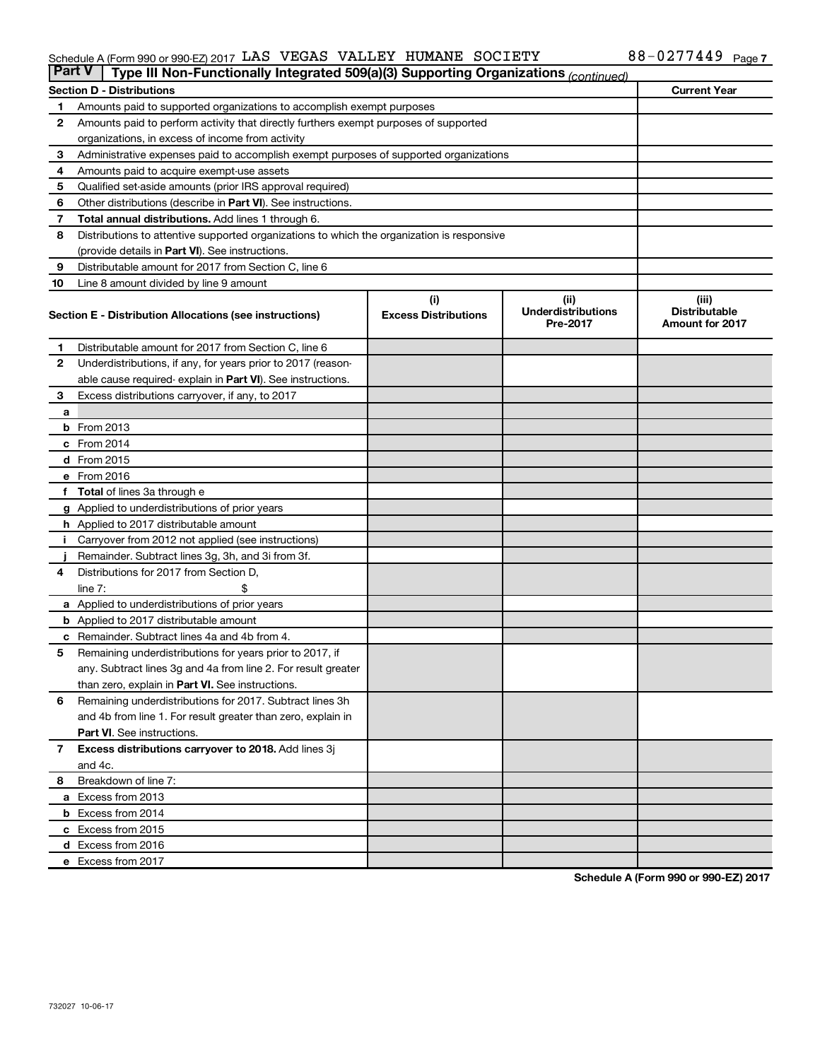### Schedule A (Form 990 or 990-EZ) 2017 LAS VEGAS VALLEY HUMANE SOCIETY NAMEL AND MONTHERRY Page LAS VEGAS VALLEY HUMANE SOCIETY 88-0277449

| <b>Part V</b> | Type III Non-Functionally Integrated 509(a)(3) Supporting Organizations (continued)        |                             |                                       |                                                |  |  |  |  |  |
|---------------|--------------------------------------------------------------------------------------------|-----------------------------|---------------------------------------|------------------------------------------------|--|--|--|--|--|
|               | <b>Current Year</b><br><b>Section D - Distributions</b>                                    |                             |                                       |                                                |  |  |  |  |  |
| 1             | Amounts paid to supported organizations to accomplish exempt purposes                      |                             |                                       |                                                |  |  |  |  |  |
| 2             | Amounts paid to perform activity that directly furthers exempt purposes of supported       |                             |                                       |                                                |  |  |  |  |  |
|               | organizations, in excess of income from activity                                           |                             |                                       |                                                |  |  |  |  |  |
| 3             | Administrative expenses paid to accomplish exempt purposes of supported organizations      |                             |                                       |                                                |  |  |  |  |  |
| 4             | Amounts paid to acquire exempt-use assets                                                  |                             |                                       |                                                |  |  |  |  |  |
| 5             | Qualified set-aside amounts (prior IRS approval required)                                  |                             |                                       |                                                |  |  |  |  |  |
| 6             | Other distributions (describe in Part VI). See instructions.                               |                             |                                       |                                                |  |  |  |  |  |
| 7             | Total annual distributions. Add lines 1 through 6.                                         |                             |                                       |                                                |  |  |  |  |  |
| 8             | Distributions to attentive supported organizations to which the organization is responsive |                             |                                       |                                                |  |  |  |  |  |
|               | (provide details in Part VI). See instructions.                                            |                             |                                       |                                                |  |  |  |  |  |
| 9             | Distributable amount for 2017 from Section C, line 6                                       |                             |                                       |                                                |  |  |  |  |  |
| 10            | Line 8 amount divided by line 9 amount                                                     |                             |                                       |                                                |  |  |  |  |  |
|               |                                                                                            | (i)                         | (ii)                                  | (iii)                                          |  |  |  |  |  |
|               | Section E - Distribution Allocations (see instructions)                                    | <b>Excess Distributions</b> | <b>Underdistributions</b><br>Pre-2017 | <b>Distributable</b><br><b>Amount for 2017</b> |  |  |  |  |  |
| 1.            | Distributable amount for 2017 from Section C, line 6                                       |                             |                                       |                                                |  |  |  |  |  |
| $\mathbf{2}$  | Underdistributions, if any, for years prior to 2017 (reason-                               |                             |                                       |                                                |  |  |  |  |  |
|               | able cause required- explain in Part VI). See instructions.                                |                             |                                       |                                                |  |  |  |  |  |
| 3             | Excess distributions carryover, if any, to 2017                                            |                             |                                       |                                                |  |  |  |  |  |
| a             |                                                                                            |                             |                                       |                                                |  |  |  |  |  |
|               | <b>b</b> From 2013                                                                         |                             |                                       |                                                |  |  |  |  |  |
|               | c From 2014                                                                                |                             |                                       |                                                |  |  |  |  |  |
|               | d From 2015                                                                                |                             |                                       |                                                |  |  |  |  |  |
|               | e From 2016                                                                                |                             |                                       |                                                |  |  |  |  |  |
|               | f Total of lines 3a through e                                                              |                             |                                       |                                                |  |  |  |  |  |
|               | <b>g</b> Applied to underdistributions of prior years                                      |                             |                                       |                                                |  |  |  |  |  |
|               | <b>h</b> Applied to 2017 distributable amount                                              |                             |                                       |                                                |  |  |  |  |  |
|               | Carryover from 2012 not applied (see instructions)                                         |                             |                                       |                                                |  |  |  |  |  |
|               | Remainder. Subtract lines 3g, 3h, and 3i from 3f.                                          |                             |                                       |                                                |  |  |  |  |  |
| 4             | Distributions for 2017 from Section D,                                                     |                             |                                       |                                                |  |  |  |  |  |
|               | $line 7$ :                                                                                 |                             |                                       |                                                |  |  |  |  |  |
|               | a Applied to underdistributions of prior years                                             |                             |                                       |                                                |  |  |  |  |  |
|               | <b>b</b> Applied to 2017 distributable amount                                              |                             |                                       |                                                |  |  |  |  |  |
| с             | Remainder. Subtract lines 4a and 4b from 4.                                                |                             |                                       |                                                |  |  |  |  |  |
| 5             | Remaining underdistributions for years prior to 2017, if                                   |                             |                                       |                                                |  |  |  |  |  |
|               | any. Subtract lines 3g and 4a from line 2. For result greater                              |                             |                                       |                                                |  |  |  |  |  |
|               | than zero, explain in Part VI. See instructions.                                           |                             |                                       |                                                |  |  |  |  |  |
| 6             | Remaining underdistributions for 2017. Subtract lines 3h                                   |                             |                                       |                                                |  |  |  |  |  |
|               | and 4b from line 1. For result greater than zero, explain in                               |                             |                                       |                                                |  |  |  |  |  |
|               | <b>Part VI.</b> See instructions.                                                          |                             |                                       |                                                |  |  |  |  |  |
| $\mathbf{7}$  | Excess distributions carryover to 2018. Add lines 3j                                       |                             |                                       |                                                |  |  |  |  |  |
|               | and 4c.                                                                                    |                             |                                       |                                                |  |  |  |  |  |
| 8             | Breakdown of line 7:                                                                       |                             |                                       |                                                |  |  |  |  |  |
|               | a Excess from 2013                                                                         |                             |                                       |                                                |  |  |  |  |  |
|               | <b>b</b> Excess from 2014                                                                  |                             |                                       |                                                |  |  |  |  |  |
|               | c Excess from 2015                                                                         |                             |                                       |                                                |  |  |  |  |  |
|               | d Excess from 2016                                                                         |                             |                                       |                                                |  |  |  |  |  |
|               | e Excess from 2017                                                                         |                             |                                       |                                                |  |  |  |  |  |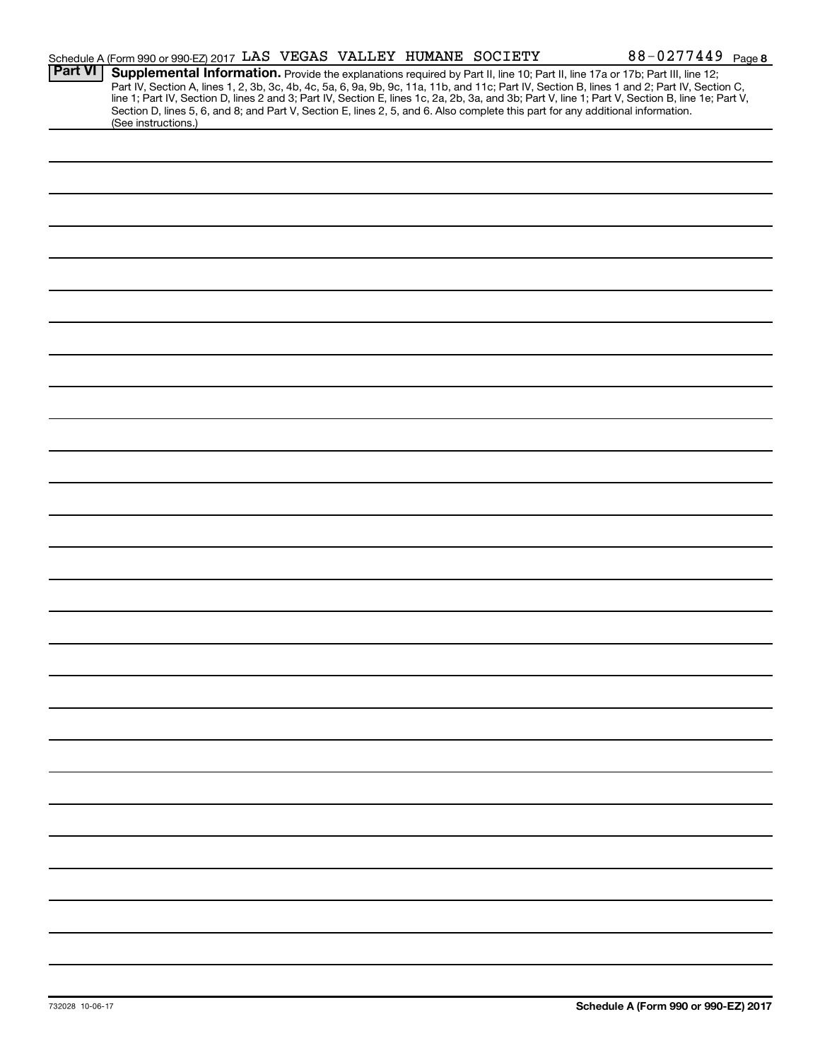|                | Schedule A (Form 990 or 990-EZ) 2017 LAS VEGAS VALLEY HUMANE SOCIETY                                                            |  |  | 88-0277449 Page 8                                                                                                                                                                                                                                                                                                                                                                                                                 |
|----------------|---------------------------------------------------------------------------------------------------------------------------------|--|--|-----------------------------------------------------------------------------------------------------------------------------------------------------------------------------------------------------------------------------------------------------------------------------------------------------------------------------------------------------------------------------------------------------------------------------------|
| <b>Part VI</b> | Section D, lines 5, 6, and 8; and Part V, Section E, lines 2, 5, and 6. Also complete this part for any additional information. |  |  | Supplemental Information. Provide the explanations required by Part II, line 10; Part II, line 17a or 17b; Part III, line 12;<br>Part IV, Section A, lines 1, 2, 3b, 3c, 4b, 4c, 5a, 6, 9a, 9b, 9c, 11a, 11b, and 11c; Part IV, Section B, lines 1 and 2; Part IV, Section C,<br>line 1; Part IV, Section D, lines 2 and 3; Part IV, Section E, lines 1c, 2a, 2b, 3a, and 3b; Part V, line 1; Part V, Section B, line 1e; Part V, |
|                | (See instructions.)                                                                                                             |  |  |                                                                                                                                                                                                                                                                                                                                                                                                                                   |
|                |                                                                                                                                 |  |  |                                                                                                                                                                                                                                                                                                                                                                                                                                   |
|                |                                                                                                                                 |  |  |                                                                                                                                                                                                                                                                                                                                                                                                                                   |
|                |                                                                                                                                 |  |  |                                                                                                                                                                                                                                                                                                                                                                                                                                   |
|                |                                                                                                                                 |  |  |                                                                                                                                                                                                                                                                                                                                                                                                                                   |
|                |                                                                                                                                 |  |  |                                                                                                                                                                                                                                                                                                                                                                                                                                   |
|                |                                                                                                                                 |  |  |                                                                                                                                                                                                                                                                                                                                                                                                                                   |
|                |                                                                                                                                 |  |  |                                                                                                                                                                                                                                                                                                                                                                                                                                   |
|                |                                                                                                                                 |  |  |                                                                                                                                                                                                                                                                                                                                                                                                                                   |
|                |                                                                                                                                 |  |  |                                                                                                                                                                                                                                                                                                                                                                                                                                   |
|                |                                                                                                                                 |  |  |                                                                                                                                                                                                                                                                                                                                                                                                                                   |
|                |                                                                                                                                 |  |  |                                                                                                                                                                                                                                                                                                                                                                                                                                   |
|                |                                                                                                                                 |  |  |                                                                                                                                                                                                                                                                                                                                                                                                                                   |
|                |                                                                                                                                 |  |  |                                                                                                                                                                                                                                                                                                                                                                                                                                   |
|                |                                                                                                                                 |  |  |                                                                                                                                                                                                                                                                                                                                                                                                                                   |
|                |                                                                                                                                 |  |  |                                                                                                                                                                                                                                                                                                                                                                                                                                   |
|                |                                                                                                                                 |  |  |                                                                                                                                                                                                                                                                                                                                                                                                                                   |
|                |                                                                                                                                 |  |  |                                                                                                                                                                                                                                                                                                                                                                                                                                   |
|                |                                                                                                                                 |  |  |                                                                                                                                                                                                                                                                                                                                                                                                                                   |
|                |                                                                                                                                 |  |  |                                                                                                                                                                                                                                                                                                                                                                                                                                   |
|                |                                                                                                                                 |  |  |                                                                                                                                                                                                                                                                                                                                                                                                                                   |
|                |                                                                                                                                 |  |  |                                                                                                                                                                                                                                                                                                                                                                                                                                   |
|                |                                                                                                                                 |  |  |                                                                                                                                                                                                                                                                                                                                                                                                                                   |
|                |                                                                                                                                 |  |  |                                                                                                                                                                                                                                                                                                                                                                                                                                   |
|                |                                                                                                                                 |  |  |                                                                                                                                                                                                                                                                                                                                                                                                                                   |
|                |                                                                                                                                 |  |  |                                                                                                                                                                                                                                                                                                                                                                                                                                   |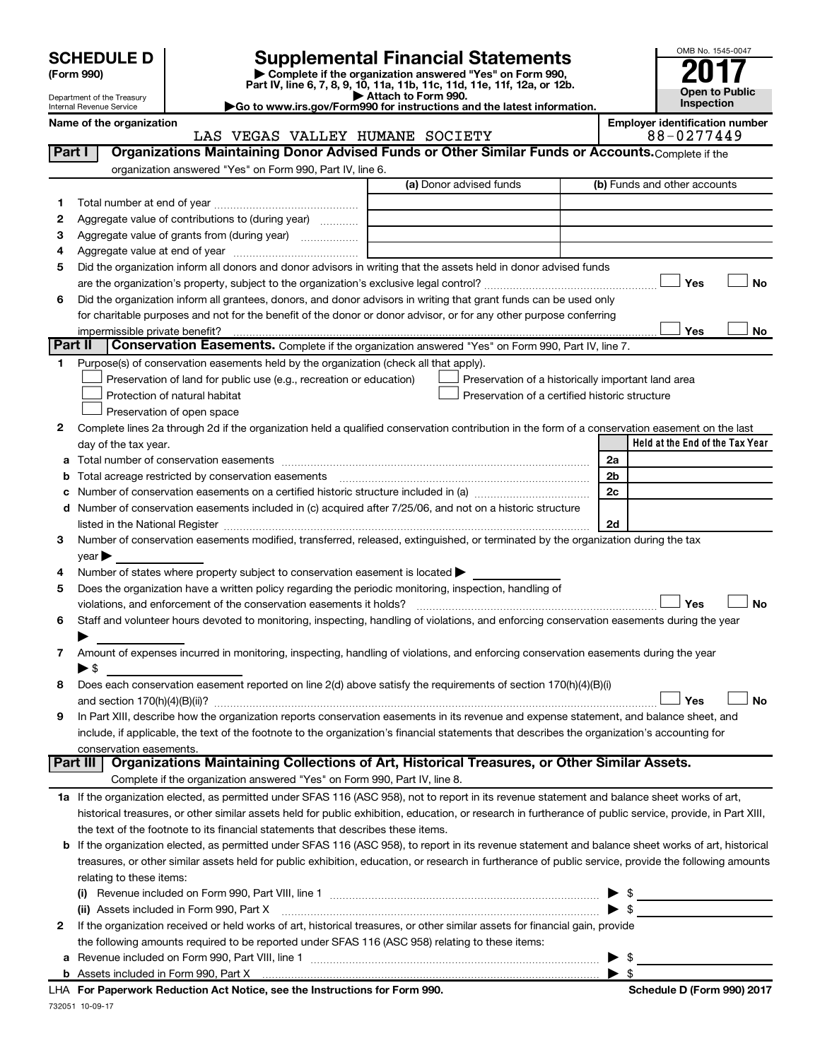| <b>SCHEDULE D</b> |  |
|-------------------|--|
|-------------------|--|

| (Form 990) |  |
|------------|--|
|------------|--|

# **SCHEDULE D Supplemental Financial Statements**<br> **Form 990 2017**<br> **Part IV** line 6.7.8.9.10, 11a, 11b, 11d, 11d, 11d, 11d, 11d, 12a, 0r, 12b

**(Form 990) | Complete if the organization answered "Yes" on Form 990, Part IV, line 6, 7, 8, 9, 10, 11a, 11b, 11c, 11d, 11e, 11f, 12a, or 12b.**

**| Attach to Form 990. |Go to www.irs.gov/Form990 for instructions and the latest information.**



Department of the Treasury Internal Revenue Service

**Name of the organization**<br>**Represent TRACIMENT COOTEDY Employer identification number**<br>
0 0 1277440

|         | LAS VEGAS VALLEY HUMANE SOCIETY                                                                                                                           | 88-0277449                      |
|---------|-----------------------------------------------------------------------------------------------------------------------------------------------------------|---------------------------------|
| Part I  | Organizations Maintaining Donor Advised Funds or Other Similar Funds or Accounts. Complete if the                                                         |                                 |
|         | organization answered "Yes" on Form 990, Part IV, line 6.                                                                                                 |                                 |
|         | (a) Donor advised funds                                                                                                                                   | (b) Funds and other accounts    |
| 1       |                                                                                                                                                           |                                 |
| 2       | Aggregate value of contributions to (during year)                                                                                                         |                                 |
| з       | Aggregate value of grants from (during year)                                                                                                              |                                 |
| 4       |                                                                                                                                                           |                                 |
| 5       | Did the organization inform all donors and donor advisors in writing that the assets held in donor advised funds                                          |                                 |
|         |                                                                                                                                                           | Yes<br>No                       |
| 6       | Did the organization inform all grantees, donors, and donor advisors in writing that grant funds can be used only                                         |                                 |
|         | for charitable purposes and not for the benefit of the donor or donor advisor, or for any other purpose conferring                                        |                                 |
|         |                                                                                                                                                           | No                              |
| Part II | Conservation Easements. Complete if the organization answered "Yes" on Form 990, Part IV, line 7.                                                         | Yes                             |
|         |                                                                                                                                                           |                                 |
| 1.      | Purpose(s) of conservation easements held by the organization (check all that apply).                                                                     |                                 |
|         | Preservation of land for public use (e.g., recreation or education)<br>Preservation of a historically important land area                                 |                                 |
|         | Protection of natural habitat<br>Preservation of a certified historic structure                                                                           |                                 |
|         | Preservation of open space                                                                                                                                |                                 |
| 2       | Complete lines 2a through 2d if the organization held a qualified conservation contribution in the form of a conservation easement on the last            |                                 |
|         | day of the tax year.                                                                                                                                      | Held at the End of the Tax Year |
| а       |                                                                                                                                                           | 2a                              |
| b       |                                                                                                                                                           | 2b                              |
| с       |                                                                                                                                                           | 2c                              |
|         | d Number of conservation easements included in (c) acquired after 7/25/06, and not on a historic structure                                                |                                 |
|         | listed in the National Register [11, 2003] March 2014 The National Register [11, 2014] March 2014 The National                                            | 2d                              |
| 3       | Number of conservation easements modified, transferred, released, extinguished, or terminated by the organization during the tax                          |                                 |
|         | $year \triangleright$                                                                                                                                     |                                 |
| 4       | Number of states where property subject to conservation easement is located >                                                                             |                                 |
| 5       | Does the organization have a written policy regarding the periodic monitoring, inspection, handling of                                                    |                                 |
|         | violations, and enforcement of the conservation easements it holds?                                                                                       | Yes<br><b>No</b>                |
| 6       | Staff and volunteer hours devoted to monitoring, inspecting, handling of violations, and enforcing conservation easements during the year                 |                                 |
|         |                                                                                                                                                           |                                 |
| 7       | Amount of expenses incurred in monitoring, inspecting, handling of violations, and enforcing conservation easements during the year                       |                                 |
|         | ► \$                                                                                                                                                      |                                 |
| 8       | Does each conservation easement reported on line 2(d) above satisfy the requirements of section 170(h)(4)(B)(i)                                           |                                 |
|         |                                                                                                                                                           | <b>No</b><br>Yes                |
| 9       | In Part XIII, describe how the organization reports conservation easements in its revenue and expense statement, and balance sheet, and                   |                                 |
|         | include, if applicable, the text of the footnote to the organization's financial statements that describes the organization's accounting for              |                                 |
|         | conservation easements.                                                                                                                                   |                                 |
|         | Organizations Maintaining Collections of Art, Historical Treasures, or Other Similar Assets.<br>Part III                                                  |                                 |
|         | Complete if the organization answered "Yes" on Form 990, Part IV, line 8.                                                                                 |                                 |
|         | 1a If the organization elected, as permitted under SFAS 116 (ASC 958), not to report in its revenue statement and balance sheet works of art,             |                                 |
|         | historical treasures, or other similar assets held for public exhibition, education, or research in furtherance of public service, provide, in Part XIII, |                                 |
|         | the text of the footnote to its financial statements that describes these items.                                                                          |                                 |
|         | b If the organization elected, as permitted under SFAS 116 (ASC 958), to report in its revenue statement and balance sheet works of art, historical       |                                 |
|         | treasures, or other similar assets held for public exhibition, education, or research in furtherance of public service, provide the following amounts     |                                 |
|         | relating to these items:                                                                                                                                  |                                 |
|         |                                                                                                                                                           | $\blacktriangleright$ \$        |
|         | (ii) Assets included in Form 990, Part X                                                                                                                  | $\blacktriangleright$ \$        |
| 2       | If the organization received or held works of art, historical treasures, or other similar assets for financial gain, provide                              |                                 |
|         | the following amounts required to be reported under SFAS 116 (ASC 958) relating to these items:                                                           |                                 |
| a       |                                                                                                                                                           | $\blacktriangleright$ \$        |
|         |                                                                                                                                                           | $\blacktriangleright$ s         |
|         |                                                                                                                                                           |                                 |

732051 10-09-17 **For Paperwork Reduction Act Notice, see the Instructions for Form 990. Schedule D (Form 990) 2017** LHA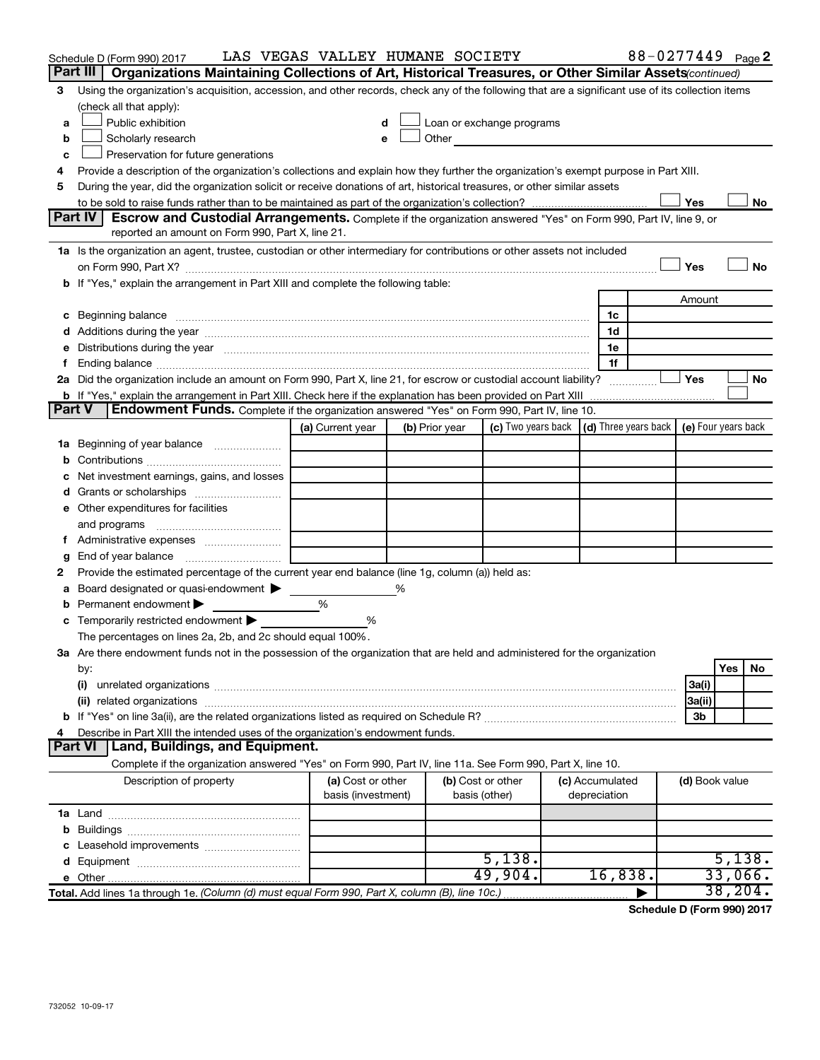|               | Schedule D (Form 990) 2017                                                                                                                                                                                                     | LAS VEGAS VALLEY HUMANE SOCIETY         |                |                                    |                                                                                                                                                                                                                                |                                 | 88-0277449 Page 2                               |                     |          |           |
|---------------|--------------------------------------------------------------------------------------------------------------------------------------------------------------------------------------------------------------------------------|-----------------------------------------|----------------|------------------------------------|--------------------------------------------------------------------------------------------------------------------------------------------------------------------------------------------------------------------------------|---------------------------------|-------------------------------------------------|---------------------|----------|-----------|
|               | Part III<br>Organizations Maintaining Collections of Art, Historical Treasures, or Other Similar Assets (continued)                                                                                                            |                                         |                |                                    |                                                                                                                                                                                                                                |                                 |                                                 |                     |          |           |
| 3             | Using the organization's acquisition, accession, and other records, check any of the following that are a significant use of its collection items                                                                              |                                         |                |                                    |                                                                                                                                                                                                                                |                                 |                                                 |                     |          |           |
|               | (check all that apply):                                                                                                                                                                                                        |                                         |                |                                    |                                                                                                                                                                                                                                |                                 |                                                 |                     |          |           |
| a             | Public exhibition                                                                                                                                                                                                              | d                                       |                |                                    | Loan or exchange programs                                                                                                                                                                                                      |                                 |                                                 |                     |          |           |
| b             | Scholarly research                                                                                                                                                                                                             | e                                       |                |                                    | Other and the control of the control of the control of the control of the control of the control of the control of the control of the control of the control of the control of the control of the control of the control of th |                                 |                                                 |                     |          |           |
| c             | Preservation for future generations                                                                                                                                                                                            |                                         |                |                                    |                                                                                                                                                                                                                                |                                 |                                                 |                     |          |           |
| 4             | Provide a description of the organization's collections and explain how they further the organization's exempt purpose in Part XIII.                                                                                           |                                         |                |                                    |                                                                                                                                                                                                                                |                                 |                                                 |                     |          |           |
| 5             | During the year, did the organization solicit or receive donations of art, historical treasures, or other similar assets                                                                                                       |                                         |                |                                    |                                                                                                                                                                                                                                |                                 |                                                 |                     |          |           |
|               |                                                                                                                                                                                                                                |                                         |                |                                    |                                                                                                                                                                                                                                |                                 |                                                 | Yes                 |          | No        |
|               | <b>Part IV</b><br>Escrow and Custodial Arrangements. Complete if the organization answered "Yes" on Form 990, Part IV, line 9, or                                                                                              |                                         |                |                                    |                                                                                                                                                                                                                                |                                 |                                                 |                     |          |           |
|               | reported an amount on Form 990, Part X, line 21.                                                                                                                                                                               |                                         |                |                                    |                                                                                                                                                                                                                                |                                 |                                                 |                     |          |           |
|               | 1a Is the organization an agent, trustee, custodian or other intermediary for contributions or other assets not included                                                                                                       |                                         |                |                                    |                                                                                                                                                                                                                                |                                 |                                                 |                     |          |           |
|               |                                                                                                                                                                                                                                |                                         |                |                                    |                                                                                                                                                                                                                                |                                 |                                                 | Yes                 |          | <b>No</b> |
|               | b If "Yes," explain the arrangement in Part XIII and complete the following table:                                                                                                                                             |                                         |                |                                    |                                                                                                                                                                                                                                |                                 |                                                 |                     |          |           |
|               |                                                                                                                                                                                                                                |                                         |                |                                    |                                                                                                                                                                                                                                |                                 |                                                 | Amount              |          |           |
|               | c Beginning balance measurements and the contract of the contract of the contract of the contract of the contract of the contract of the contract of the contract of the contract of the contract of the contract of the contr |                                         |                |                                    |                                                                                                                                                                                                                                |                                 | 1c                                              |                     |          |           |
|               |                                                                                                                                                                                                                                |                                         |                |                                    |                                                                                                                                                                                                                                |                                 | 1d                                              |                     |          |           |
|               | Distributions during the year manufactured and an account of the year manufactured and the year manufactured and the year manufactured and the year manufactured and the year manufactured and the year manufactured and the y |                                         |                |                                    |                                                                                                                                                                                                                                |                                 | 1e                                              |                     |          |           |
|               |                                                                                                                                                                                                                                |                                         |                |                                    |                                                                                                                                                                                                                                |                                 | 1f                                              |                     |          |           |
|               | 2a Did the organization include an amount on Form 990, Part X, line 21, for escrow or custodial account liability?                                                                                                             |                                         |                |                                    |                                                                                                                                                                                                                                |                                 |                                                 | Yes                 |          | No        |
| <b>Part V</b> | <b>b</b> If "Yes," explain the arrangement in Part XIII. Check here if the explanation has been provided on Part XIII<br>Endowment Funds. Complete if the organization answered "Yes" on Form 990, Part IV, line 10.           |                                         |                |                                    |                                                                                                                                                                                                                                |                                 |                                                 |                     |          |           |
|               |                                                                                                                                                                                                                                | (a) Current year                        |                |                                    |                                                                                                                                                                                                                                |                                 | (c) Two years back $ $ (d) Three years back $ $ | (e) Four years back |          |           |
|               |                                                                                                                                                                                                                                |                                         | (b) Prior year |                                    |                                                                                                                                                                                                                                |                                 |                                                 |                     |          |           |
| 1а            | Beginning of year balance                                                                                                                                                                                                      |                                         |                |                                    |                                                                                                                                                                                                                                |                                 |                                                 |                     |          |           |
| b             |                                                                                                                                                                                                                                |                                         |                |                                    |                                                                                                                                                                                                                                |                                 |                                                 |                     |          |           |
|               | Net investment earnings, gains, and losses                                                                                                                                                                                     |                                         |                |                                    |                                                                                                                                                                                                                                |                                 |                                                 |                     |          |           |
|               |                                                                                                                                                                                                                                |                                         |                |                                    |                                                                                                                                                                                                                                |                                 |                                                 |                     |          |           |
|               | e Other expenditures for facilities                                                                                                                                                                                            |                                         |                |                                    |                                                                                                                                                                                                                                |                                 |                                                 |                     |          |           |
|               | and programs                                                                                                                                                                                                                   |                                         |                |                                    |                                                                                                                                                                                                                                |                                 |                                                 |                     |          |           |
|               | End of year balance                                                                                                                                                                                                            |                                         |                |                                    |                                                                                                                                                                                                                                |                                 |                                                 |                     |          |           |
| g<br>2        | Provide the estimated percentage of the current year end balance (line 1g, column (a)) held as:                                                                                                                                |                                         |                |                                    |                                                                                                                                                                                                                                |                                 |                                                 |                     |          |           |
| а             | Board designated or quasi-endowment                                                                                                                                                                                            |                                         | ℅              |                                    |                                                                                                                                                                                                                                |                                 |                                                 |                     |          |           |
|               | Permanent endowment                                                                                                                                                                                                            | %                                       |                |                                    |                                                                                                                                                                                                                                |                                 |                                                 |                     |          |           |
|               | <b>c</b> Temporarily restricted endowment $\blacktriangleright$                                                                                                                                                                | %                                       |                |                                    |                                                                                                                                                                                                                                |                                 |                                                 |                     |          |           |
|               | The percentages on lines 2a, 2b, and 2c should equal 100%.                                                                                                                                                                     |                                         |                |                                    |                                                                                                                                                                                                                                |                                 |                                                 |                     |          |           |
|               | 3a Are there endowment funds not in the possession of the organization that are held and administered for the organization                                                                                                     |                                         |                |                                    |                                                                                                                                                                                                                                |                                 |                                                 |                     |          |           |
|               | by:                                                                                                                                                                                                                            |                                         |                |                                    |                                                                                                                                                                                                                                |                                 |                                                 |                     | Yes      | No        |
|               | (i)                                                                                                                                                                                                                            |                                         |                |                                    |                                                                                                                                                                                                                                |                                 |                                                 | 3a(i)               |          |           |
|               | (ii) related organizations                                                                                                                                                                                                     |                                         |                |                                    |                                                                                                                                                                                                                                |                                 |                                                 | 3a(ii)              |          |           |
|               |                                                                                                                                                                                                                                |                                         |                |                                    |                                                                                                                                                                                                                                |                                 |                                                 | 3b                  |          |           |
|               | Describe in Part XIII the intended uses of the organization's endowment funds.                                                                                                                                                 |                                         |                |                                    |                                                                                                                                                                                                                                |                                 |                                                 |                     |          |           |
|               | Land, Buildings, and Equipment.<br><b>Part VI</b>                                                                                                                                                                              |                                         |                |                                    |                                                                                                                                                                                                                                |                                 |                                                 |                     |          |           |
|               | Complete if the organization answered "Yes" on Form 990, Part IV, line 11a. See Form 990, Part X, line 10.                                                                                                                     |                                         |                |                                    |                                                                                                                                                                                                                                |                                 |                                                 |                     |          |           |
|               | Description of property                                                                                                                                                                                                        | (a) Cost or other<br>basis (investment) |                | (b) Cost or other<br>basis (other) |                                                                                                                                                                                                                                | (c) Accumulated<br>depreciation |                                                 | (d) Book value      |          |           |
|               |                                                                                                                                                                                                                                |                                         |                |                                    |                                                                                                                                                                                                                                |                                 |                                                 |                     |          |           |
|               |                                                                                                                                                                                                                                |                                         |                |                                    |                                                                                                                                                                                                                                |                                 |                                                 |                     |          |           |
|               |                                                                                                                                                                                                                                |                                         |                |                                    |                                                                                                                                                                                                                                |                                 |                                                 |                     |          |           |
|               |                                                                                                                                                                                                                                |                                         |                |                                    | 5,138.                                                                                                                                                                                                                         |                                 |                                                 |                     | 5,138.   |           |
|               |                                                                                                                                                                                                                                |                                         |                |                                    | 49,904.                                                                                                                                                                                                                        |                                 | 16,838.                                         |                     | 33,066.  |           |
|               | Total. Add lines 1a through 1e. (Column (d) must equal Form 990, Part X, column (B), line 10c.)                                                                                                                                |                                         |                |                                    |                                                                                                                                                                                                                                |                                 |                                                 |                     | 38, 204. |           |
|               |                                                                                                                                                                                                                                |                                         |                |                                    |                                                                                                                                                                                                                                |                                 |                                                 |                     |          |           |

**Schedule D (Form 990) 2017**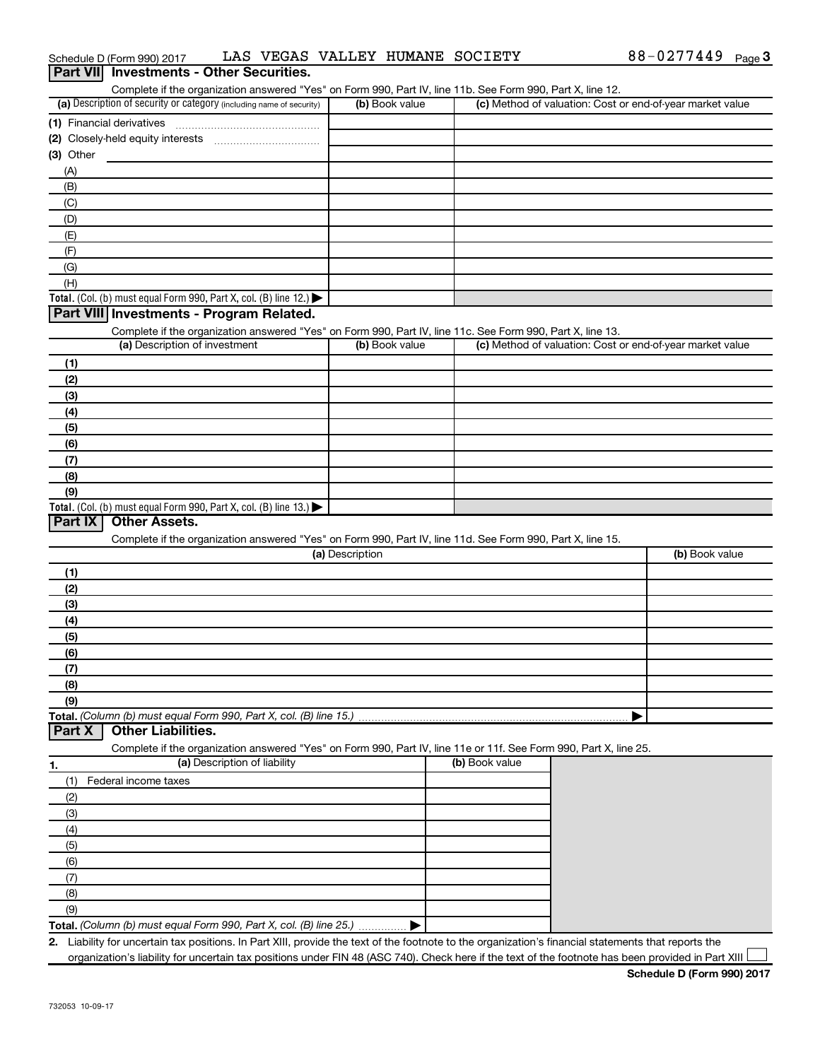| (a) Description of security or category (including name of security)                                                                                    |                 | Complete if the organization answered "Yes" on Form 990, Part IV, line 11b. See Form 990, Part X, line 12. |                                                           |
|---------------------------------------------------------------------------------------------------------------------------------------------------------|-----------------|------------------------------------------------------------------------------------------------------------|-----------------------------------------------------------|
|                                                                                                                                                         | (b) Book value  |                                                                                                            | (c) Method of valuation: Cost or end-of-year market value |
| (1) Financial derivatives                                                                                                                               |                 |                                                                                                            |                                                           |
|                                                                                                                                                         |                 |                                                                                                            |                                                           |
| (3) Other                                                                                                                                               |                 |                                                                                                            |                                                           |
| (A)                                                                                                                                                     |                 |                                                                                                            |                                                           |
| (B)                                                                                                                                                     |                 |                                                                                                            |                                                           |
| (C)                                                                                                                                                     |                 |                                                                                                            |                                                           |
| (D)                                                                                                                                                     |                 |                                                                                                            |                                                           |
| (E)                                                                                                                                                     |                 |                                                                                                            |                                                           |
| (F)                                                                                                                                                     |                 |                                                                                                            |                                                           |
| (G)                                                                                                                                                     |                 |                                                                                                            |                                                           |
| (H)                                                                                                                                                     |                 |                                                                                                            |                                                           |
| Total. (Col. (b) must equal Form 990, Part X, col. (B) line 12.) $\blacktriangleright$                                                                  |                 |                                                                                                            |                                                           |
| Part VIII Investments - Program Related.                                                                                                                |                 |                                                                                                            |                                                           |
| Complete if the organization answered "Yes" on Form 990, Part IV, line 11c. See Form 990, Part X, line 13.                                              |                 |                                                                                                            |                                                           |
| (a) Description of investment                                                                                                                           | (b) Book value  |                                                                                                            | (c) Method of valuation: Cost or end-of-year market value |
| (1)                                                                                                                                                     |                 |                                                                                                            |                                                           |
| (2)                                                                                                                                                     |                 |                                                                                                            |                                                           |
| (3)                                                                                                                                                     |                 |                                                                                                            |                                                           |
| (4)                                                                                                                                                     |                 |                                                                                                            |                                                           |
| (5)                                                                                                                                                     |                 |                                                                                                            |                                                           |
| (6)                                                                                                                                                     |                 |                                                                                                            |                                                           |
| (7)                                                                                                                                                     |                 |                                                                                                            |                                                           |
| (8)                                                                                                                                                     |                 |                                                                                                            |                                                           |
| (9)                                                                                                                                                     |                 |                                                                                                            |                                                           |
| Total. (Col. (b) must equal Form 990, Part X, col. (B) line 13.)                                                                                        |                 |                                                                                                            |                                                           |
| <b>Part IX</b><br><b>Other Assets.</b>                                                                                                                  |                 |                                                                                                            |                                                           |
| Complete if the organization answered "Yes" on Form 990, Part IV, line 11d. See Form 990, Part X, line 15.                                              |                 |                                                                                                            |                                                           |
|                                                                                                                                                         | (a) Description |                                                                                                            | (b) Book value                                            |
|                                                                                                                                                         |                 |                                                                                                            |                                                           |
|                                                                                                                                                         |                 |                                                                                                            |                                                           |
| (1)                                                                                                                                                     |                 |                                                                                                            |                                                           |
| (2)                                                                                                                                                     |                 |                                                                                                            |                                                           |
| (3)                                                                                                                                                     |                 |                                                                                                            |                                                           |
| (4)                                                                                                                                                     |                 |                                                                                                            |                                                           |
| (5)                                                                                                                                                     |                 |                                                                                                            |                                                           |
| (6)                                                                                                                                                     |                 |                                                                                                            |                                                           |
| (7)                                                                                                                                                     |                 |                                                                                                            |                                                           |
| (8)<br>(9)                                                                                                                                              |                 |                                                                                                            |                                                           |
| Total. (Column (b) must equal Form 990, Part X, col. (B) line 15.)                                                                                      |                 |                                                                                                            |                                                           |
| <b>Other Liabilities.</b><br><b>Part X</b>                                                                                                              |                 |                                                                                                            |                                                           |
|                                                                                                                                                         |                 |                                                                                                            |                                                           |
| Complete if the organization answered "Yes" on Form 990, Part IV, line 11e or 11f. See Form 990, Part X, line 25.<br>(a) Description of liability<br>1. |                 | (b) Book value                                                                                             |                                                           |
| Federal income taxes<br>(1)                                                                                                                             |                 |                                                                                                            |                                                           |
|                                                                                                                                                         |                 |                                                                                                            |                                                           |
| (2)                                                                                                                                                     |                 |                                                                                                            |                                                           |
| (3)                                                                                                                                                     |                 |                                                                                                            |                                                           |
| (4)                                                                                                                                                     |                 |                                                                                                            |                                                           |
| (5)                                                                                                                                                     |                 |                                                                                                            |                                                           |
| (6)                                                                                                                                                     |                 |                                                                                                            |                                                           |
| (7)                                                                                                                                                     |                 |                                                                                                            |                                                           |
| (8)<br>(9)                                                                                                                                              |                 |                                                                                                            |                                                           |

Schedule D (Form 990) 2017 LAS VEGAS VALLEY HUMANE SOCIETY 688-0277449 Page

**Part VII** Investments - Other Securities.

**2.** Liability for uncertain tax positions. In Part XIII, provide the text of the footnote to the organization's financial statements that reports the organization's liability for uncertain tax positions under FIN 48 (ASC 740). Check here if the text of the footnote has been provided in Part XIII

88-0277449 Page 3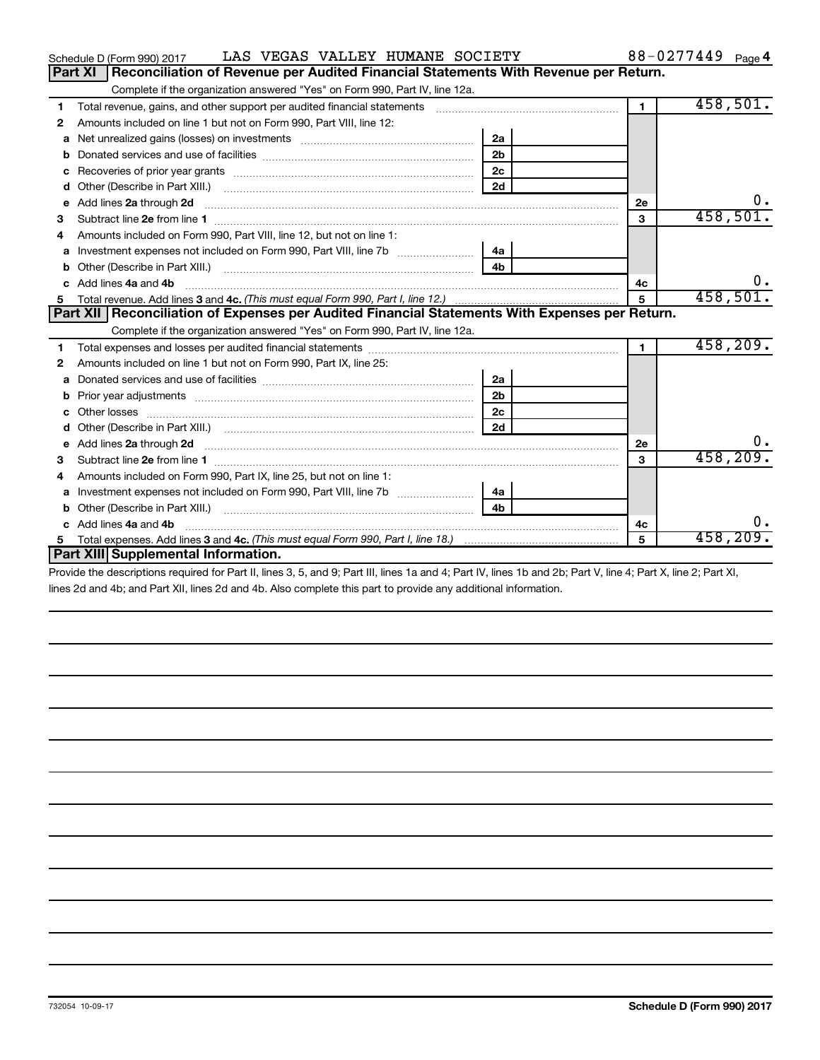|    | LAS VEGAS VALLEY HUMANE SOCIETY<br>Schedule D (Form 990) 2017                                                                                                                                                                       |                |                      | 88-0277449 Page 4 |
|----|-------------------------------------------------------------------------------------------------------------------------------------------------------------------------------------------------------------------------------------|----------------|----------------------|-------------------|
|    | Reconciliation of Revenue per Audited Financial Statements With Revenue per Return.<br><b>Part XI</b>                                                                                                                               |                |                      |                   |
|    | Complete if the organization answered "Yes" on Form 990, Part IV, line 12a.                                                                                                                                                         |                |                      |                   |
| 1  | Total revenue, gains, and other support per audited financial statements [11] [11] Total revenue, [21] Total revenue of the support per audited financial statements                                                                |                | $\blacksquare$       | 458,501.          |
| 2  | Amounts included on line 1 but not on Form 990, Part VIII, line 12:                                                                                                                                                                 |                |                      |                   |
| a  |                                                                                                                                                                                                                                     | 2a             |                      |                   |
|    |                                                                                                                                                                                                                                     | 2 <sub>b</sub> |                      |                   |
| c  |                                                                                                                                                                                                                                     | 2c             |                      |                   |
| d  |                                                                                                                                                                                                                                     | 2d             |                      |                   |
| e  | Add lines 2a through 2d <b>must be a constructed as a constructed by a</b> construction of the state of the state of the state of the state of the state of the state of the state of the state of the state of the state of the st |                | <b>2e</b>            | 0.                |
| 3  |                                                                                                                                                                                                                                     |                | 3                    | 458,501.          |
| 4  | Amounts included on Form 990, Part VIII, line 12, but not on line 1:                                                                                                                                                                |                |                      |                   |
| a  |                                                                                                                                                                                                                                     | 4a             |                      |                   |
| b  |                                                                                                                                                                                                                                     | 4 <sub>h</sub> |                      |                   |
| C. | Add lines 4a and 4b                                                                                                                                                                                                                 |                | 4c                   |                   |
|    |                                                                                                                                                                                                                                     |                | 5                    | 458,501.          |
|    | Part XII   Reconciliation of Expenses per Audited Financial Statements With Expenses per Return.                                                                                                                                    |                |                      |                   |
|    | Complete if the organization answered "Yes" on Form 990, Part IV, line 12a.                                                                                                                                                         |                |                      |                   |
| 1  |                                                                                                                                                                                                                                     |                | $\blacktriangleleft$ | 458, 209.         |
| 2  | Amounts included on line 1 but not on Form 990, Part IX, line 25:                                                                                                                                                                   |                |                      |                   |
| a  |                                                                                                                                                                                                                                     | 2a             |                      |                   |
| b  |                                                                                                                                                                                                                                     | 2 <sub>b</sub> |                      |                   |
|    |                                                                                                                                                                                                                                     | 2 <sub>c</sub> |                      |                   |
| d  |                                                                                                                                                                                                                                     | 2d             |                      |                   |
| е  | Add lines 2a through 2d <b>contained a contained a contained a contained a</b> contained a contained a contained a contained a contact a contact a contact a contact a contact a contact a contact a contact a contact a contact a  |                | <b>2e</b>            | υ.                |
| з  |                                                                                                                                                                                                                                     |                | $\mathbf{a}$         | 458,209.          |
| 4  | Amounts included on Form 990, Part IX, line 25, but not on line 1:                                                                                                                                                                  |                |                      |                   |
| a  |                                                                                                                                                                                                                                     | 4a             |                      |                   |
| b  | Other (Describe in Part XIII.)                                                                                                                                                                                                      | 4 <sub>h</sub> |                      |                   |
|    | Add lines 4a and 4b                                                                                                                                                                                                                 |                | 4с                   | 0.                |
| 5. |                                                                                                                                                                                                                                     |                | 5                    | 458,209.          |
|    | Part XIII Supplemental Information.                                                                                                                                                                                                 |                |                      |                   |
|    |                                                                                                                                                                                                                                     |                |                      |                   |

Provide the descriptions required for Part II, lines 3, 5, and 9; Part III, lines 1a and 4; Part IV, lines 1b and 2b; Part V, line 4; Part X, line 2; Part XI, lines 2d and 4b; and Part XII, lines 2d and 4b. Also complete this part to provide any additional information.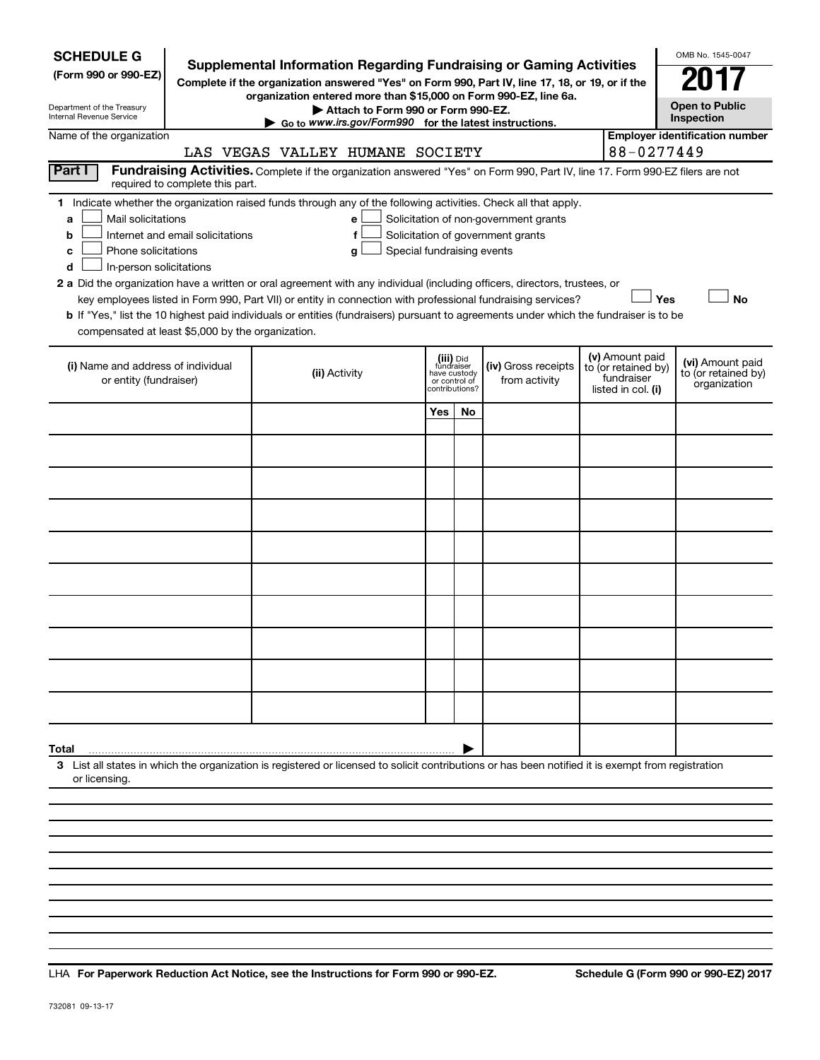| <b>SCHEDULE G</b><br>(Form 990 or 990-EZ)<br>Department of the Treasury<br>Internal Revenue Service                                                                                                                                                                                                                                                                                                                                                                                                                                                                                                                                                                                                                                                                                                                                              | <b>Supplemental Information Regarding Fundraising or Gaming Activities</b><br>Complete if the organization answered "Yes" on Form 990, Part IV, line 17, 18, or 19, or if the<br>organization entered more than \$15,000 on Form 990-EZ, line 6a.<br>Attach to Form 990 or Form 990-EZ.<br>$\triangleright$ Go to www.irs.gov/Form990 for the latest instructions. |                                                                            |    |                                      |  |                                                                            | OMB No. 1545-0047<br><b>Open to Public</b><br>Inspection |  |  |  |
|--------------------------------------------------------------------------------------------------------------------------------------------------------------------------------------------------------------------------------------------------------------------------------------------------------------------------------------------------------------------------------------------------------------------------------------------------------------------------------------------------------------------------------------------------------------------------------------------------------------------------------------------------------------------------------------------------------------------------------------------------------------------------------------------------------------------------------------------------|--------------------------------------------------------------------------------------------------------------------------------------------------------------------------------------------------------------------------------------------------------------------------------------------------------------------------------------------------------------------|----------------------------------------------------------------------------|----|--------------------------------------|--|----------------------------------------------------------------------------|----------------------------------------------------------|--|--|--|
| Name of the organization                                                                                                                                                                                                                                                                                                                                                                                                                                                                                                                                                                                                                                                                                                                                                                                                                         | LAS VEGAS VALLEY HUMANE SOCIETY                                                                                                                                                                                                                                                                                                                                    |                                                                            |    |                                      |  | 88-0277449                                                                 | <b>Employer identification number</b>                    |  |  |  |
| Part I<br>required to complete this part.                                                                                                                                                                                                                                                                                                                                                                                                                                                                                                                                                                                                                                                                                                                                                                                                        | Fundraising Activities. Complete if the organization answered "Yes" on Form 990, Part IV, line 17. Form 990-EZ filers are not                                                                                                                                                                                                                                      |                                                                            |    |                                      |  |                                                                            |                                                          |  |  |  |
| 1 Indicate whether the organization raised funds through any of the following activities. Check all that apply.<br>Mail solicitations<br>Solicitation of non-government grants<br>e<br>a<br>Solicitation of government grants<br>Internet and email solicitations<br>f<br>b<br>Phone solicitations<br>Special fundraising events<br>c<br>g<br>In-person solicitations<br>d<br>2 a Did the organization have a written or oral agreement with any individual (including officers, directors, trustees, or<br>Yes<br><b>No</b><br>key employees listed in Form 990, Part VII) or entity in connection with professional fundraising services?<br><b>b</b> If "Yes," list the 10 highest paid individuals or entities (fundraisers) pursuant to agreements under which the fundraiser is to be<br>compensated at least \$5,000 by the organization. |                                                                                                                                                                                                                                                                                                                                                                    |                                                                            |    |                                      |  |                                                                            |                                                          |  |  |  |
| (i) Name and address of individual<br>or entity (fundraiser)                                                                                                                                                                                                                                                                                                                                                                                                                                                                                                                                                                                                                                                                                                                                                                                     | (ii) Activity                                                                                                                                                                                                                                                                                                                                                      | (iii) Did<br>fundraiser<br>have custody<br>or control of<br>contributions? |    | (iv) Gross receipts<br>from activity |  | (v) Amount paid<br>to (or retained by)<br>fundraiser<br>listed in col. (i) | (vi) Amount paid<br>to (or retained by)<br>organization  |  |  |  |
|                                                                                                                                                                                                                                                                                                                                                                                                                                                                                                                                                                                                                                                                                                                                                                                                                                                  |                                                                                                                                                                                                                                                                                                                                                                    | Yes                                                                        | No |                                      |  |                                                                            |                                                          |  |  |  |
|                                                                                                                                                                                                                                                                                                                                                                                                                                                                                                                                                                                                                                                                                                                                                                                                                                                  |                                                                                                                                                                                                                                                                                                                                                                    |                                                                            |    |                                      |  |                                                                            |                                                          |  |  |  |
|                                                                                                                                                                                                                                                                                                                                                                                                                                                                                                                                                                                                                                                                                                                                                                                                                                                  |                                                                                                                                                                                                                                                                                                                                                                    |                                                                            |    |                                      |  |                                                                            |                                                          |  |  |  |
|                                                                                                                                                                                                                                                                                                                                                                                                                                                                                                                                                                                                                                                                                                                                                                                                                                                  |                                                                                                                                                                                                                                                                                                                                                                    |                                                                            |    |                                      |  |                                                                            |                                                          |  |  |  |
|                                                                                                                                                                                                                                                                                                                                                                                                                                                                                                                                                                                                                                                                                                                                                                                                                                                  |                                                                                                                                                                                                                                                                                                                                                                    |                                                                            |    |                                      |  |                                                                            |                                                          |  |  |  |
|                                                                                                                                                                                                                                                                                                                                                                                                                                                                                                                                                                                                                                                                                                                                                                                                                                                  |                                                                                                                                                                                                                                                                                                                                                                    |                                                                            |    |                                      |  |                                                                            |                                                          |  |  |  |
|                                                                                                                                                                                                                                                                                                                                                                                                                                                                                                                                                                                                                                                                                                                                                                                                                                                  |                                                                                                                                                                                                                                                                                                                                                                    |                                                                            |    |                                      |  |                                                                            |                                                          |  |  |  |
|                                                                                                                                                                                                                                                                                                                                                                                                                                                                                                                                                                                                                                                                                                                                                                                                                                                  |                                                                                                                                                                                                                                                                                                                                                                    |                                                                            |    |                                      |  |                                                                            |                                                          |  |  |  |
|                                                                                                                                                                                                                                                                                                                                                                                                                                                                                                                                                                                                                                                                                                                                                                                                                                                  |                                                                                                                                                                                                                                                                                                                                                                    |                                                                            |    |                                      |  |                                                                            |                                                          |  |  |  |
|                                                                                                                                                                                                                                                                                                                                                                                                                                                                                                                                                                                                                                                                                                                                                                                                                                                  |                                                                                                                                                                                                                                                                                                                                                                    |                                                                            |    |                                      |  |                                                                            |                                                          |  |  |  |
| Total                                                                                                                                                                                                                                                                                                                                                                                                                                                                                                                                                                                                                                                                                                                                                                                                                                            |                                                                                                                                                                                                                                                                                                                                                                    |                                                                            |    |                                      |  |                                                                            |                                                          |  |  |  |
| 3 List all states in which the organization is registered or licensed to solicit contributions or has been notified it is exempt from registration<br>or licensing.                                                                                                                                                                                                                                                                                                                                                                                                                                                                                                                                                                                                                                                                              |                                                                                                                                                                                                                                                                                                                                                                    |                                                                            |    |                                      |  |                                                                            |                                                          |  |  |  |
|                                                                                                                                                                                                                                                                                                                                                                                                                                                                                                                                                                                                                                                                                                                                                                                                                                                  |                                                                                                                                                                                                                                                                                                                                                                    |                                                                            |    |                                      |  |                                                                            |                                                          |  |  |  |
|                                                                                                                                                                                                                                                                                                                                                                                                                                                                                                                                                                                                                                                                                                                                                                                                                                                  |                                                                                                                                                                                                                                                                                                                                                                    |                                                                            |    |                                      |  |                                                                            |                                                          |  |  |  |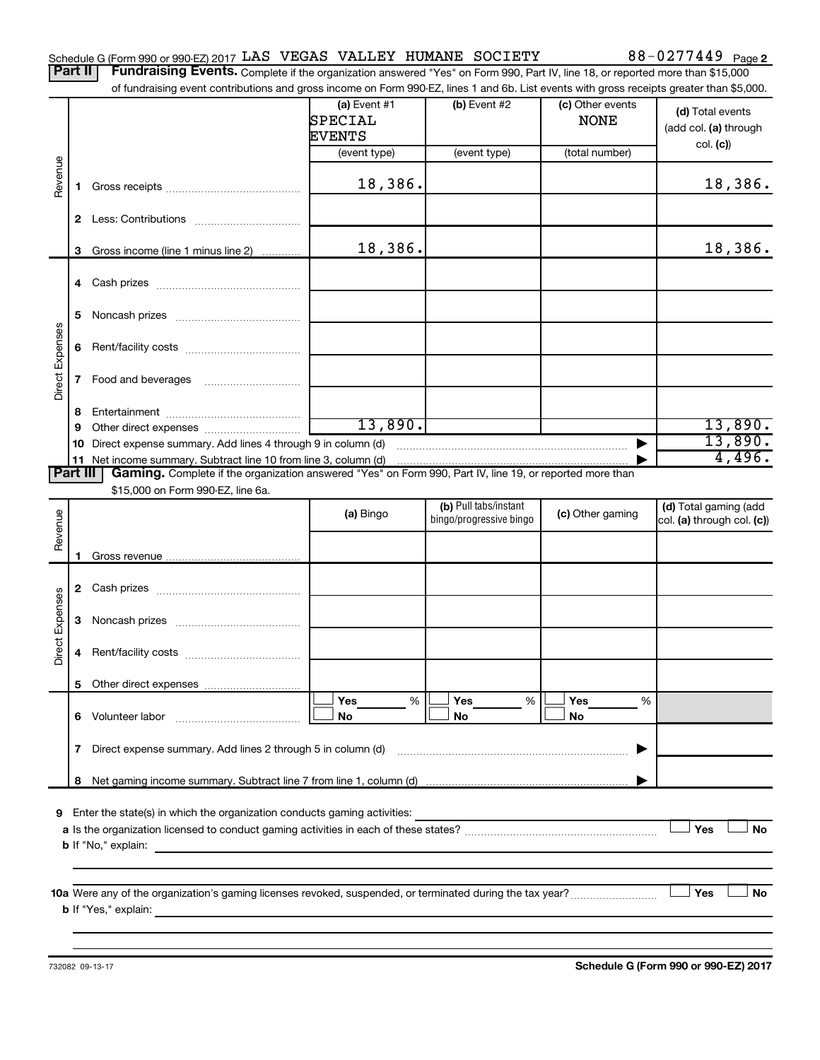| Schedule G (Form 990 or 990-EZ) 2017 LAS VEGAS VALLEY HUMANE SOCIETY |  |  |  |  | 88-0277449 $_{Page 2}$ |
|----------------------------------------------------------------------|--|--|--|--|------------------------|
|----------------------------------------------------------------------|--|--|--|--|------------------------|

Part II | Fundraising Events. Complete if the organization answered "Yes" on Form 990, Part IV, line 18, or reported more than \$15,000 of fundraising event contributions and gross income on Form 990-EZ, lines 1 and 6b. List events with gross receipts greater than \$5,000.

|                        |    | OF RIFLOR BOOK IS GET LOOPER ON BOODS THE ORDER OF FORM SSU-CZ, ITHES IT AND OD. LIST EVENTS WILL GROSS RECEIDES GREATER THAN \$0,000.   |                                            |                                                  |                                 |                                                     |
|------------------------|----|------------------------------------------------------------------------------------------------------------------------------------------|--------------------------------------------|--------------------------------------------------|---------------------------------|-----------------------------------------------------|
|                        |    |                                                                                                                                          | (a) Event $#1$<br>SPECIAL<br><b>EVENTS</b> | (b) Event $#2$                                   | (c) Other events<br><b>NONE</b> | (d) Total events<br>(add col. (a) through           |
|                        |    |                                                                                                                                          | (event type)                               | (event type)                                     | (total number)                  | col. (c)                                            |
| Revenue                | 1. |                                                                                                                                          | 18,386.                                    |                                                  |                                 | 18,386.                                             |
|                        |    |                                                                                                                                          |                                            |                                                  |                                 |                                                     |
|                        | 3  | Gross income (line 1 minus line 2)                                                                                                       | 18,386.                                    |                                                  |                                 | 18,386.                                             |
|                        |    |                                                                                                                                          |                                            |                                                  |                                 |                                                     |
|                        | 5. |                                                                                                                                          |                                            |                                                  |                                 |                                                     |
| Direct Expenses        |    |                                                                                                                                          |                                            |                                                  |                                 |                                                     |
|                        |    |                                                                                                                                          |                                            |                                                  |                                 |                                                     |
|                        | 8  |                                                                                                                                          |                                            |                                                  |                                 |                                                     |
|                        | 9  |                                                                                                                                          | 13,890.                                    |                                                  |                                 | 13,890.<br>13,890.                                  |
|                        |    | 10 Direct expense summary. Add lines 4 through 9 in column (d)<br>11 Net income summary. Subtract line 10 from line 3, column (d)        |                                            |                                                  |                                 | 4,496.                                              |
| Part III               |    | Gaming. Complete if the organization answered "Yes" on Form 990, Part IV, line 19, or reported more than                                 |                                            |                                                  |                                 |                                                     |
|                        |    | \$15,000 on Form 990-EZ, line 6a.                                                                                                        |                                            |                                                  |                                 |                                                     |
| Revenue                |    |                                                                                                                                          | (a) Bingo                                  | (b) Pull tabs/instant<br>bingo/progressive bingo | (c) Other gaming                | (d) Total gaming (add<br>col. (a) through col. (c)) |
|                        |    |                                                                                                                                          |                                            |                                                  |                                 |                                                     |
|                        |    |                                                                                                                                          |                                            |                                                  |                                 |                                                     |
|                        |    |                                                                                                                                          |                                            |                                                  |                                 |                                                     |
|                        |    |                                                                                                                                          |                                            |                                                  |                                 |                                                     |
| <b>Direct Expenses</b> | 4  |                                                                                                                                          |                                            |                                                  |                                 |                                                     |
|                        |    |                                                                                                                                          |                                            |                                                  |                                 |                                                     |
|                        |    | 6 Volunteer labor                                                                                                                        | Yes<br>%<br>No                             | Yes<br>%<br>No                                   | Yes<br>℅<br>No                  |                                                     |
|                        | 7  | Direct expense summary. Add lines 2 through 5 in column (d)                                                                              |                                            |                                                  |                                 |                                                     |
|                        | 8  |                                                                                                                                          |                                            |                                                  |                                 |                                                     |
| 9.                     |    | Enter the state(s) in which the organization conducts gaming activities:<br><b>b</b> If "No," explain:                                   |                                            |                                                  |                                 | Yes<br>No                                           |
|                        |    | 10a Were any of the organization's gaming licenses revoked, suspended, or terminated during the tax year?<br><b>b</b> If "Yes," explain: |                                            |                                                  |                                 | Yes<br>No                                           |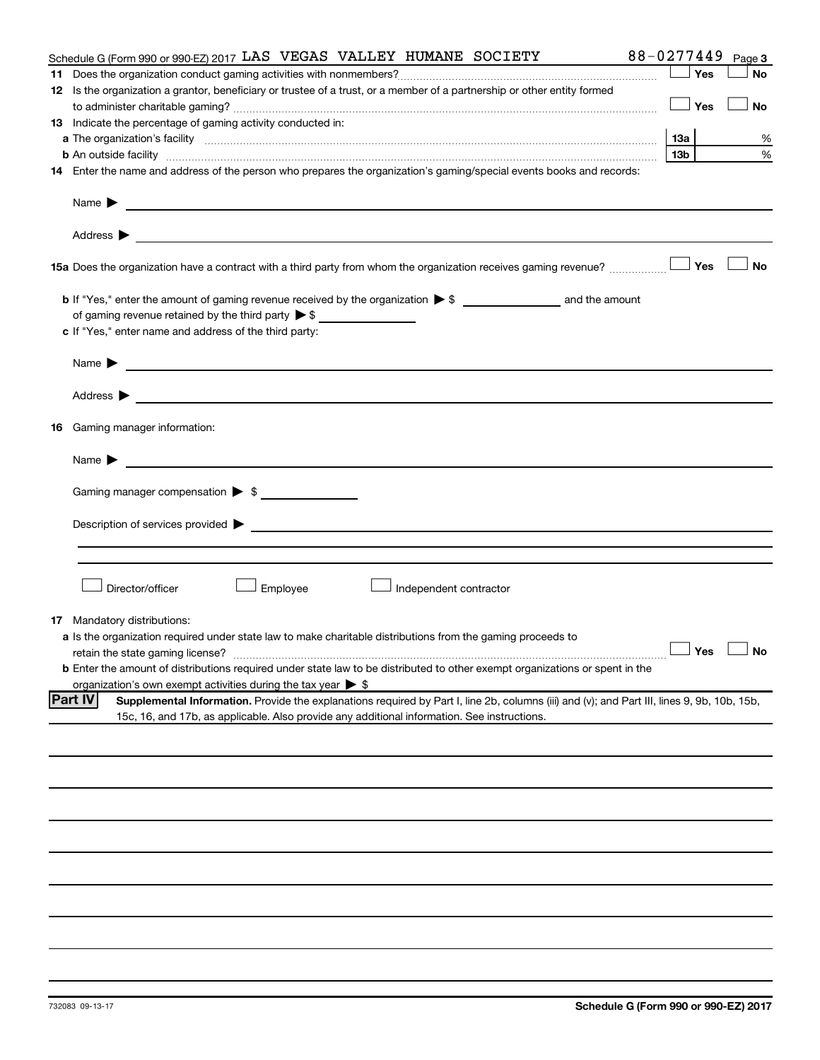| Schedule G (Form 990 or 990-EZ) 2017 LAS VEGAS VALLEY HUMANE SOCIETY                                                                                                                                                                                               | 88-0277449 | Page 3               |
|--------------------------------------------------------------------------------------------------------------------------------------------------------------------------------------------------------------------------------------------------------------------|------------|----------------------|
|                                                                                                                                                                                                                                                                    | Yes        | <b>No</b>            |
| 12 Is the organization a grantor, beneficiary or trustee of a trust, or a member of a partnership or other entity formed                                                                                                                                           |            |                      |
|                                                                                                                                                                                                                                                                    | Yes        | <b>No</b>            |
| 13 Indicate the percentage of gaming activity conducted in:                                                                                                                                                                                                        |            |                      |
|                                                                                                                                                                                                                                                                    | 1За        | %                    |
| <b>b</b> An outside facility <i>www.communicality www.communicality.communicality www.communicality www.communicality.communicality www.communicality.com</i>                                                                                                      | 13b        | %                    |
| 14 Enter the name and address of the person who prepares the organization's gaming/special events books and records:                                                                                                                                               |            |                      |
|                                                                                                                                                                                                                                                                    |            |                      |
| Name $\blacktriangleright$<br><u>and the control of the control of the control of the control of the control of the control of the control of</u>                                                                                                                  |            |                      |
|                                                                                                                                                                                                                                                                    |            |                      |
| <b>15a</b> Does the organization have a contract with a third party from whom the organization receives gaming revenue? $\ldots$                                                                                                                                   |            | <b>No</b>            |
|                                                                                                                                                                                                                                                                    |            |                      |
|                                                                                                                                                                                                                                                                    |            |                      |
| c If "Yes," enter name and address of the third party:                                                                                                                                                                                                             |            |                      |
|                                                                                                                                                                                                                                                                    |            |                      |
| <u>and the state of the state of the state of the state of the state of the state of the state of the state of the state of the state of the state of the state of the state of the state of the state of the state of the state</u><br>Name $\blacktriangleright$ |            |                      |
| Address $\blacktriangleright$<br><u>and the control of the control of the control of the control of the control of the control of the control of</u>                                                                                                               |            |                      |
| <b>16</b> Gaming manager information:                                                                                                                                                                                                                              |            |                      |
| <u> 1989 - Johann John Stein, markin f</u><br>Name $\blacktriangleright$                                                                                                                                                                                           |            |                      |
| Gaming manager compensation > \$                                                                                                                                                                                                                                   |            |                      |
|                                                                                                                                                                                                                                                                    |            |                      |
| Description of services provided states and the control of the control of the control of services provided states and the control of the control of the control of the control of the control of the control of the control of                                     |            |                      |
|                                                                                                                                                                                                                                                                    |            |                      |
|                                                                                                                                                                                                                                                                    |            |                      |
|                                                                                                                                                                                                                                                                    |            |                      |
| Director/officer<br>Employee<br>Independent contractor                                                                                                                                                                                                             |            |                      |
|                                                                                                                                                                                                                                                                    |            |                      |
| <b>17</b> Mandatory distributions:                                                                                                                                                                                                                                 |            |                      |
| a Is the organization required under state law to make charitable distributions from the gaming proceeds to                                                                                                                                                        |            |                      |
| retain the state gaming license?                                                                                                                                                                                                                                   |            | $\Box$ Yes $\Box$ No |
| <b>b</b> Enter the amount of distributions required under state law to be distributed to other exempt organizations or spent in the                                                                                                                                |            |                      |
| organization's own exempt activities during the tax year $\triangleright$ \$                                                                                                                                                                                       |            |                      |
| <b>Part IV</b><br>Supplemental Information. Provide the explanations required by Part I, line 2b, columns (iii) and (v); and Part III, lines 9, 9b, 10b, 15b,                                                                                                      |            |                      |
| 15c, 16, and 17b, as applicable. Also provide any additional information. See instructions.                                                                                                                                                                        |            |                      |
|                                                                                                                                                                                                                                                                    |            |                      |
|                                                                                                                                                                                                                                                                    |            |                      |
|                                                                                                                                                                                                                                                                    |            |                      |
|                                                                                                                                                                                                                                                                    |            |                      |
|                                                                                                                                                                                                                                                                    |            |                      |
|                                                                                                                                                                                                                                                                    |            |                      |
|                                                                                                                                                                                                                                                                    |            |                      |
|                                                                                                                                                                                                                                                                    |            |                      |
|                                                                                                                                                                                                                                                                    |            |                      |
|                                                                                                                                                                                                                                                                    |            |                      |
|                                                                                                                                                                                                                                                                    |            |                      |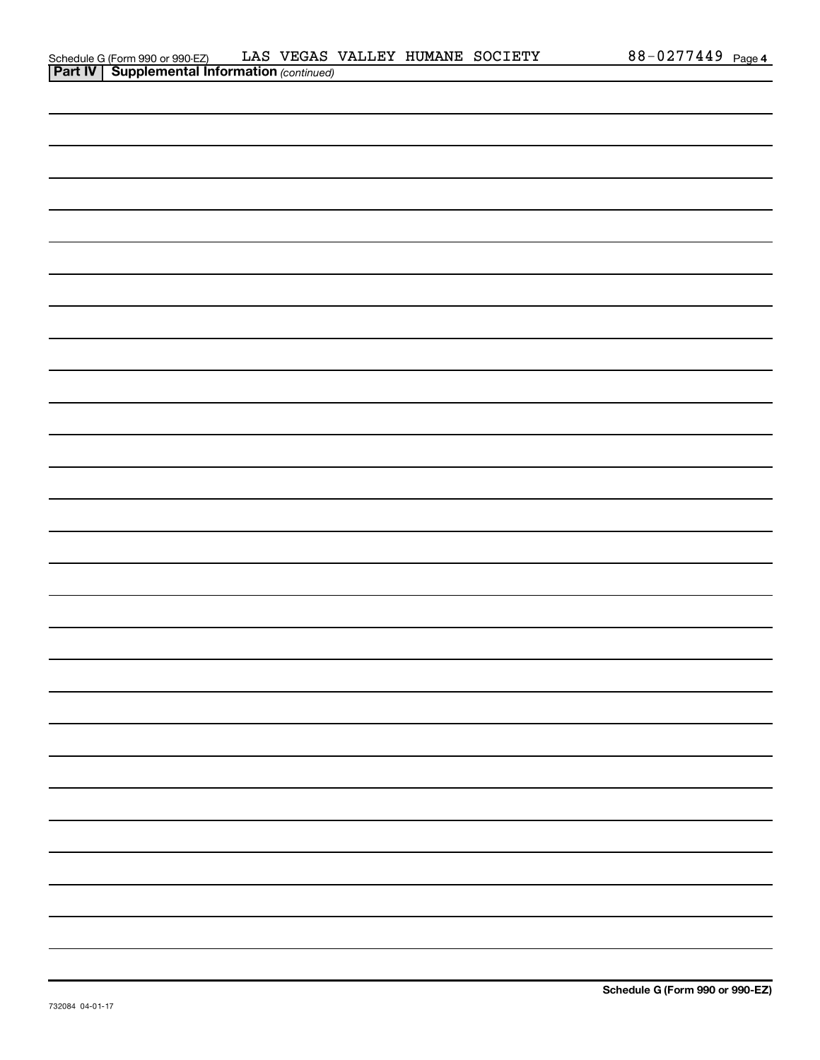| Schedule G (Form 990 or 990-EZ)                       |  |  | LAS VEGAS VALLEY HUMANE SOCIETY | 88-0277449 | Page 4 |
|-------------------------------------------------------|--|--|---------------------------------|------------|--------|
| <b>Part IV   Supplemental Information (continued)</b> |  |  |                                 |            |        |

| <u></u> | $\mathbf{r}$<br>$\overline{\phantom{a}}$ |  |  |  |
|---------|------------------------------------------|--|--|--|
|         |                                          |  |  |  |
|         |                                          |  |  |  |
|         |                                          |  |  |  |
|         |                                          |  |  |  |
|         |                                          |  |  |  |
|         |                                          |  |  |  |
|         |                                          |  |  |  |
|         |                                          |  |  |  |
|         |                                          |  |  |  |
|         |                                          |  |  |  |
|         |                                          |  |  |  |
|         |                                          |  |  |  |
|         |                                          |  |  |  |
|         |                                          |  |  |  |
|         |                                          |  |  |  |
|         |                                          |  |  |  |
|         |                                          |  |  |  |
|         |                                          |  |  |  |
|         |                                          |  |  |  |
|         |                                          |  |  |  |
|         |                                          |  |  |  |
|         |                                          |  |  |  |
|         |                                          |  |  |  |
|         |                                          |  |  |  |
|         |                                          |  |  |  |
|         |                                          |  |  |  |
|         |                                          |  |  |  |
|         |                                          |  |  |  |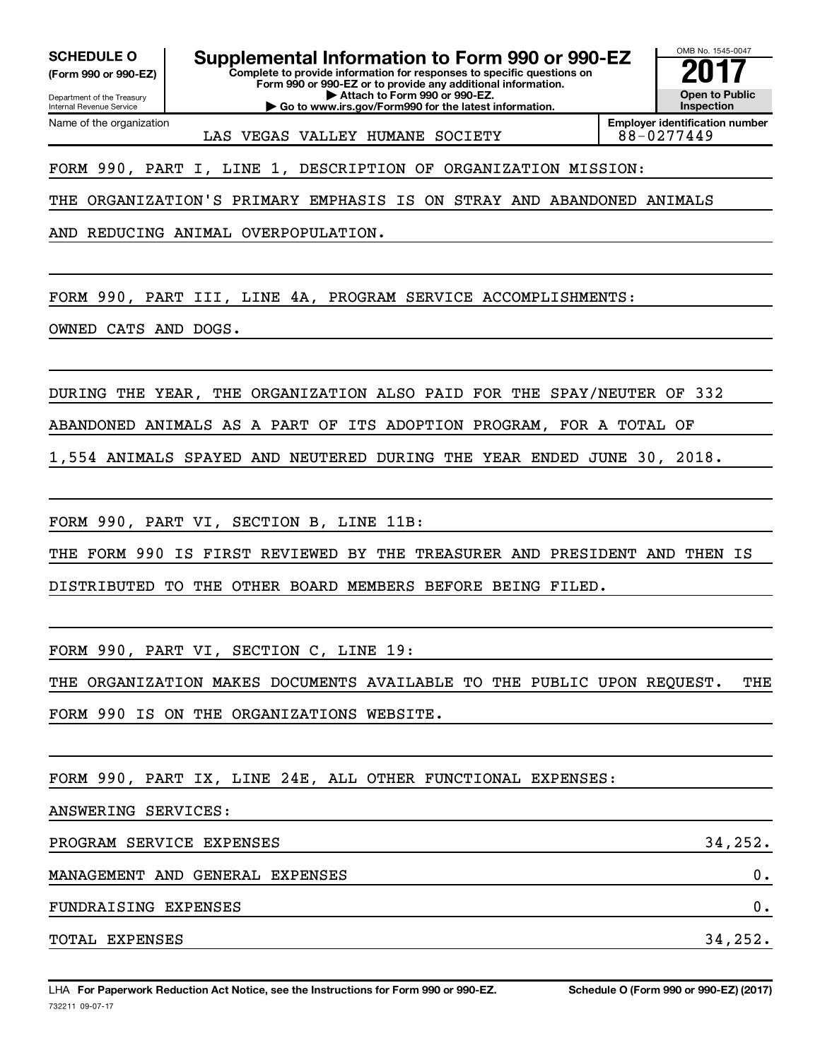Department of the Treasury **(Form 990 or 990-EZ)**

Name of the organization

Internal Revenue Service

**SCHEDULE O Supplemental Information to Form 990 or 990-EZ 2018 [2018 10]**<br>(Form 990 or 990-EZ) **2017** Complete to provide information for responses to specific questions on

**Complete to provide information for responses to specific questions on Form 990 or 990-EZ or to provide any additional information. | Attach to Form 990 or 990-EZ.**

**| Go to www.irs.gov/Form990 for the latest information.**

OMB No. 1545-0047 **Open to Public Inspection**

LAS VEGAS VALLEY HUMANE SOCIETY 88-0277449

**Employer identification number**

FORM 990, PART I, LINE 1, DESCRIPTION OF ORGANIZATION MISSION:

THE ORGANIZATION'S PRIMARY EMPHASIS IS ON STRAY AND ABANDONED ANIMALS

AND REDUCING ANIMAL OVERPOPULATION.

FORM 990, PART III, LINE 4A, PROGRAM SERVICE ACCOMPLISHMENTS:

OWNED CATS AND DOGS.

DURING THE YEAR, THE ORGANIZATION ALSO PAID FOR THE SPAY/NEUTER OF 332

ABANDONED ANIMALS AS A PART OF ITS ADOPTION PROGRAM, FOR A TOTAL OF

1,554 ANIMALS SPAYED AND NEUTERED DURING THE YEAR ENDED JUNE 30, 2018.

FORM 990, PART VI, SECTION B, LINE 11B:

THE FORM 990 IS FIRST REVIEWED BY THE TREASURER AND PRESIDENT AND THEN IS

DISTRIBUTED TO THE OTHER BOARD MEMBERS BEFORE BEING FILED.

FORM 990, PART VI, SECTION C, LINE 19:

THE ORGANIZATION MAKES DOCUMENTS AVAILABLE TO THE PUBLIC UPON REQUEST. THE FORM 990 IS ON THE ORGANIZATIONS WEBSITE.

FORM 990, PART IX, LINE 24E, ALL OTHER FUNCTIONAL EXPENSES:

ANSWERING SERVICES:

PROGRAM SERVICE EXPENSES 34,252. MANAGEMENT AND GENERAL EXPENSES 0. FUNDRAISING EXPENSES 0. TOTAL EXPENSES 34,252.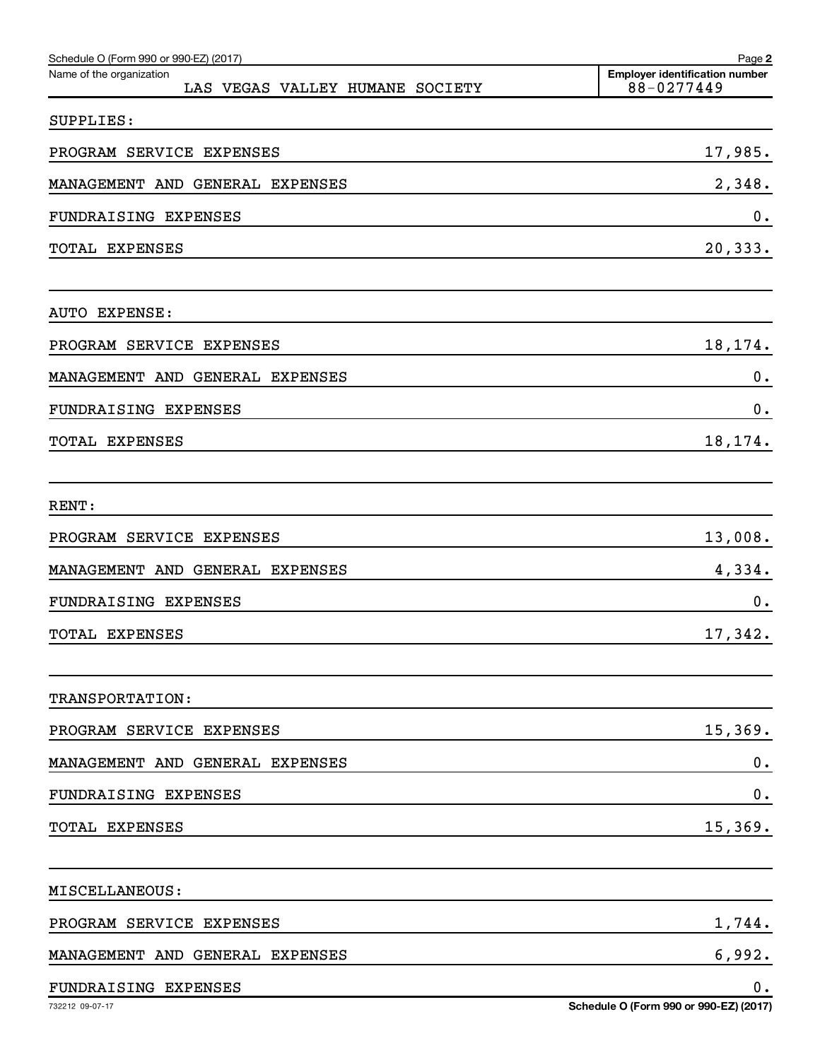| Schedule O (Form 990 or 990-EZ) (2017)<br>Name of the organization<br>LAS VEGAS VALLEY HUMANE SOCIETY | Page 2<br><b>Employer identification number</b><br>88-0277449 |
|-------------------------------------------------------------------------------------------------------|---------------------------------------------------------------|
| SUPPLIES:                                                                                             |                                                               |
| PROGRAM SERVICE EXPENSES                                                                              | 17,985.                                                       |
| MANAGEMENT AND GENERAL EXPENSES                                                                       | 2,348.                                                        |
| FUNDRAISING EXPENSES                                                                                  | 0.                                                            |
| TOTAL EXPENSES                                                                                        | 20,333.                                                       |
| AUTO EXPENSE:                                                                                         |                                                               |
| PROGRAM SERVICE EXPENSES                                                                              | 18,174.                                                       |
| MANAGEMENT AND GENERAL EXPENSES                                                                       | 0.                                                            |
| FUNDRAISING EXPENSES                                                                                  | 0.                                                            |
| TOTAL EXPENSES                                                                                        | 18,174.                                                       |
| RENT:                                                                                                 |                                                               |
| PROGRAM SERVICE EXPENSES                                                                              | 13,008.                                                       |
| MANAGEMENT AND GENERAL EXPENSES                                                                       | 4,334.                                                        |
| FUNDRAISING EXPENSES                                                                                  | 0.                                                            |
| TOTAL EXPENSES                                                                                        | 17,342.                                                       |
| TRANSPORTATION:                                                                                       |                                                               |
| PROGRAM SERVICE EXPENSES                                                                              | 15,369.                                                       |
| MANAGEMENT AND GENERAL EXPENSES                                                                       | $\mathbf 0$ .                                                 |
| FUNDRAISING EXPENSES                                                                                  | 0.                                                            |
| TOTAL EXPENSES                                                                                        | 15,369.                                                       |
| MISCELLANEOUS:                                                                                        |                                                               |
| PROGRAM SERVICE EXPENSES                                                                              | 1,744.                                                        |
| MANAGEMENT AND GENERAL EXPENSES                                                                       | 6,992.                                                        |
| FUNDRAISING EXPENSES                                                                                  | 0.                                                            |